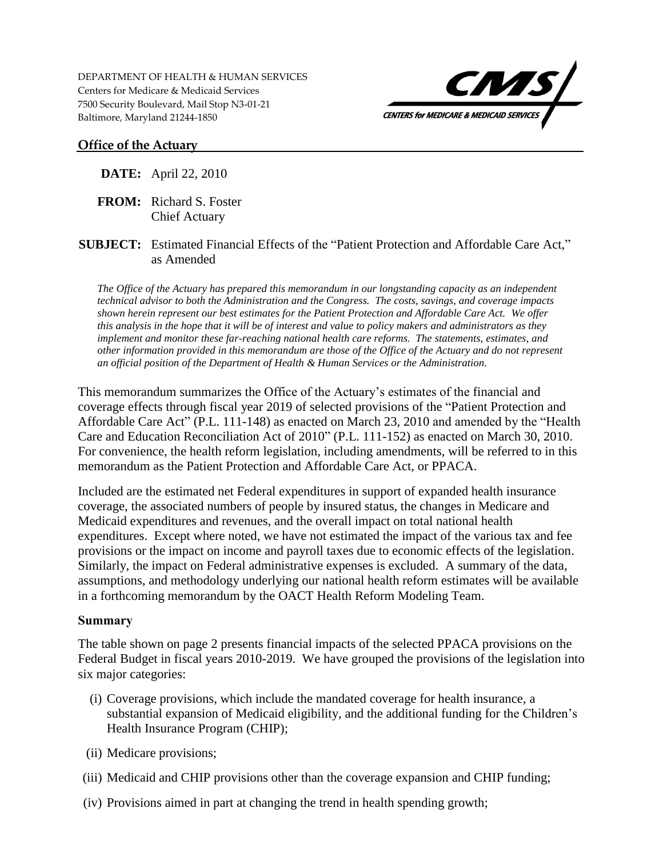DEPARTMENT OF HEALTH & HUMAN SERVICES Centers for Medicare & Medicaid Services 7500 Security Boulevard, Mail Stop N3-01-21 Baltimore, Maryland 21244-1850



#### **Office of the Actuary**

#### **DATE:** April 22, 2010

- **FROM:** Richard S. Foster Chief Actuary
- **SUBJECT:** Estimated Financial Effects of the "Patient Protection and Affordable Care Act," as Amended

*The Office of the Actuary has prepared this memorandum in our longstanding capacity as an independent technical advisor to both the Administration and the Congress. The costs, savings, and coverage impacts shown herein represent our best estimates for the Patient Protection and Affordable Care Act. We offer this analysis in the hope that it will be of interest and value to policy makers and administrators as they implement and monitor these far-reaching national health care reforms. The statements, estimates, and other information provided in this memorandum are those of the Office of the Actuary and do not represent an official position of the Department of Health & Human Services or the Administration.* 

This memorandum summarizes the Office of the Actuary's estimates of the financial and coverage effects through fiscal year 2019 of selected provisions of the "Patient Protection and Affordable Care Act" (P.L. 111-148) as enacted on March 23, 2010 and amended by the "Health Care and Education Reconciliation Act of 2010" (P.L. 111-152) as enacted on March 30, 2010. For convenience, the health reform legislation, including amendments, will be referred to in this memorandum as the Patient Protection and Affordable Care Act, or PPACA.

Included are the estimated net Federal expenditures in support of expanded health insurance coverage, the associated numbers of people by insured status, the changes in Medicare and Medicaid expenditures and revenues, and the overall impact on total national health expenditures. Except where noted, we have not estimated the impact of the various tax and fee provisions or the impact on income and payroll taxes due to economic effects of the legislation. Similarly, the impact on Federal administrative expenses is excluded. A summary of the data, assumptions, and methodology underlying our national health reform estimates will be available in a forthcoming memorandum by the OACT Health Reform Modeling Team.

#### **Summary**

The table shown on page 2 presents financial impacts of the selected PPACA provisions on the Federal Budget in fiscal years 2010-2019. We have grouped the provisions of the legislation into six major categories:

- (i) Coverage provisions, which include the mandated coverage for health insurance, a substantial expansion of Medicaid eligibility, and the additional funding for the Children's Health Insurance Program (CHIP);
- (ii) Medicare provisions;
- (iii) Medicaid and CHIP provisions other than the coverage expansion and CHIP funding;
- (iv) Provisions aimed in part at changing the trend in health spending growth;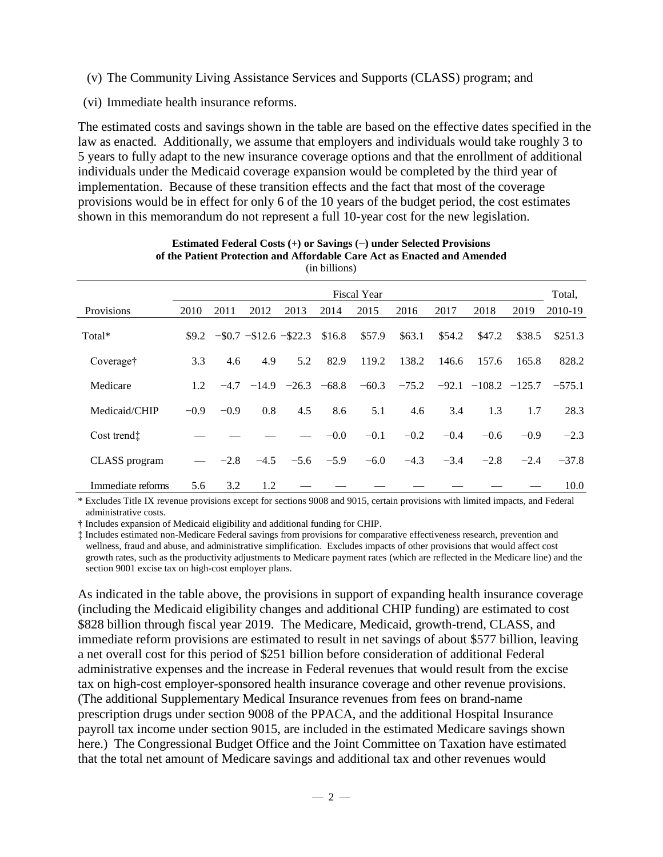- (v) The Community Living Assistance Services and Supports (CLASS) program; and
- (vi) Immediate health insurance reforms.

The estimated costs and savings shown in the table are based on the effective dates specified in the law as enacted. Additionally, we assume that employers and individuals would take roughly 3 to 5 years to fully adapt to the new insurance coverage options and that the enrollment of additional individuals under the Medicaid coverage expansion would be completed by the third year of implementation. Because of these transition effects and the fact that most of the coverage provisions would be in effect for only 6 of the 10 years of the budget period, the cost estimates shown in this memorandum do not represent a full 10-year cost for the new legislation.

| $\mu$ and $\mu$ and $\mu$ |        |        |         |                               |         |                    |         |         |                   |        |          |  |  |
|---------------------------|--------|--------|---------|-------------------------------|---------|--------------------|---------|---------|-------------------|--------|----------|--|--|
|                           |        |        |         |                               |         | <b>Fiscal Year</b> |         |         |                   |        | Total,   |  |  |
| Provisions                | 2010   | 2011   | 2012    | 2013                          | 2014    | 2015               | 2016    | 2017    | 2018              | 2019   | 2010-19  |  |  |
| Total*                    |        |        |         | $$9.2$ -\$0.7 -\$12.6 -\$22.3 | \$16.8  | \$57.9             | \$63.1  | \$54.2  | \$47.2            | \$38.5 | \$251.3  |  |  |
| Coveraget                 | 3.3    | 4.6    | 4.9     | 5.2                           | 82.9    | 119.2              | 138.2   | 146.6   | 157.6             | 165.8  | 828.2    |  |  |
| Medicare                  | 1.2    | $-4.7$ | $-14.9$ | $-26.3$                       | $-68.8$ | $-60.3$            | $-75.2$ | $-92.1$ | $-108.2$ $-125.7$ |        | $-575.1$ |  |  |
| Medicaid/CHIP             | $-0.9$ | $-0.9$ | 0.8     | 4.5                           | 8.6     | 5.1                | 4.6     | 3.4     | 1.3               | 1.7    | 28.3     |  |  |
| Cost trendt               |        |        |         |                               | $-0.0$  | $-0.1$             | $-0.2$  | $-0.4$  | $-0.6$            | $-0.9$ | $-2.3$   |  |  |
| CLASS program             |        | $-2.8$ | $-4.5$  | $-5.6$                        | $-5.9$  | $-6.0$             | $-4.3$  | $-3.4$  | $-2.8$            | $-2.4$ | $-37.8$  |  |  |
| Immediate reforms         | 5.6    | 3.2    | 1.2     |                               |         |                    |         |         |                   |        | 10.0     |  |  |

#### **Estimated Federal Costs (+) or Savings (−) under Selected Provisions of the Patient Protection and Affordable Care Act as Enacted and Amended** (in billions)

\* Excludes Title IX revenue provisions except for sections 9008 and 9015, certain provisions with limited impacts, and Federal administrative costs.

† Includes expansion of Medicaid eligibility and additional funding for CHIP.

‡ Includes estimated non-Medicare Federal savings from provisions for comparative effectiveness research, prevention and wellness, fraud and abuse, and administrative simplification. Excludes impacts of other provisions that would affect cost growth rates, such as the productivity adjustments to Medicare payment rates (which are reflected in the Medicare line) and the section 9001 excise tax on high-cost employer plans.

As indicated in the table above, the provisions in support of expanding health insurance coverage (including the Medicaid eligibility changes and additional CHIP funding) are estimated to cost \$828 billion through fiscal year 2019. The Medicare, Medicaid, growth-trend, CLASS, and immediate reform provisions are estimated to result in net savings of about \$577 billion, leaving a net overall cost for this period of \$251 billion before consideration of additional Federal administrative expenses and the increase in Federal revenues that would result from the excise tax on high-cost employer-sponsored health insurance coverage and other revenue provisions. (The additional Supplementary Medical Insurance revenues from fees on brand-name prescription drugs under section 9008 of the PPACA, and the additional Hospital Insurance payroll tax income under section 9015, are included in the estimated Medicare savings shown here.) The Congressional Budget Office and the Joint Committee on Taxation have estimated that the total net amount of Medicare savings and additional tax and other revenues would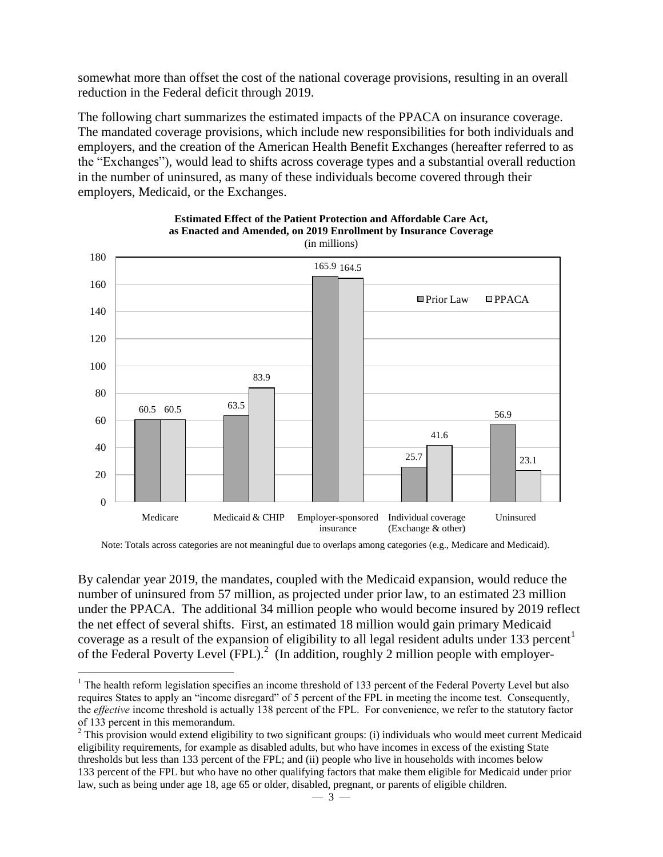somewhat more than offset the cost of the national coverage provisions, resulting in an overall reduction in the Federal deficit through 2019.

The following chart summarizes the estimated impacts of the PPACA on insurance coverage. The mandated coverage provisions, which include new responsibilities for both individuals and employers, and the creation of the American Health Benefit Exchanges (hereafter referred to as the "Exchanges"), would lead to shifts across coverage types and a substantial overall reduction in the number of uninsured, as many of these individuals become covered through their employers, Medicaid, or the Exchanges.



**Estimated Effect of the Patient Protection and Affordable Care Act, as Enacted and Amended, on 2019 Enrollment by Insurance Coverage** 

Note: Totals across categories are not meaningful due to overlaps among categories (e.g., Medicare and Medicaid).

By calendar year 2019, the mandates, coupled with the Medicaid expansion, would reduce the number of uninsured from 57 million, as projected under prior law, to an estimated 23 million under the PPACA. The additional 34 million people who would become insured by 2019 reflect the net effect of several shifts. First, an estimated 18 million would gain primary Medicaid coverage as a result of the expansion of eligibility to all legal resident adults under 133 percent<sup>1</sup> of the Federal Poverty Level (FPL).<sup>2</sup> (In addition, roughly 2 million people with employer-

 $\overline{a}$ 

 $<sup>1</sup>$  The health reform legislation specifies an income threshold of 133 percent of the Federal Poverty Level but also</sup> requires States to apply an "income disregard" of 5 percent of the FPL in meeting the income test. Consequently, the *effective* income threshold is actually 138 percent of the FPL. For convenience, we refer to the statutory factor of 133 percent in this memorandum.

 $2$  This provision would extend eligibility to two significant groups: (i) individuals who would meet current Medicaid eligibility requirements, for example as disabled adults, but who have incomes in excess of the existing State thresholds but less than 133 percent of the FPL; and (ii) people who live in households with incomes below 133 percent of the FPL but who have no other qualifying factors that make them eligible for Medicaid under prior law, such as being under age 18, age 65 or older, disabled, pregnant, or parents of eligible children.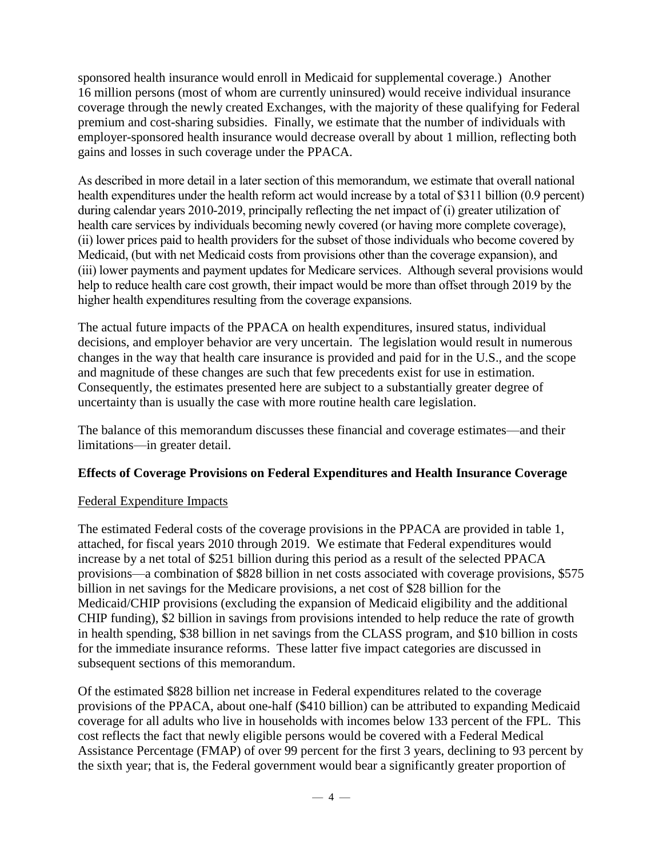sponsored health insurance would enroll in Medicaid for supplemental coverage.) Another 16 million persons (most of whom are currently uninsured) would receive individual insurance coverage through the newly created Exchanges, with the majority of these qualifying for Federal premium and cost-sharing subsidies. Finally, we estimate that the number of individuals with employer-sponsored health insurance would decrease overall by about 1 million, reflecting both gains and losses in such coverage under the PPACA.

As described in more detail in a later section of this memorandum, we estimate that overall national health expenditures under the health reform act would increase by a total of \$311 billion (0.9 percent) during calendar years 2010-2019, principally reflecting the net impact of (i) greater utilization of health care services by individuals becoming newly covered (or having more complete coverage), (ii) lower prices paid to health providers for the subset of those individuals who become covered by Medicaid, (but with net Medicaid costs from provisions other than the coverage expansion), and (iii) lower payments and payment updates for Medicare services. Although several provisions would help to reduce health care cost growth, their impact would be more than offset through 2019 by the higher health expenditures resulting from the coverage expansions.

The actual future impacts of the PPACA on health expenditures, insured status, individual decisions, and employer behavior are very uncertain. The legislation would result in numerous changes in the way that health care insurance is provided and paid for in the U.S., and the scope and magnitude of these changes are such that few precedents exist for use in estimation. Consequently, the estimates presented here are subject to a substantially greater degree of uncertainty than is usually the case with more routine health care legislation.

The balance of this memorandum discusses these financial and coverage estimates—and their limitations—in greater detail.

# **Effects of Coverage Provisions on Federal Expenditures and Health Insurance Coverage**

# Federal Expenditure Impacts

The estimated Federal costs of the coverage provisions in the PPACA are provided in table 1, attached, for fiscal years 2010 through 2019. We estimate that Federal expenditures would increase by a net total of \$251 billion during this period as a result of the selected PPACA provisions—a combination of \$828 billion in net costs associated with coverage provisions, \$575 billion in net savings for the Medicare provisions, a net cost of \$28 billion for the Medicaid/CHIP provisions (excluding the expansion of Medicaid eligibility and the additional CHIP funding), \$2 billion in savings from provisions intended to help reduce the rate of growth in health spending, \$38 billion in net savings from the CLASS program, and \$10 billion in costs for the immediate insurance reforms. These latter five impact categories are discussed in subsequent sections of this memorandum.

Of the estimated \$828 billion net increase in Federal expenditures related to the coverage provisions of the PPACA, about one-half (\$410 billion) can be attributed to expanding Medicaid coverage for all adults who live in households with incomes below 133 percent of the FPL. This cost reflects the fact that newly eligible persons would be covered with a Federal Medical Assistance Percentage (FMAP) of over 99 percent for the first 3 years, declining to 93 percent by the sixth year; that is, the Federal government would bear a significantly greater proportion of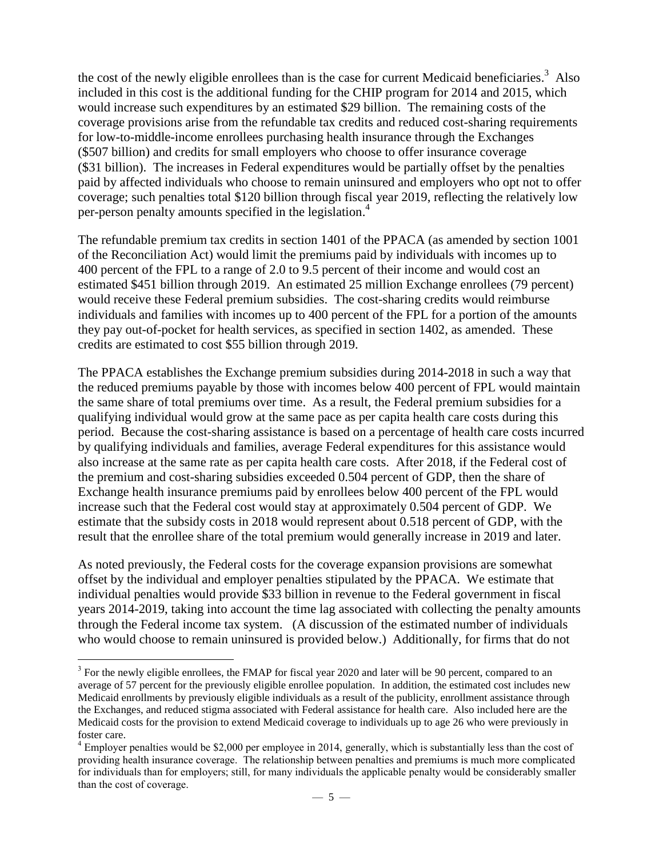the cost of the newly eligible enrollees than is the case for current Medicaid beneficiaries.<sup>3</sup> Also included in this cost is the additional funding for the CHIP program for 2014 and 2015, which would increase such expenditures by an estimated \$29 billion. The remaining costs of the coverage provisions arise from the refundable tax credits and reduced cost-sharing requirements for low-to-middle-income enrollees purchasing health insurance through the Exchanges (\$507 billion) and credits for small employers who choose to offer insurance coverage (\$31 billion). The increases in Federal expenditures would be partially offset by the penalties paid by affected individuals who choose to remain uninsured and employers who opt not to offer coverage; such penalties total \$120 billion through fiscal year 2019, reflecting the relatively low per-person penalty amounts specified in the legislation.<sup>4</sup>

The refundable premium tax credits in section 1401 of the PPACA (as amended by section 1001 of the Reconciliation Act) would limit the premiums paid by individuals with incomes up to 400 percent of the FPL to a range of 2.0 to 9.5 percent of their income and would cost an estimated \$451 billion through 2019. An estimated 25 million Exchange enrollees (79 percent) would receive these Federal premium subsidies. The cost-sharing credits would reimburse individuals and families with incomes up to 400 percent of the FPL for a portion of the amounts they pay out-of-pocket for health services, as specified in section 1402, as amended. These credits are estimated to cost \$55 billion through 2019.

The PPACA establishes the Exchange premium subsidies during 2014-2018 in such a way that the reduced premiums payable by those with incomes below 400 percent of FPL would maintain the same share of total premiums over time. As a result, the Federal premium subsidies for a qualifying individual would grow at the same pace as per capita health care costs during this period. Because the cost-sharing assistance is based on a percentage of health care costs incurred by qualifying individuals and families, average Federal expenditures for this assistance would also increase at the same rate as per capita health care costs. After 2018, if the Federal cost of the premium and cost-sharing subsidies exceeded 0.504 percent of GDP, then the share of Exchange health insurance premiums paid by enrollees below 400 percent of the FPL would increase such that the Federal cost would stay at approximately 0.504 percent of GDP. We estimate that the subsidy costs in 2018 would represent about 0.518 percent of GDP, with the result that the enrollee share of the total premium would generally increase in 2019 and later.

As noted previously, the Federal costs for the coverage expansion provisions are somewhat offset by the individual and employer penalties stipulated by the PPACA. We estimate that individual penalties would provide \$33 billion in revenue to the Federal government in fiscal years 2014-2019, taking into account the time lag associated with collecting the penalty amounts through the Federal income tax system. (A discussion of the estimated number of individuals who would choose to remain uninsured is provided below.) Additionally, for firms that do not

 $\overline{a}$ 

<sup>&</sup>lt;sup>3</sup> For the newly eligible enrollees, the FMAP for fiscal year 2020 and later will be 90 percent, compared to an average of 57 percent for the previously eligible enrollee population. In addition, the estimated cost includes new Medicaid enrollments by previously eligible individuals as a result of the publicity, enrollment assistance through the Exchanges, and reduced stigma associated with Federal assistance for health care. Also included here are the Medicaid costs for the provision to extend Medicaid coverage to individuals up to age 26 who were previously in foster care.

<sup>&</sup>lt;sup>4</sup> Employer penalties would be \$2,000 per employee in 2014, generally, which is substantially less than the cost of providing health insurance coverage. The relationship between penalties and premiums is much more complicated for individuals than for employers; still, for many individuals the applicable penalty would be considerably smaller than the cost of coverage.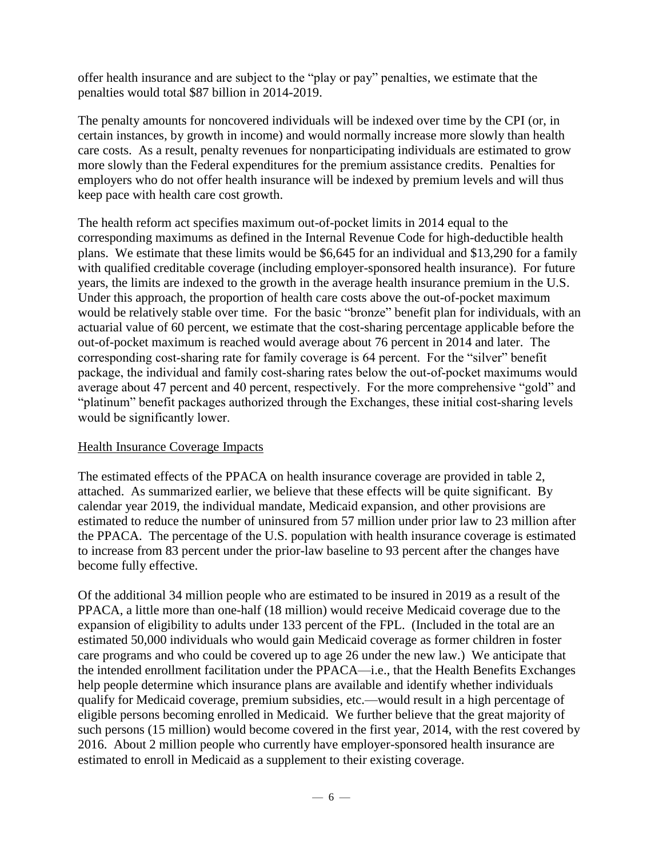offer health insurance and are subject to the "play or pay" penalties, we estimate that the penalties would total \$87 billion in 2014-2019.

The penalty amounts for noncovered individuals will be indexed over time by the CPI (or, in certain instances, by growth in income) and would normally increase more slowly than health care costs. As a result, penalty revenues for nonparticipating individuals are estimated to grow more slowly than the Federal expenditures for the premium assistance credits. Penalties for employers who do not offer health insurance will be indexed by premium levels and will thus keep pace with health care cost growth.

The health reform act specifies maximum out-of-pocket limits in 2014 equal to the corresponding maximums as defined in the Internal Revenue Code for high-deductible health plans. We estimate that these limits would be \$6,645 for an individual and \$13,290 for a family with qualified creditable coverage (including employer-sponsored health insurance). For future years, the limits are indexed to the growth in the average health insurance premium in the U.S. Under this approach, the proportion of health care costs above the out-of-pocket maximum would be relatively stable over time. For the basic "bronze" benefit plan for individuals, with an actuarial value of 60 percent, we estimate that the cost-sharing percentage applicable before the out-of-pocket maximum is reached would average about 76 percent in 2014 and later. The corresponding cost-sharing rate for family coverage is 64 percent. For the "silver" benefit package, the individual and family cost-sharing rates below the out-of-pocket maximums would average about 47 percent and 40 percent, respectively. For the more comprehensive "gold" and "platinum" benefit packages authorized through the Exchanges, these initial cost-sharing levels would be significantly lower.

# Health Insurance Coverage Impacts

The estimated effects of the PPACA on health insurance coverage are provided in table 2, attached. As summarized earlier, we believe that these effects will be quite significant. By calendar year 2019, the individual mandate, Medicaid expansion, and other provisions are estimated to reduce the number of uninsured from 57 million under prior law to 23 million after the PPACA. The percentage of the U.S. population with health insurance coverage is estimated to increase from 83 percent under the prior-law baseline to 93 percent after the changes have become fully effective.

Of the additional 34 million people who are estimated to be insured in 2019 as a result of the PPACA, a little more than one-half (18 million) would receive Medicaid coverage due to the expansion of eligibility to adults under 133 percent of the FPL. (Included in the total are an estimated 50,000 individuals who would gain Medicaid coverage as former children in foster care programs and who could be covered up to age 26 under the new law.) We anticipate that the intended enrollment facilitation under the PPACA—i.e., that the Health Benefits Exchanges help people determine which insurance plans are available and identify whether individuals qualify for Medicaid coverage, premium subsidies, etc.—would result in a high percentage of eligible persons becoming enrolled in Medicaid. We further believe that the great majority of such persons (15 million) would become covered in the first year, 2014, with the rest covered by 2016. About 2 million people who currently have employer-sponsored health insurance are estimated to enroll in Medicaid as a supplement to their existing coverage.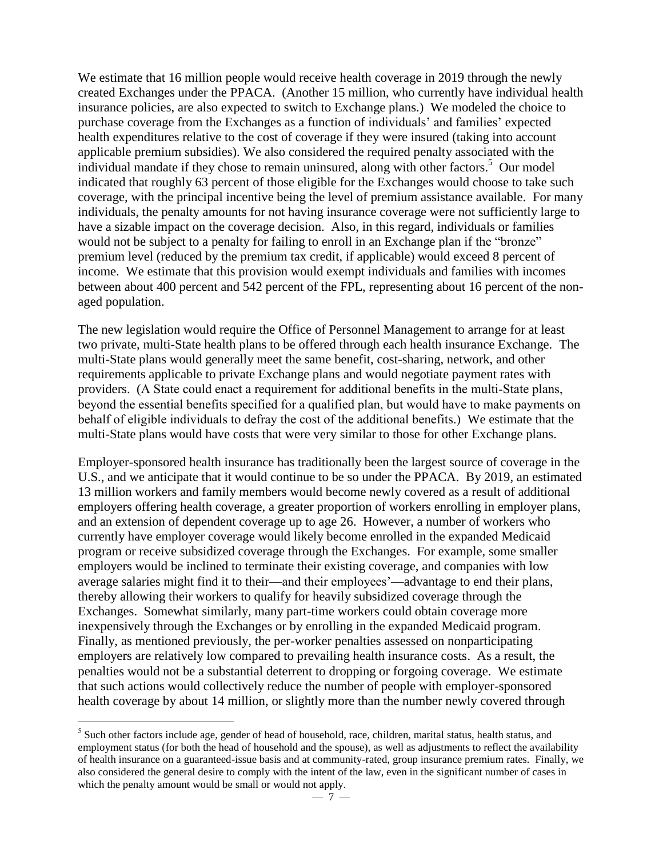We estimate that 16 million people would receive health coverage in 2019 through the newly created Exchanges under the PPACA. (Another 15 million, who currently have individual health insurance policies, are also expected to switch to Exchange plans.) We modeled the choice to purchase coverage from the Exchanges as a function of individuals' and families' expected health expenditures relative to the cost of coverage if they were insured (taking into account applicable premium subsidies). We also considered the required penalty associated with the individual mandate if they chose to remain uninsured, along with other factors. 5 Our model indicated that roughly 63 percent of those eligible for the Exchanges would choose to take such coverage, with the principal incentive being the level of premium assistance available. For many individuals, the penalty amounts for not having insurance coverage were not sufficiently large to have a sizable impact on the coverage decision. Also, in this regard, individuals or families would not be subject to a penalty for failing to enroll in an Exchange plan if the "bronze" premium level (reduced by the premium tax credit, if applicable) would exceed 8 percent of income. We estimate that this provision would exempt individuals and families with incomes between about 400 percent and 542 percent of the FPL, representing about 16 percent of the nonaged population.

The new legislation would require the Office of Personnel Management to arrange for at least two private, multi-State health plans to be offered through each health insurance Exchange. The multi-State plans would generally meet the same benefit, cost-sharing, network, and other requirements applicable to private Exchange plans and would negotiate payment rates with providers. (A State could enact a requirement for additional benefits in the multi-State plans, beyond the essential benefits specified for a qualified plan, but would have to make payments on behalf of eligible individuals to defray the cost of the additional benefits.) We estimate that the multi-State plans would have costs that were very similar to those for other Exchange plans.

Employer-sponsored health insurance has traditionally been the largest source of coverage in the U.S., and we anticipate that it would continue to be so under the PPACA. By 2019, an estimated 13 million workers and family members would become newly covered as a result of additional employers offering health coverage, a greater proportion of workers enrolling in employer plans, and an extension of dependent coverage up to age 26. However, a number of workers who currently have employer coverage would likely become enrolled in the expanded Medicaid program or receive subsidized coverage through the Exchanges. For example, some smaller employers would be inclined to terminate their existing coverage, and companies with low average salaries might find it to their—and their employees'—advantage to end their plans, thereby allowing their workers to qualify for heavily subsidized coverage through the Exchanges. Somewhat similarly, many part-time workers could obtain coverage more inexpensively through the Exchanges or by enrolling in the expanded Medicaid program. Finally, as mentioned previously, the per-worker penalties assessed on nonparticipating employers are relatively low compared to prevailing health insurance costs. As a result, the penalties would not be a substantial deterrent to dropping or forgoing coverage. We estimate that such actions would collectively reduce the number of people with employer-sponsored health coverage by about 14 million, or slightly more than the number newly covered through

 $\overline{a}$ 

<sup>&</sup>lt;sup>5</sup> Such other factors include age, gender of head of household, race, children, marital status, health status, and employment status (for both the head of household and the spouse), as well as adjustments to reflect the availability of health insurance on a guaranteed-issue basis and at community-rated, group insurance premium rates. Finally, we also considered the general desire to comply with the intent of the law, even in the significant number of cases in which the penalty amount would be small or would not apply.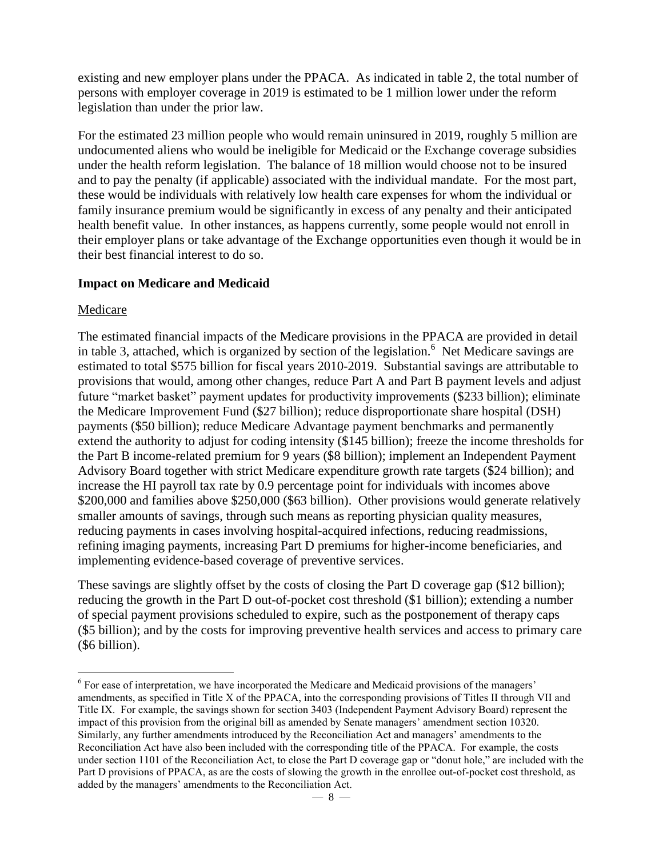existing and new employer plans under the PPACA. As indicated in table 2, the total number of persons with employer coverage in 2019 is estimated to be 1 million lower under the reform legislation than under the prior law.

For the estimated 23 million people who would remain uninsured in 2019, roughly 5 million are undocumented aliens who would be ineligible for Medicaid or the Exchange coverage subsidies under the health reform legislation. The balance of 18 million would choose not to be insured and to pay the penalty (if applicable) associated with the individual mandate. For the most part, these would be individuals with relatively low health care expenses for whom the individual or family insurance premium would be significantly in excess of any penalty and their anticipated health benefit value. In other instances, as happens currently, some people would not enroll in their employer plans or take advantage of the Exchange opportunities even though it would be in their best financial interest to do so.

# **Impact on Medicare and Medicaid**

# Medicare

 $\overline{a}$ 

The estimated financial impacts of the Medicare provisions in the PPACA are provided in detail in table 3, attached, which is organized by section of the legislation.  $6$  Net Medicare savings are estimated to total \$575 billion for fiscal years 2010-2019. Substantial savings are attributable to provisions that would, among other changes, reduce Part A and Part B payment levels and adjust future "market basket" payment updates for productivity improvements (\$233 billion); eliminate the Medicare Improvement Fund (\$27 billion); reduce disproportionate share hospital (DSH) payments (\$50 billion); reduce Medicare Advantage payment benchmarks and permanently extend the authority to adjust for coding intensity (\$145 billion); freeze the income thresholds for the Part B income-related premium for 9 years (\$8 billion); implement an Independent Payment Advisory Board together with strict Medicare expenditure growth rate targets (\$24 billion); and increase the HI payroll tax rate by 0.9 percentage point for individuals with incomes above \$200,000 and families above \$250,000 (\$63 billion). Other provisions would generate relatively smaller amounts of savings, through such means as reporting physician quality measures, reducing payments in cases involving hospital-acquired infections, reducing readmissions, refining imaging payments, increasing Part D premiums for higher-income beneficiaries, and implementing evidence-based coverage of preventive services.

These savings are slightly offset by the costs of closing the Part D coverage gap (\$12 billion); reducing the growth in the Part D out-of-pocket cost threshold (\$1 billion); extending a number of special payment provisions scheduled to expire, such as the postponement of therapy caps (\$5 billion); and by the costs for improving preventive health services and access to primary care (\$6 billion).

<sup>&</sup>lt;sup>6</sup> For ease of interpretation, we have incorporated the Medicare and Medicaid provisions of the managers' amendments, as specified in Title X of the PPACA, into the corresponding provisions of Titles II through VII and Title IX. For example, the savings shown for section 3403 (Independent Payment Advisory Board) represent the impact of this provision from the original bill as amended by Senate managers' amendment section 10320. Similarly, any further amendments introduced by the Reconciliation Act and managers' amendments to the Reconciliation Act have also been included with the corresponding title of the PPACA. For example, the costs under section 1101 of the Reconciliation Act, to close the Part D coverage gap or "donut hole," are included with the Part D provisions of PPACA, as are the costs of slowing the growth in the enrollee out-of-pocket cost threshold, as added by the managers' amendments to the Reconciliation Act.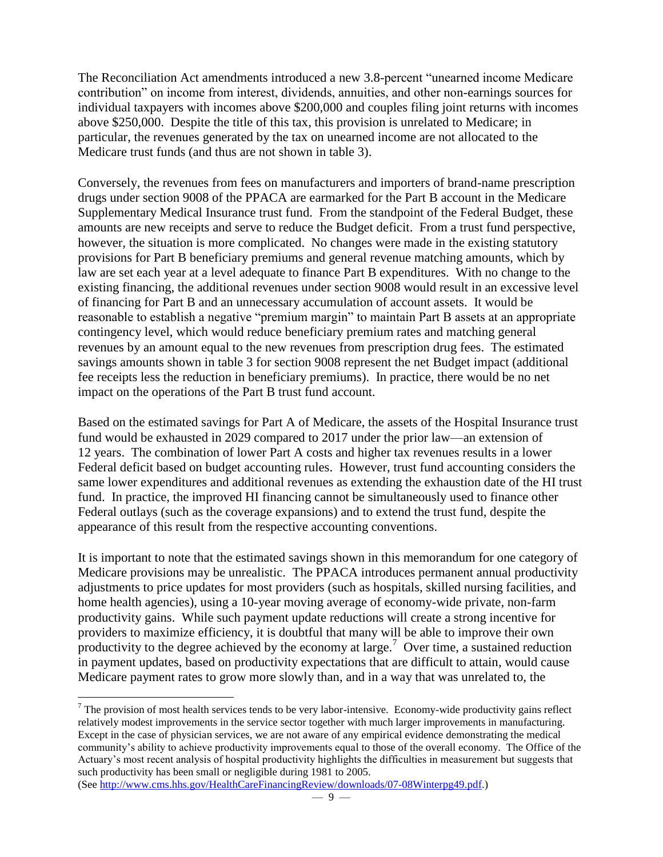The Reconciliation Act amendments introduced a new 3.8-percent "unearned income Medicare contribution" on income from interest, dividends, annuities, and other non-earnings sources for individual taxpayers with incomes above \$200,000 and couples filing joint returns with incomes above \$250,000. Despite the title of this tax, this provision is unrelated to Medicare; in particular, the revenues generated by the tax on unearned income are not allocated to the Medicare trust funds (and thus are not shown in table 3).

Conversely, the revenues from fees on manufacturers and importers of brand-name prescription drugs under section 9008 of the PPACA are earmarked for the Part B account in the Medicare Supplementary Medical Insurance trust fund. From the standpoint of the Federal Budget, these amounts are new receipts and serve to reduce the Budget deficit. From a trust fund perspective, however, the situation is more complicated. No changes were made in the existing statutory provisions for Part B beneficiary premiums and general revenue matching amounts, which by law are set each year at a level adequate to finance Part B expenditures. With no change to the existing financing, the additional revenues under section 9008 would result in an excessive level of financing for Part B and an unnecessary accumulation of account assets. It would be reasonable to establish a negative "premium margin" to maintain Part B assets at an appropriate contingency level, which would reduce beneficiary premium rates and matching general revenues by an amount equal to the new revenues from prescription drug fees. The estimated savings amounts shown in table 3 for section 9008 represent the net Budget impact (additional fee receipts less the reduction in beneficiary premiums). In practice, there would be no net impact on the operations of the Part B trust fund account.

Based on the estimated savings for Part A of Medicare, the assets of the Hospital Insurance trust fund would be exhausted in 2029 compared to 2017 under the prior law—an extension of 12 years. The combination of lower Part A costs and higher tax revenues results in a lower Federal deficit based on budget accounting rules. However, trust fund accounting considers the same lower expenditures and additional revenues as extending the exhaustion date of the HI trust fund. In practice, the improved HI financing cannot be simultaneously used to finance other Federal outlays (such as the coverage expansions) and to extend the trust fund, despite the appearance of this result from the respective accounting conventions.

It is important to note that the estimated savings shown in this memorandum for one category of Medicare provisions may be unrealistic. The PPACA introduces permanent annual productivity adjustments to price updates for most providers (such as hospitals, skilled nursing facilities, and home health agencies), using a 10-year moving average of economy-wide private, non-farm productivity gains. While such payment update reductions will create a strong incentive for providers to maximize efficiency, it is doubtful that many will be able to improve their own productivity to the degree achieved by the economy at large.<sup>7</sup> Over time, a sustained reduction in payment updates, based on productivity expectations that are difficult to attain, would cause Medicare payment rates to grow more slowly than, and in a way that was unrelated to, the

 $<sup>7</sup>$  The provision of most health services tends to be very labor-intensive. Economy-wide productivity gains reflect</sup> relatively modest improvements in the service sector together with much larger improvements in manufacturing. Except in the case of physician services, we are not aware of any empirical evidence demonstrating the medical community's ability to achieve productivity improvements equal to those of the overall economy. The Office of the Actuary's most recent analysis of hospital productivity highlights the difficulties in measurement but suggests that such productivity has been small or negligible during 1981 to 2005.

 $\overline{a}$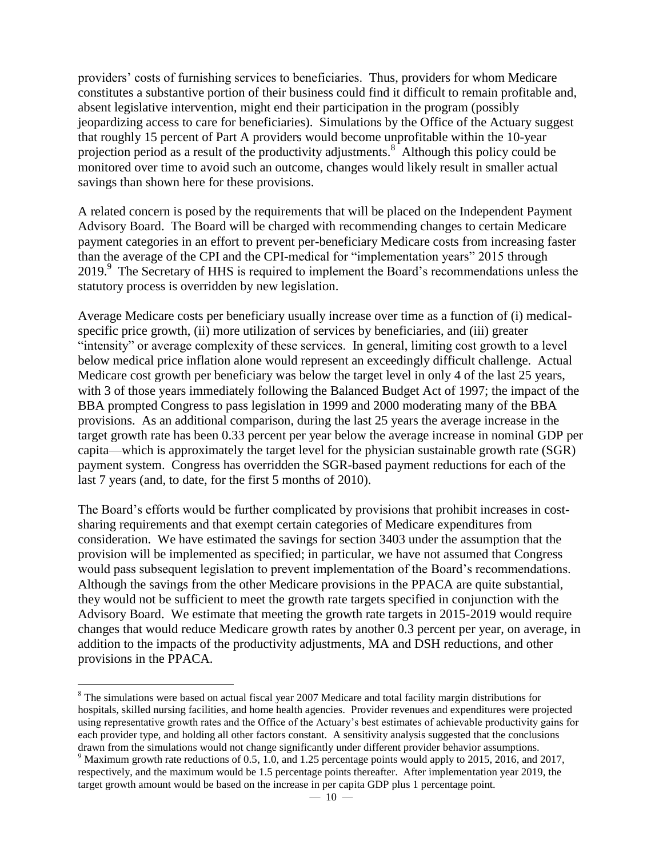providers' costs of furnishing services to beneficiaries. Thus, providers for whom Medicare constitutes a substantive portion of their business could find it difficult to remain profitable and, absent legislative intervention, might end their participation in the program (possibly jeopardizing access to care for beneficiaries). Simulations by the Office of the Actuary suggest that roughly 15 percent of Part A providers would become unprofitable within the 10-year projection period as a result of the productivity adjustments.<sup>8</sup> Although this policy could be monitored over time to avoid such an outcome, changes would likely result in smaller actual savings than shown here for these provisions.

A related concern is posed by the requirements that will be placed on the Independent Payment Advisory Board. The Board will be charged with recommending changes to certain Medicare payment categories in an effort to prevent per-beneficiary Medicare costs from increasing faster than the average of the CPI and the CPI-medical for "implementation years" 2015 through 2019.<sup>9</sup> The Secretary of HHS is required to implement the Board's recommendations unless the statutory process is overridden by new legislation.

Average Medicare costs per beneficiary usually increase over time as a function of (i) medicalspecific price growth, (ii) more utilization of services by beneficiaries, and (iii) greater "intensity" or average complexity of these services. In general, limiting cost growth to a level below medical price inflation alone would represent an exceedingly difficult challenge. Actual Medicare cost growth per beneficiary was below the target level in only 4 of the last 25 years, with 3 of those years immediately following the Balanced Budget Act of 1997; the impact of the BBA prompted Congress to pass legislation in 1999 and 2000 moderating many of the BBA provisions. As an additional comparison, during the last 25 years the average increase in the target growth rate has been 0.33 percent per year below the average increase in nominal GDP per capita—which is approximately the target level for the physician sustainable growth rate (SGR) payment system. Congress has overridden the SGR-based payment reductions for each of the last 7 years (and, to date, for the first 5 months of 2010).

The Board's efforts would be further complicated by provisions that prohibit increases in costsharing requirements and that exempt certain categories of Medicare expenditures from consideration. We have estimated the savings for section 3403 under the assumption that the provision will be implemented as specified; in particular, we have not assumed that Congress would pass subsequent legislation to prevent implementation of the Board's recommendations. Although the savings from the other Medicare provisions in the PPACA are quite substantial, they would not be sufficient to meet the growth rate targets specified in conjunction with the Advisory Board. We estimate that meeting the growth rate targets in 2015-2019 would require changes that would reduce Medicare growth rates by another 0.3 percent per year, on average, in addition to the impacts of the productivity adjustments, MA and DSH reductions, and other provisions in the PPACA.

 $\overline{a}$ 

<sup>&</sup>lt;sup>8</sup> The simulations were based on actual fiscal year 2007 Medicare and total facility margin distributions for hospitals, skilled nursing facilities, and home health agencies. Provider revenues and expenditures were projected using representative growth rates and the Office of the Actuary's best estimates of achievable productivity gains for each provider type, and holding all other factors constant. A sensitivity analysis suggested that the conclusions drawn from the simulations would not change significantly under different provider behavior assumptions.

<sup>&</sup>lt;sup>9</sup> Maximum growth rate reductions of 0.5, 1.0, and 1.25 percentage points would apply to 2015, 2016, and 2017, respectively, and the maximum would be 1.5 percentage points thereafter. After implementation year 2019, the target growth amount would be based on the increase in per capita GDP plus 1 percentage point.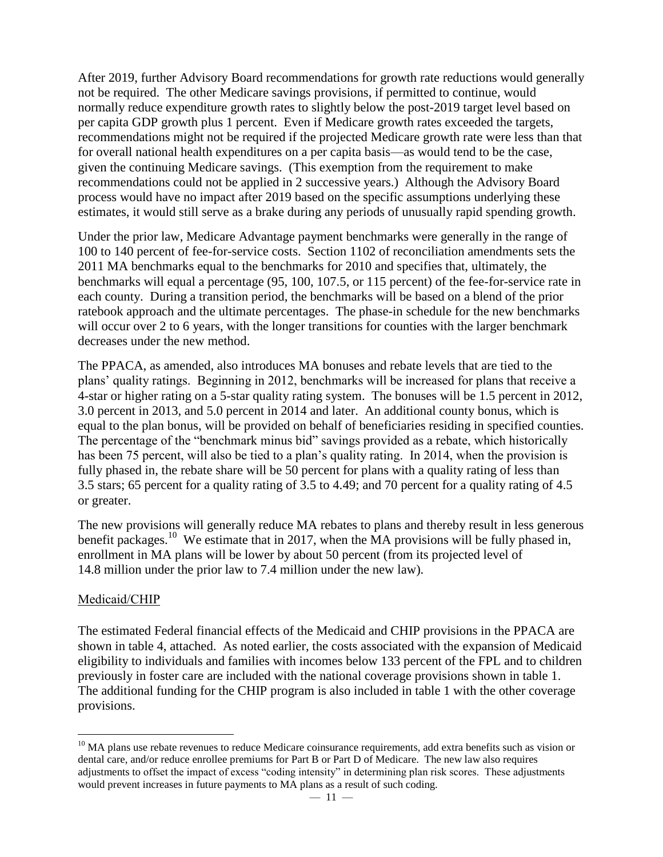After 2019, further Advisory Board recommendations for growth rate reductions would generally not be required. The other Medicare savings provisions, if permitted to continue, would normally reduce expenditure growth rates to slightly below the post-2019 target level based on per capita GDP growth plus 1 percent. Even if Medicare growth rates exceeded the targets, recommendations might not be required if the projected Medicare growth rate were less than that for overall national health expenditures on a per capita basis—as would tend to be the case, given the continuing Medicare savings. (This exemption from the requirement to make recommendations could not be applied in 2 successive years.) Although the Advisory Board process would have no impact after 2019 based on the specific assumptions underlying these estimates, it would still serve as a brake during any periods of unusually rapid spending growth.

Under the prior law, Medicare Advantage payment benchmarks were generally in the range of 100 to 140 percent of fee-for-service costs. Section 1102 of reconciliation amendments sets the 2011 MA benchmarks equal to the benchmarks for 2010 and specifies that, ultimately, the benchmarks will equal a percentage (95, 100, 107.5, or 115 percent) of the fee-for-service rate in each county. During a transition period, the benchmarks will be based on a blend of the prior ratebook approach and the ultimate percentages. The phase-in schedule for the new benchmarks will occur over 2 to 6 years, with the longer transitions for counties with the larger benchmark decreases under the new method.

The PPACA, as amended, also introduces MA bonuses and rebate levels that are tied to the plans' quality ratings. Beginning in 2012, benchmarks will be increased for plans that receive a 4-star or higher rating on a 5-star quality rating system. The bonuses will be 1.5 percent in 2012, 3.0 percent in 2013, and 5.0 percent in 2014 and later. An additional county bonus, which is equal to the plan bonus, will be provided on behalf of beneficiaries residing in specified counties. The percentage of the "benchmark minus bid" savings provided as a rebate, which historically has been 75 percent, will also be tied to a plan's quality rating. In 2014, when the provision is fully phased in, the rebate share will be 50 percent for plans with a quality rating of less than 3.5 stars; 65 percent for a quality rating of 3.5 to 4.49; and 70 percent for a quality rating of 4.5 or greater.

The new provisions will generally reduce MA rebates to plans and thereby result in less generous benefit packages.<sup>10</sup> We estimate that in 2017, when the MA provisions will be fully phased in, enrollment in MA plans will be lower by about 50 percent (from its projected level of 14.8 million under the prior law to 7.4 million under the new law).

# Medicaid/CHIP

 $\overline{a}$ 

The estimated Federal financial effects of the Medicaid and CHIP provisions in the PPACA are shown in table 4, attached. As noted earlier, the costs associated with the expansion of Medicaid eligibility to individuals and families with incomes below 133 percent of the FPL and to children previously in foster care are included with the national coverage provisions shown in table 1. The additional funding for the CHIP program is also included in table 1 with the other coverage provisions.

 $10$  MA plans use rebate revenues to reduce Medicare coinsurance requirements, add extra benefits such as vision or dental care, and/or reduce enrollee premiums for Part B or Part D of Medicare. The new law also requires adjustments to offset the impact of excess "coding intensity" in determining plan risk scores. These adjustments would prevent increases in future payments to MA plans as a result of such coding.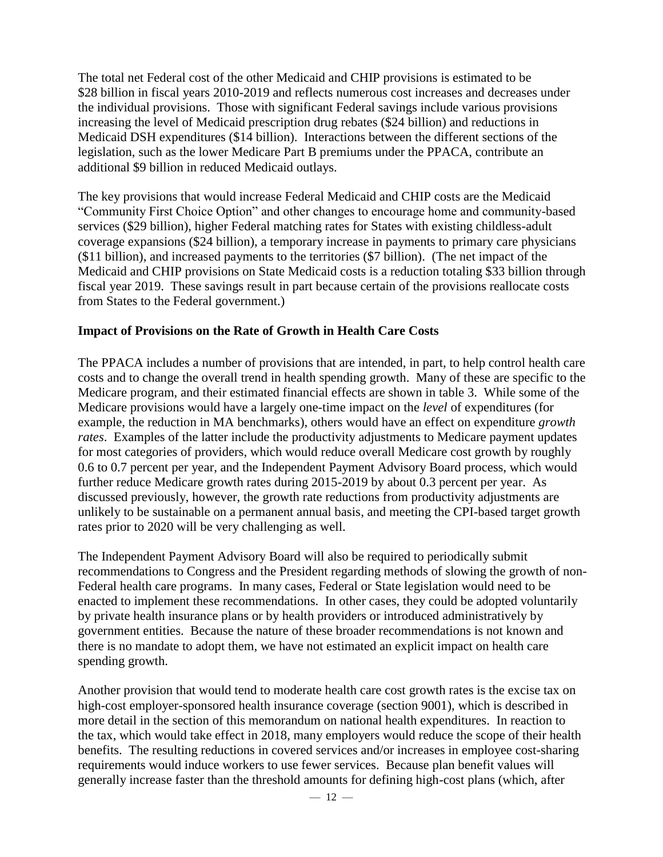The total net Federal cost of the other Medicaid and CHIP provisions is estimated to be \$28 billion in fiscal years 2010-2019 and reflects numerous cost increases and decreases under the individual provisions. Those with significant Federal savings include various provisions increasing the level of Medicaid prescription drug rebates (\$24 billion) and reductions in Medicaid DSH expenditures (\$14 billion). Interactions between the different sections of the legislation, such as the lower Medicare Part B premiums under the PPACA, contribute an additional \$9 billion in reduced Medicaid outlays.

The key provisions that would increase Federal Medicaid and CHIP costs are the Medicaid "Community First Choice Option" and other changes to encourage home and community-based services (\$29 billion), higher Federal matching rates for States with existing childless-adult coverage expansions (\$24 billion), a temporary increase in payments to primary care physicians (\$11 billion), and increased payments to the territories (\$7 billion). (The net impact of the Medicaid and CHIP provisions on State Medicaid costs is a reduction totaling \$33 billion through fiscal year 2019. These savings result in part because certain of the provisions reallocate costs from States to the Federal government.)

#### **Impact of Provisions on the Rate of Growth in Health Care Costs**

The PPACA includes a number of provisions that are intended, in part, to help control health care costs and to change the overall trend in health spending growth. Many of these are specific to the Medicare program, and their estimated financial effects are shown in table 3. While some of the Medicare provisions would have a largely one-time impact on the *level* of expenditures (for example, the reduction in MA benchmarks), others would have an effect on expenditure *growth rates*. Examples of the latter include the productivity adjustments to Medicare payment updates for most categories of providers, which would reduce overall Medicare cost growth by roughly 0.6 to 0.7 percent per year, and the Independent Payment Advisory Board process, which would further reduce Medicare growth rates during 2015-2019 by about 0.3 percent per year. As discussed previously, however, the growth rate reductions from productivity adjustments are unlikely to be sustainable on a permanent annual basis, and meeting the CPI-based target growth rates prior to 2020 will be very challenging as well.

The Independent Payment Advisory Board will also be required to periodically submit recommendations to Congress and the President regarding methods of slowing the growth of non-Federal health care programs. In many cases, Federal or State legislation would need to be enacted to implement these recommendations. In other cases, they could be adopted voluntarily by private health insurance plans or by health providers or introduced administratively by government entities. Because the nature of these broader recommendations is not known and there is no mandate to adopt them, we have not estimated an explicit impact on health care spending growth.

Another provision that would tend to moderate health care cost growth rates is the excise tax on high-cost employer-sponsored health insurance coverage (section 9001), which is described in more detail in the section of this memorandum on national health expenditures. In reaction to the tax, which would take effect in 2018, many employers would reduce the scope of their health benefits. The resulting reductions in covered services and/or increases in employee cost-sharing requirements would induce workers to use fewer services. Because plan benefit values will generally increase faster than the threshold amounts for defining high-cost plans (which, after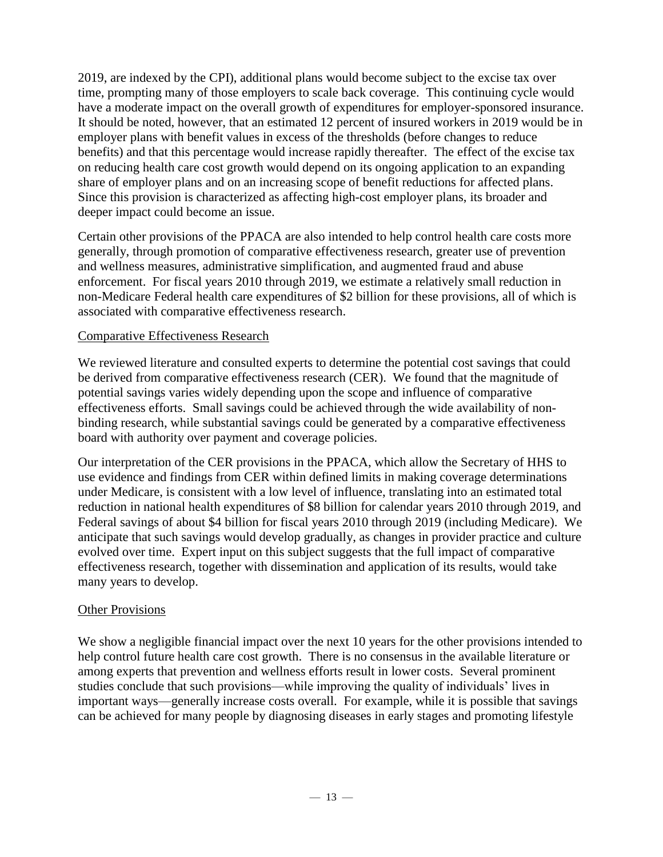2019, are indexed by the CPI), additional plans would become subject to the excise tax over time, prompting many of those employers to scale back coverage. This continuing cycle would have a moderate impact on the overall growth of expenditures for employer-sponsored insurance. It should be noted, however, that an estimated 12 percent of insured workers in 2019 would be in employer plans with benefit values in excess of the thresholds (before changes to reduce benefits) and that this percentage would increase rapidly thereafter. The effect of the excise tax on reducing health care cost growth would depend on its ongoing application to an expanding share of employer plans and on an increasing scope of benefit reductions for affected plans. Since this provision is characterized as affecting high-cost employer plans, its broader and deeper impact could become an issue.

Certain other provisions of the PPACA are also intended to help control health care costs more generally, through promotion of comparative effectiveness research, greater use of prevention and wellness measures, administrative simplification, and augmented fraud and abuse enforcement. For fiscal years 2010 through 2019, we estimate a relatively small reduction in non-Medicare Federal health care expenditures of \$2 billion for these provisions, all of which is associated with comparative effectiveness research.

# Comparative Effectiveness Research

We reviewed literature and consulted experts to determine the potential cost savings that could be derived from comparative effectiveness research (CER). We found that the magnitude of potential savings varies widely depending upon the scope and influence of comparative effectiveness efforts. Small savings could be achieved through the wide availability of nonbinding research, while substantial savings could be generated by a comparative effectiveness board with authority over payment and coverage policies.

Our interpretation of the CER provisions in the PPACA, which allow the Secretary of HHS to use evidence and findings from CER within defined limits in making coverage determinations under Medicare, is consistent with a low level of influence, translating into an estimated total reduction in national health expenditures of \$8 billion for calendar years 2010 through 2019, and Federal savings of about \$4 billion for fiscal years 2010 through 2019 (including Medicare). We anticipate that such savings would develop gradually, as changes in provider practice and culture evolved over time. Expert input on this subject suggests that the full impact of comparative effectiveness research, together with dissemination and application of its results, would take many years to develop.

# Other Provisions

We show a negligible financial impact over the next 10 years for the other provisions intended to help control future health care cost growth. There is no consensus in the available literature or among experts that prevention and wellness efforts result in lower costs. Several prominent studies conclude that such provisions—while improving the quality of individuals' lives in important ways—generally increase costs overall. For example, while it is possible that savings can be achieved for many people by diagnosing diseases in early stages and promoting lifestyle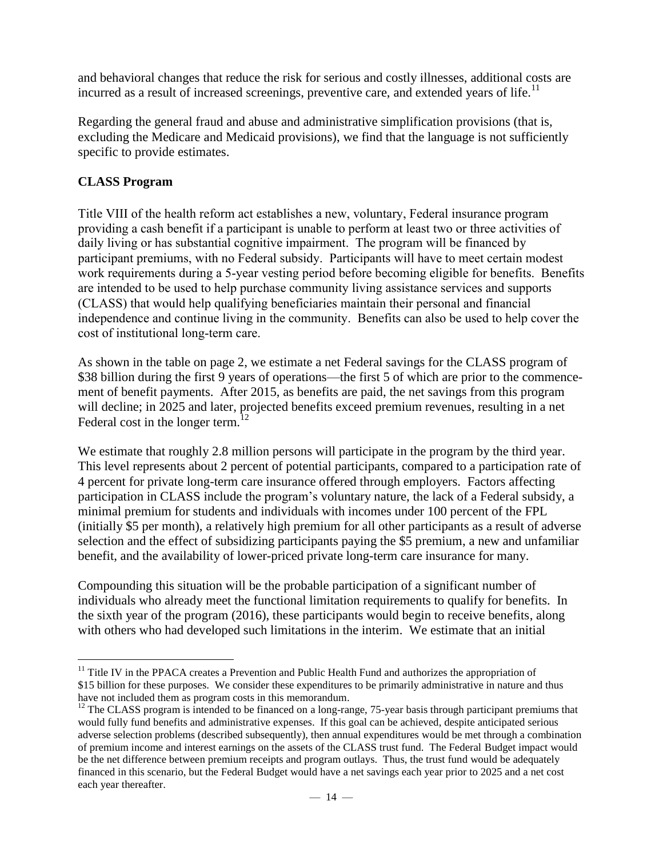and behavioral changes that reduce the risk for serious and costly illnesses, additional costs are incurred as a result of increased screenings, preventive care, and extended years of life.<sup>11</sup>

Regarding the general fraud and abuse and administrative simplification provisions (that is, excluding the Medicare and Medicaid provisions), we find that the language is not sufficiently specific to provide estimates.

# **CLASS Program**

Title VIII of the health reform act establishes a new, voluntary, Federal insurance program providing a cash benefit if a participant is unable to perform at least two or three activities of daily living or has substantial cognitive impairment. The program will be financed by participant premiums, with no Federal subsidy. Participants will have to meet certain modest work requirements during a 5-year vesting period before becoming eligible for benefits. Benefits are intended to be used to help purchase community living assistance services and supports (CLASS) that would help qualifying beneficiaries maintain their personal and financial independence and continue living in the community. Benefits can also be used to help cover the cost of institutional long-term care.

As shown in the table on page 2, we estimate a net Federal savings for the CLASS program of \$38 billion during the first 9 years of operations—the first 5 of which are prior to the commencement of benefit payments. After 2015, as benefits are paid, the net savings from this program will decline; in 2025 and later, projected benefits exceed premium revenues, resulting in a net Federal cost in the longer term.<sup>12</sup>

We estimate that roughly 2.8 million persons will participate in the program by the third year. This level represents about 2 percent of potential participants, compared to a participation rate of 4 percent for private long-term care insurance offered through employers. Factors affecting participation in CLASS include the program's voluntary nature, the lack of a Federal subsidy, a minimal premium for students and individuals with incomes under 100 percent of the FPL (initially \$5 per month), a relatively high premium for all other participants as a result of adverse selection and the effect of subsidizing participants paying the \$5 premium, a new and unfamiliar benefit, and the availability of lower-priced private long-term care insurance for many.

Compounding this situation will be the probable participation of a significant number of individuals who already meet the functional limitation requirements to qualify for benefits. In the sixth year of the program (2016), these participants would begin to receive benefits, along with others who had developed such limitations in the interim. We estimate that an initial

 $\overline{a}$ <sup>11</sup> Title IV in the PPACA creates a Prevention and Public Health Fund and authorizes the appropriation of \$15 billion for these purposes. We consider these expenditures to be primarily administrative in nature and thus have not included them as program costs in this memorandum.

 $12$  The CLASS program is intended to be financed on a long-range, 75-year basis through participant premiums that would fully fund benefits and administrative expenses. If this goal can be achieved, despite anticipated serious adverse selection problems (described subsequently), then annual expenditures would be met through a combination of premium income and interest earnings on the assets of the CLASS trust fund. The Federal Budget impact would be the net difference between premium receipts and program outlays. Thus, the trust fund would be adequately financed in this scenario, but the Federal Budget would have a net savings each year prior to 2025 and a net cost each year thereafter.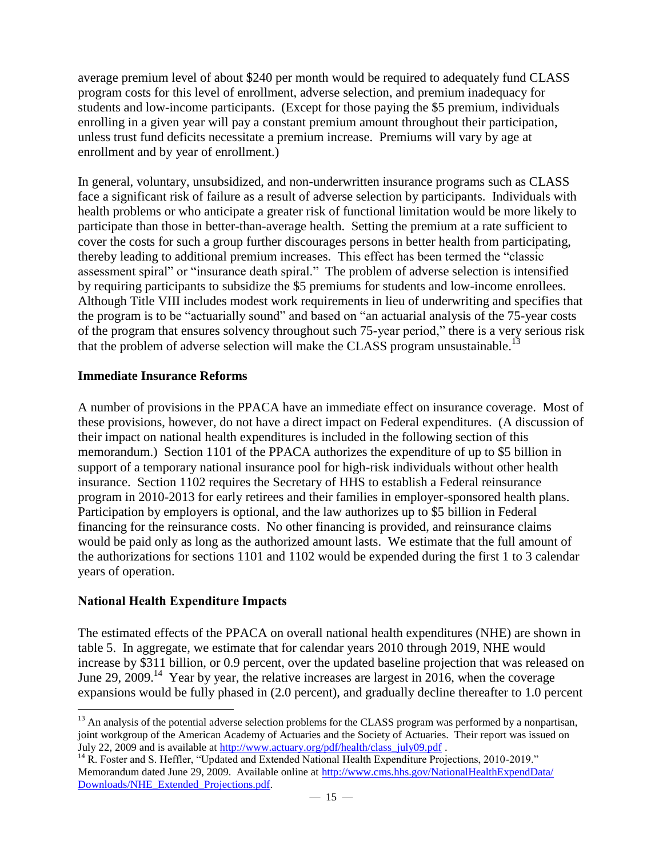average premium level of about \$240 per month would be required to adequately fund CLASS program costs for this level of enrollment, adverse selection, and premium inadequacy for students and low-income participants. (Except for those paying the \$5 premium, individuals enrolling in a given year will pay a constant premium amount throughout their participation, unless trust fund deficits necessitate a premium increase. Premiums will vary by age at enrollment and by year of enrollment.)

In general, voluntary, unsubsidized, and non-underwritten insurance programs such as CLASS face a significant risk of failure as a result of adverse selection by participants. Individuals with health problems or who anticipate a greater risk of functional limitation would be more likely to participate than those in better-than-average health. Setting the premium at a rate sufficient to cover the costs for such a group further discourages persons in better health from participating, thereby leading to additional premium increases. This effect has been termed the "classic assessment spiral" or "insurance death spiral." The problem of adverse selection is intensified by requiring participants to subsidize the \$5 premiums for students and low-income enrollees. Although Title VIII includes modest work requirements in lieu of underwriting and specifies that the program is to be "actuarially sound" and based on "an actuarial analysis of the 75-year costs of the program that ensures solvency throughout such 75-year period," there is a very serious risk that the problem of adverse selection will make the CLASS program unsustainable.<sup>13</sup>

# **Immediate Insurance Reforms**

A number of provisions in the PPACA have an immediate effect on insurance coverage. Most of these provisions, however, do not have a direct impact on Federal expenditures. (A discussion of their impact on national health expenditures is included in the following section of this memorandum.) Section 1101 of the PPACA authorizes the expenditure of up to \$5 billion in support of a temporary national insurance pool for high-risk individuals without other health insurance. Section 1102 requires the Secretary of HHS to establish a Federal reinsurance program in 2010-2013 for early retirees and their families in employer-sponsored health plans. Participation by employers is optional, and the law authorizes up to \$5 billion in Federal financing for the reinsurance costs. No other financing is provided, and reinsurance claims would be paid only as long as the authorized amount lasts. We estimate that the full amount of the authorizations for sections 1101 and 1102 would be expended during the first 1 to 3 calendar years of operation.

# **National Health Expenditure Impacts**

The estimated effects of the PPACA on overall national health expenditures (NHE) are shown in table 5. In aggregate, we estimate that for calendar years 2010 through 2019, NHE would increase by \$311 billion, or 0.9 percent, over the updated baseline projection that was released on June 29, 2009.<sup>14</sup> Year by year, the relative increases are largest in 2016, when the coverage expansions would be fully phased in (2.0 percent), and gradually decline thereafter to 1.0 percent

 $\overline{a}$  $<sup>13</sup>$  An analysis of the potential adverse selection problems for the CLASS program was performed by a nonpartisan,</sup> joint workgroup of the American Academy of Actuaries and the Society of Actuaries. Their report was issued on July 22, 2009 and is available at [http://www.actuary.org/pdf/health/class\\_july09.pdf](http://www.actuary.org/pdf/health/class_july09.pdf) .

<sup>&</sup>lt;sup>14</sup> R. Foster and S. Heffler, "Updated and Extended National Health Expenditure Projections, 2010-2019." Memorandum dated June 29, 2009. Available online at [http://www.cms.hhs.gov/NationalHealthExpendData/](http://www.cms.hhs.gov/NationalHealthExpendData/Downloads/NHE_Extended_Projections.pdf) [Downloads/NHE\\_Extended\\_Projections.pdf.](http://www.cms.hhs.gov/NationalHealthExpendData/Downloads/NHE_Extended_Projections.pdf)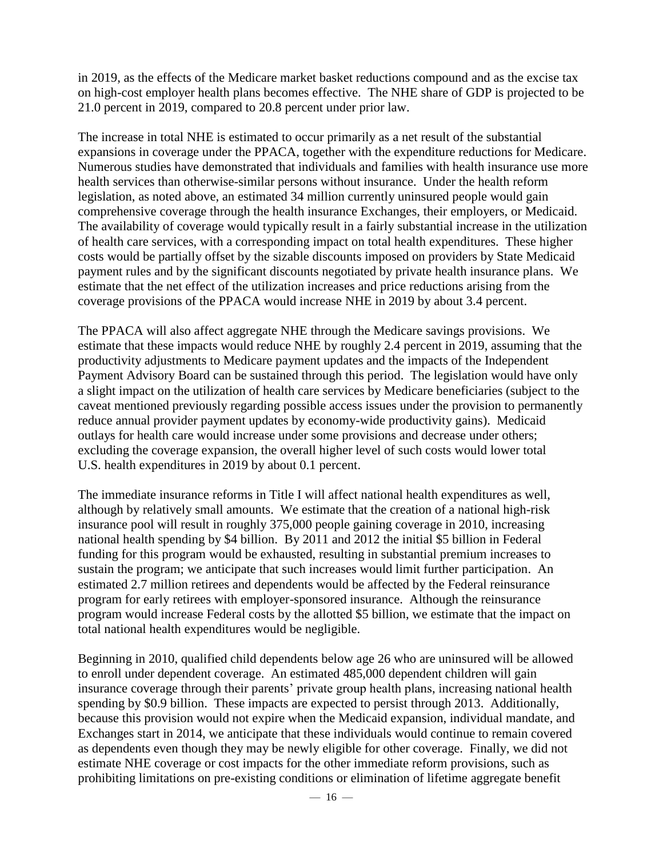in 2019, as the effects of the Medicare market basket reductions compound and as the excise tax on high-cost employer health plans becomes effective. The NHE share of GDP is projected to be 21.0 percent in 2019, compared to 20.8 percent under prior law.

The increase in total NHE is estimated to occur primarily as a net result of the substantial expansions in coverage under the PPACA, together with the expenditure reductions for Medicare. Numerous studies have demonstrated that individuals and families with health insurance use more health services than otherwise-similar persons without insurance. Under the health reform legislation, as noted above, an estimated 34 million currently uninsured people would gain comprehensive coverage through the health insurance Exchanges, their employers, or Medicaid. The availability of coverage would typically result in a fairly substantial increase in the utilization of health care services, with a corresponding impact on total health expenditures. These higher costs would be partially offset by the sizable discounts imposed on providers by State Medicaid payment rules and by the significant discounts negotiated by private health insurance plans. We estimate that the net effect of the utilization increases and price reductions arising from the coverage provisions of the PPACA would increase NHE in 2019 by about 3.4 percent.

The PPACA will also affect aggregate NHE through the Medicare savings provisions. We estimate that these impacts would reduce NHE by roughly 2.4 percent in 2019, assuming that the productivity adjustments to Medicare payment updates and the impacts of the Independent Payment Advisory Board can be sustained through this period. The legislation would have only a slight impact on the utilization of health care services by Medicare beneficiaries (subject to the caveat mentioned previously regarding possible access issues under the provision to permanently reduce annual provider payment updates by economy-wide productivity gains). Medicaid outlays for health care would increase under some provisions and decrease under others; excluding the coverage expansion, the overall higher level of such costs would lower total U.S. health expenditures in 2019 by about 0.1 percent.

The immediate insurance reforms in Title I will affect national health expenditures as well, although by relatively small amounts. We estimate that the creation of a national high-risk insurance pool will result in roughly 375,000 people gaining coverage in 2010, increasing national health spending by \$4 billion. By 2011 and 2012 the initial \$5 billion in Federal funding for this program would be exhausted, resulting in substantial premium increases to sustain the program; we anticipate that such increases would limit further participation. An estimated 2.7 million retirees and dependents would be affected by the Federal reinsurance program for early retirees with employer-sponsored insurance. Although the reinsurance program would increase Federal costs by the allotted \$5 billion, we estimate that the impact on total national health expenditures would be negligible.

Beginning in 2010, qualified child dependents below age 26 who are uninsured will be allowed to enroll under dependent coverage. An estimated 485,000 dependent children will gain insurance coverage through their parents' private group health plans, increasing national health spending by \$0.9 billion. These impacts are expected to persist through 2013. Additionally, because this provision would not expire when the Medicaid expansion, individual mandate, and Exchanges start in 2014, we anticipate that these individuals would continue to remain covered as dependents even though they may be newly eligible for other coverage. Finally, we did not estimate NHE coverage or cost impacts for the other immediate reform provisions, such as prohibiting limitations on pre-existing conditions or elimination of lifetime aggregate benefit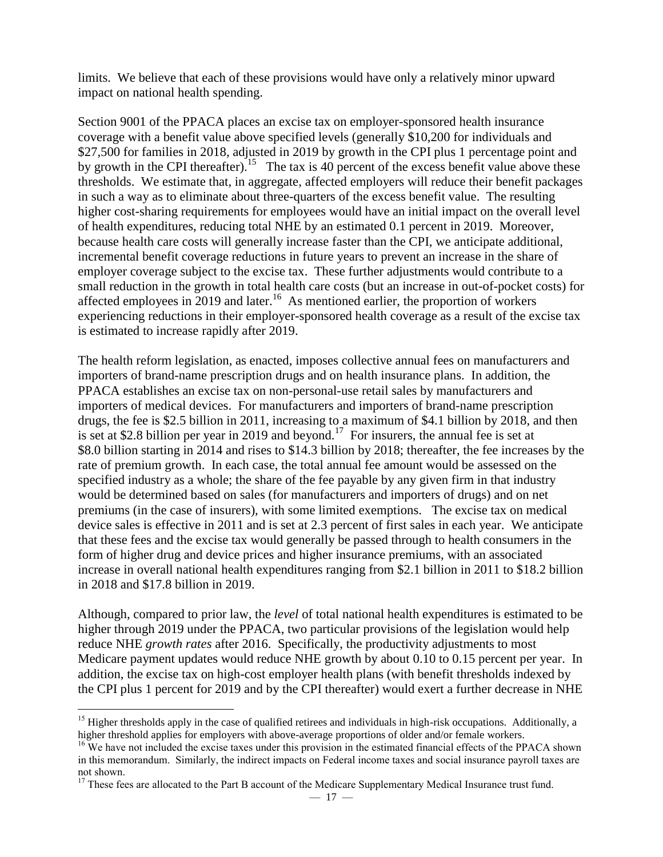limits. We believe that each of these provisions would have only a relatively minor upward impact on national health spending.

Section 9001 of the PPACA places an excise tax on employer-sponsored health insurance coverage with a benefit value above specified levels (generally \$10,200 for individuals and \$27,500 for families in 2018, adjusted in 2019 by growth in the CPI plus 1 percentage point and by growth in the CPI thereafter).<sup>15</sup> The tax is 40 percent of the excess benefit value above these thresholds. We estimate that, in aggregate, affected employers will reduce their benefit packages in such a way as to eliminate about three-quarters of the excess benefit value. The resulting higher cost-sharing requirements for employees would have an initial impact on the overall level of health expenditures, reducing total NHE by an estimated 0.1 percent in 2019. Moreover, because health care costs will generally increase faster than the CPI, we anticipate additional, incremental benefit coverage reductions in future years to prevent an increase in the share of employer coverage subject to the excise tax. These further adjustments would contribute to a small reduction in the growth in total health care costs (but an increase in out-of-pocket costs) for affected employees in 2019 and later.<sup>16</sup> As mentioned earlier, the proportion of workers experiencing reductions in their employer-sponsored health coverage as a result of the excise tax is estimated to increase rapidly after 2019.

The health reform legislation, as enacted, imposes collective annual fees on manufacturers and importers of brand-name prescription drugs and on health insurance plans. In addition, the PPACA establishes an excise tax on non-personal-use retail sales by manufacturers and importers of medical devices. For manufacturers and importers of brand-name prescription drugs, the fee is \$2.5 billion in 2011, increasing to a maximum of \$4.1 billion by 2018, and then is set at \$2.8 billion per year in 2019 and beyond.<sup>17</sup> For insurers, the annual fee is set at \$8.0 billion starting in 2014 and rises to \$14.3 billion by 2018; thereafter, the fee increases by the rate of premium growth. In each case, the total annual fee amount would be assessed on the specified industry as a whole; the share of the fee payable by any given firm in that industry would be determined based on sales (for manufacturers and importers of drugs) and on net premiums (in the case of insurers), with some limited exemptions. The excise tax on medical device sales is effective in 2011 and is set at 2.3 percent of first sales in each year. We anticipate that these fees and the excise tax would generally be passed through to health consumers in the form of higher drug and device prices and higher insurance premiums, with an associated increase in overall national health expenditures ranging from \$2.1 billion in 2011 to \$18.2 billion in 2018 and \$17.8 billion in 2019.

Although, compared to prior law, the *level* of total national health expenditures is estimated to be higher through 2019 under the PPACA, two particular provisions of the legislation would help reduce NHE *growth rates* after 2016. Specifically, the productivity adjustments to most Medicare payment updates would reduce NHE growth by about 0.10 to 0.15 percent per year. In addition, the excise tax on high-cost employer health plans (with benefit thresholds indexed by the CPI plus 1 percent for 2019 and by the CPI thereafter) would exert a further decrease in NHE

 $\overline{a}$ 

 $15$  Higher thresholds apply in the case of qualified retirees and individuals in high-risk occupations. Additionally, a higher threshold applies for employers with above-average proportions of older and/or female workers.

<sup>&</sup>lt;sup>16</sup> We have not included the excise taxes under this provision in the estimated financial effects of the PPACA shown in this memorandum. Similarly, the indirect impacts on Federal income taxes and social insurance payroll taxes are not shown.

<sup>&</sup>lt;sup>17</sup> These fees are allocated to the Part B account of the Medicare Supplementary Medical Insurance trust fund.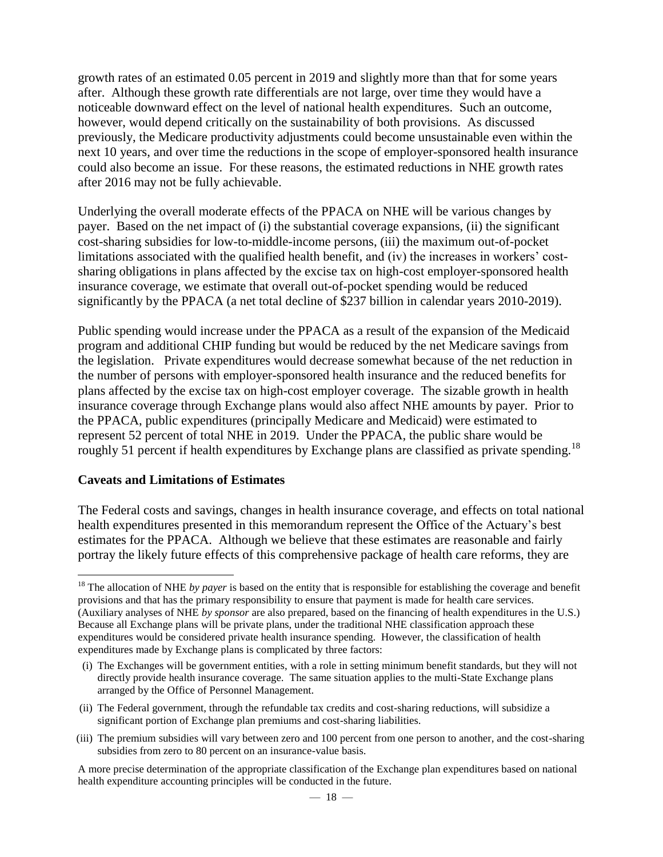growth rates of an estimated 0.05 percent in 2019 and slightly more than that for some years after. Although these growth rate differentials are not large, over time they would have a noticeable downward effect on the level of national health expenditures. Such an outcome, however, would depend critically on the sustainability of both provisions. As discussed previously, the Medicare productivity adjustments could become unsustainable even within the next 10 years, and over time the reductions in the scope of employer-sponsored health insurance could also become an issue. For these reasons, the estimated reductions in NHE growth rates after 2016 may not be fully achievable.

Underlying the overall moderate effects of the PPACA on NHE will be various changes by payer. Based on the net impact of (i) the substantial coverage expansions, (ii) the significant cost-sharing subsidies for low-to-middle-income persons, (iii) the maximum out-of-pocket limitations associated with the qualified health benefit, and (iv) the increases in workers' costsharing obligations in plans affected by the excise tax on high-cost employer-sponsored health insurance coverage, we estimate that overall out-of-pocket spending would be reduced significantly by the PPACA (a net total decline of \$237 billion in calendar years 2010-2019).

Public spending would increase under the PPACA as a result of the expansion of the Medicaid program and additional CHIP funding but would be reduced by the net Medicare savings from the legislation. Private expenditures would decrease somewhat because of the net reduction in the number of persons with employer-sponsored health insurance and the reduced benefits for plans affected by the excise tax on high-cost employer coverage. The sizable growth in health insurance coverage through Exchange plans would also affect NHE amounts by payer. Prior to the PPACA, public expenditures (principally Medicare and Medicaid) were estimated to represent 52 percent of total NHE in 2019. Under the PPACA, the public share would be roughly 51 percent if health expenditures by Exchange plans are classified as private spending.<sup>18</sup>

#### **Caveats and Limitations of Estimates**

The Federal costs and savings, changes in health insurance coverage, and effects on total national health expenditures presented in this memorandum represent the Office of the Actuary's best estimates for the PPACA. Although we believe that these estimates are reasonable and fairly portray the likely future effects of this comprehensive package of health care reforms, they are

(iii) The premium subsidies will vary between zero and 100 percent from one person to another, and the cost-sharing subsidies from zero to 80 percent on an insurance-value basis.

 $\overline{a}$ <sup>18</sup> The allocation of NHE *by payer* is based on the entity that is responsible for establishing the coverage and benefit provisions and that has the primary responsibility to ensure that payment is made for health care services. (Auxiliary analyses of NHE *by sponsor* are also prepared, based on the financing of health expenditures in the U.S.) Because all Exchange plans will be private plans, under the traditional NHE classification approach these expenditures would be considered private health insurance spending. However, the classification of health expenditures made by Exchange plans is complicated by three factors:

<sup>(</sup>i) The Exchanges will be government entities, with a role in setting minimum benefit standards, but they will not directly provide health insurance coverage. The same situation applies to the multi-State Exchange plans arranged by the Office of Personnel Management.

<sup>(</sup>ii) The Federal government, through the refundable tax credits and cost-sharing reductions, will subsidize a significant portion of Exchange plan premiums and cost-sharing liabilities.

A more precise determination of the appropriate classification of the Exchange plan expenditures based on national health expenditure accounting principles will be conducted in the future.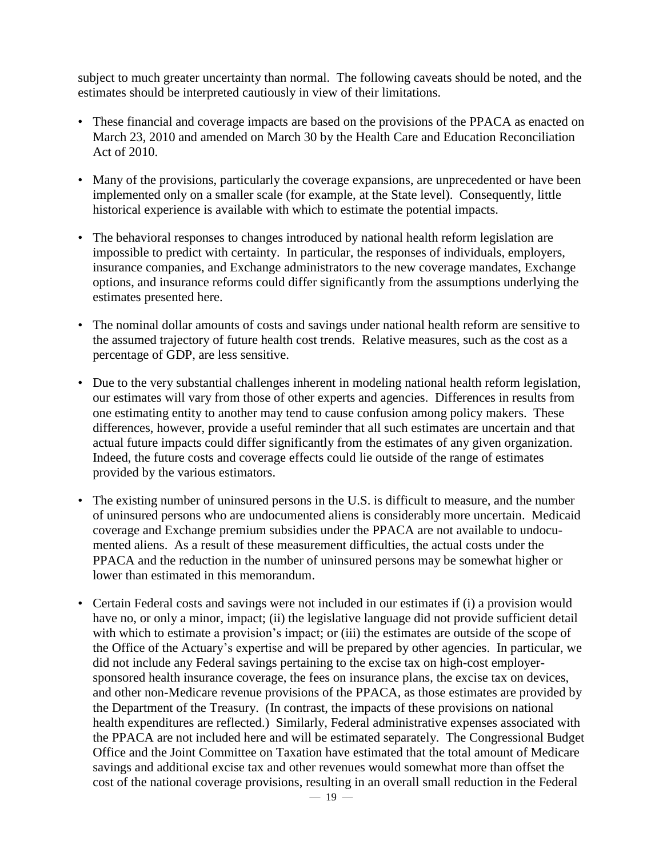subject to much greater uncertainty than normal. The following caveats should be noted, and the estimates should be interpreted cautiously in view of their limitations.

- These financial and coverage impacts are based on the provisions of the PPACA as enacted on March 23, 2010 and amended on March 30 by the Health Care and Education Reconciliation Act of 2010.
- Many of the provisions, particularly the coverage expansions, are unprecedented or have been implemented only on a smaller scale (for example, at the State level). Consequently, little historical experience is available with which to estimate the potential impacts.
- The behavioral responses to changes introduced by national health reform legislation are impossible to predict with certainty. In particular, the responses of individuals, employers, insurance companies, and Exchange administrators to the new coverage mandates, Exchange options, and insurance reforms could differ significantly from the assumptions underlying the estimates presented here.
- The nominal dollar amounts of costs and savings under national health reform are sensitive to the assumed trajectory of future health cost trends. Relative measures, such as the cost as a percentage of GDP, are less sensitive.
- Due to the very substantial challenges inherent in modeling national health reform legislation, our estimates will vary from those of other experts and agencies. Differences in results from one estimating entity to another may tend to cause confusion among policy makers. These differences, however, provide a useful reminder that all such estimates are uncertain and that actual future impacts could differ significantly from the estimates of any given organization. Indeed, the future costs and coverage effects could lie outside of the range of estimates provided by the various estimators.
- The existing number of uninsured persons in the U.S. is difficult to measure, and the number of uninsured persons who are undocumented aliens is considerably more uncertain. Medicaid coverage and Exchange premium subsidies under the PPACA are not available to undocumented aliens. As a result of these measurement difficulties, the actual costs under the PPACA and the reduction in the number of uninsured persons may be somewhat higher or lower than estimated in this memorandum.
- Certain Federal costs and savings were not included in our estimates if (i) a provision would have no, or only a minor, impact; (ii) the legislative language did not provide sufficient detail with which to estimate a provision's impact; or (iii) the estimates are outside of the scope of the Office of the Actuary's expertise and will be prepared by other agencies. In particular, we did not include any Federal savings pertaining to the excise tax on high-cost employersponsored health insurance coverage, the fees on insurance plans, the excise tax on devices, and other non-Medicare revenue provisions of the PPACA, as those estimates are provided by the Department of the Treasury. (In contrast, the impacts of these provisions on national health expenditures are reflected.) Similarly, Federal administrative expenses associated with the PPACA are not included here and will be estimated separately. The Congressional Budget Office and the Joint Committee on Taxation have estimated that the total amount of Medicare savings and additional excise tax and other revenues would somewhat more than offset the cost of the national coverage provisions, resulting in an overall small reduction in the Federal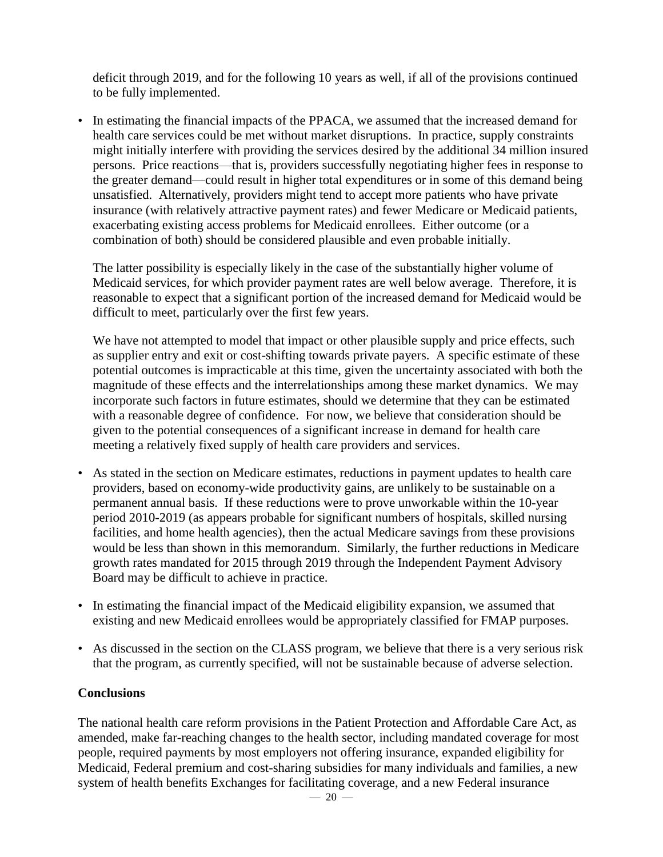deficit through 2019, and for the following 10 years as well, if all of the provisions continued to be fully implemented.

• In estimating the financial impacts of the PPACA, we assumed that the increased demand for health care services could be met without market disruptions. In practice, supply constraints might initially interfere with providing the services desired by the additional 34 million insured persons. Price reactions—that is, providers successfully negotiating higher fees in response to the greater demand—could result in higher total expenditures or in some of this demand being unsatisfied. Alternatively, providers might tend to accept more patients who have private insurance (with relatively attractive payment rates) and fewer Medicare or Medicaid patients, exacerbating existing access problems for Medicaid enrollees. Either outcome (or a combination of both) should be considered plausible and even probable initially.

The latter possibility is especially likely in the case of the substantially higher volume of Medicaid services, for which provider payment rates are well below average. Therefore, it is reasonable to expect that a significant portion of the increased demand for Medicaid would be difficult to meet, particularly over the first few years.

We have not attempted to model that impact or other plausible supply and price effects, such as supplier entry and exit or cost-shifting towards private payers. A specific estimate of these potential outcomes is impracticable at this time, given the uncertainty associated with both the magnitude of these effects and the interrelationships among these market dynamics. We may incorporate such factors in future estimates, should we determine that they can be estimated with a reasonable degree of confidence. For now, we believe that consideration should be given to the potential consequences of a significant increase in demand for health care meeting a relatively fixed supply of health care providers and services.

- As stated in the section on Medicare estimates, reductions in payment updates to health care providers, based on economy-wide productivity gains, are unlikely to be sustainable on a permanent annual basis. If these reductions were to prove unworkable within the 10-year period 2010-2019 (as appears probable for significant numbers of hospitals, skilled nursing facilities, and home health agencies), then the actual Medicare savings from these provisions would be less than shown in this memorandum. Similarly, the further reductions in Medicare growth rates mandated for 2015 through 2019 through the Independent Payment Advisory Board may be difficult to achieve in practice.
- In estimating the financial impact of the Medicaid eligibility expansion, we assumed that existing and new Medicaid enrollees would be appropriately classified for FMAP purposes.
- As discussed in the section on the CLASS program, we believe that there is a very serious risk that the program, as currently specified, will not be sustainable because of adverse selection.

# **Conclusions**

The national health care reform provisions in the Patient Protection and Affordable Care Act, as amended, make far-reaching changes to the health sector, including mandated coverage for most people, required payments by most employers not offering insurance, expanded eligibility for Medicaid, Federal premium and cost-sharing subsidies for many individuals and families, a new system of health benefits Exchanges for facilitating coverage, and a new Federal insurance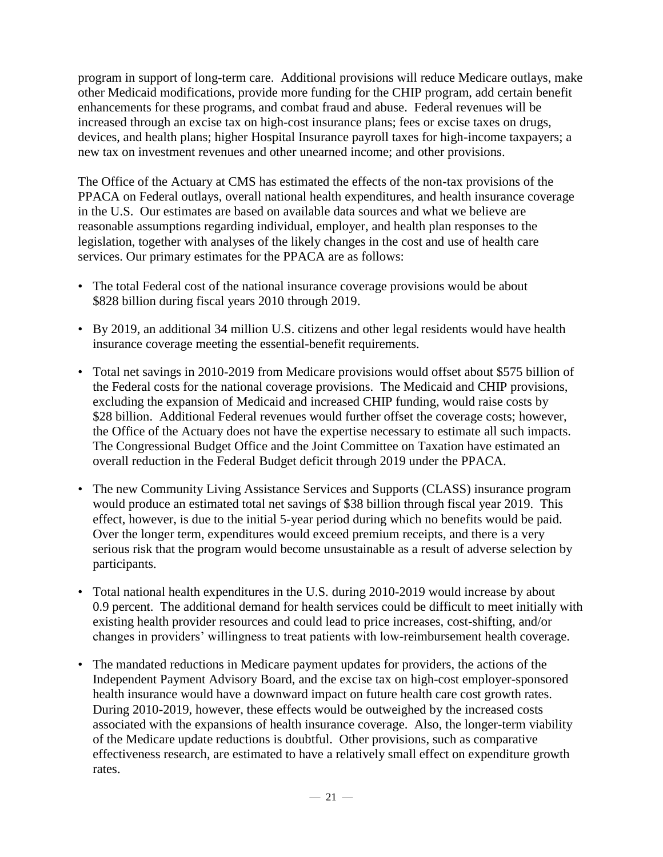program in support of long-term care. Additional provisions will reduce Medicare outlays, make other Medicaid modifications, provide more funding for the CHIP program, add certain benefit enhancements for these programs, and combat fraud and abuse. Federal revenues will be increased through an excise tax on high-cost insurance plans; fees or excise taxes on drugs, devices, and health plans; higher Hospital Insurance payroll taxes for high-income taxpayers; a new tax on investment revenues and other unearned income; and other provisions.

The Office of the Actuary at CMS has estimated the effects of the non-tax provisions of the PPACA on Federal outlays, overall national health expenditures, and health insurance coverage in the U.S. Our estimates are based on available data sources and what we believe are reasonable assumptions regarding individual, employer, and health plan responses to the legislation, together with analyses of the likely changes in the cost and use of health care services. Our primary estimates for the PPACA are as follows:

- The total Federal cost of the national insurance coverage provisions would be about \$828 billion during fiscal years 2010 through 2019.
- By 2019, an additional 34 million U.S. citizens and other legal residents would have health insurance coverage meeting the essential-benefit requirements.
- Total net savings in 2010-2019 from Medicare provisions would offset about \$575 billion of the Federal costs for the national coverage provisions. The Medicaid and CHIP provisions, excluding the expansion of Medicaid and increased CHIP funding, would raise costs by \$28 billion. Additional Federal revenues would further offset the coverage costs; however, the Office of the Actuary does not have the expertise necessary to estimate all such impacts. The Congressional Budget Office and the Joint Committee on Taxation have estimated an overall reduction in the Federal Budget deficit through 2019 under the PPACA.
- The new Community Living Assistance Services and Supports (CLASS) insurance program would produce an estimated total net savings of \$38 billion through fiscal year 2019. This effect, however, is due to the initial 5-year period during which no benefits would be paid. Over the longer term, expenditures would exceed premium receipts, and there is a very serious risk that the program would become unsustainable as a result of adverse selection by participants.
- Total national health expenditures in the U.S. during 2010-2019 would increase by about 0.9 percent. The additional demand for health services could be difficult to meet initially with existing health provider resources and could lead to price increases, cost-shifting, and/or changes in providers' willingness to treat patients with low-reimbursement health coverage.
- The mandated reductions in Medicare payment updates for providers, the actions of the Independent Payment Advisory Board, and the excise tax on high-cost employer-sponsored health insurance would have a downward impact on future health care cost growth rates. During 2010-2019, however, these effects would be outweighed by the increased costs associated with the expansions of health insurance coverage. Also, the longer-term viability of the Medicare update reductions is doubtful. Other provisions, such as comparative effectiveness research, are estimated to have a relatively small effect on expenditure growth rates.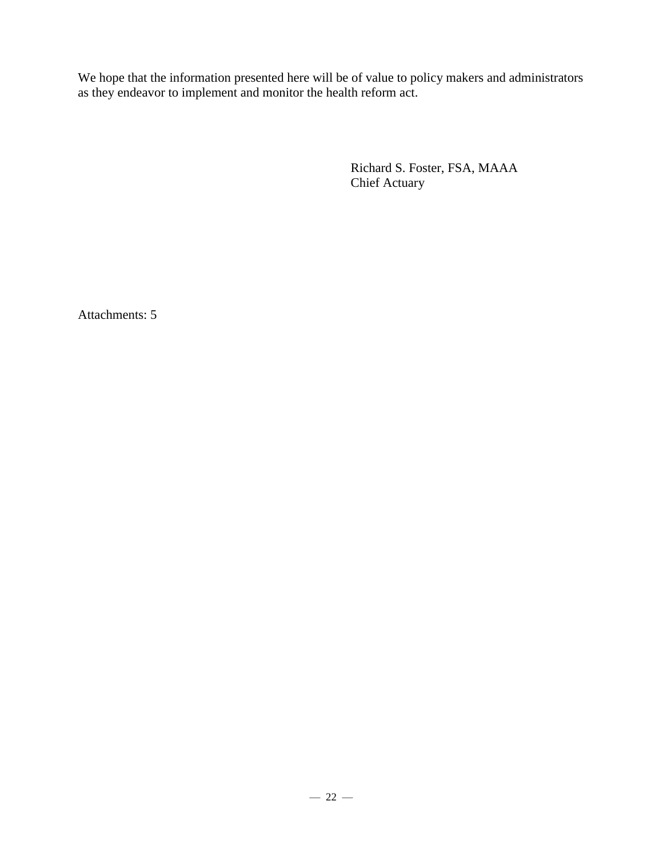We hope that the information presented here will be of value to policy makers and administrators as they endeavor to implement and monitor the health reform act.

> Richard S. Foster, FSA, MAAA Chief Actuary

Attachments: 5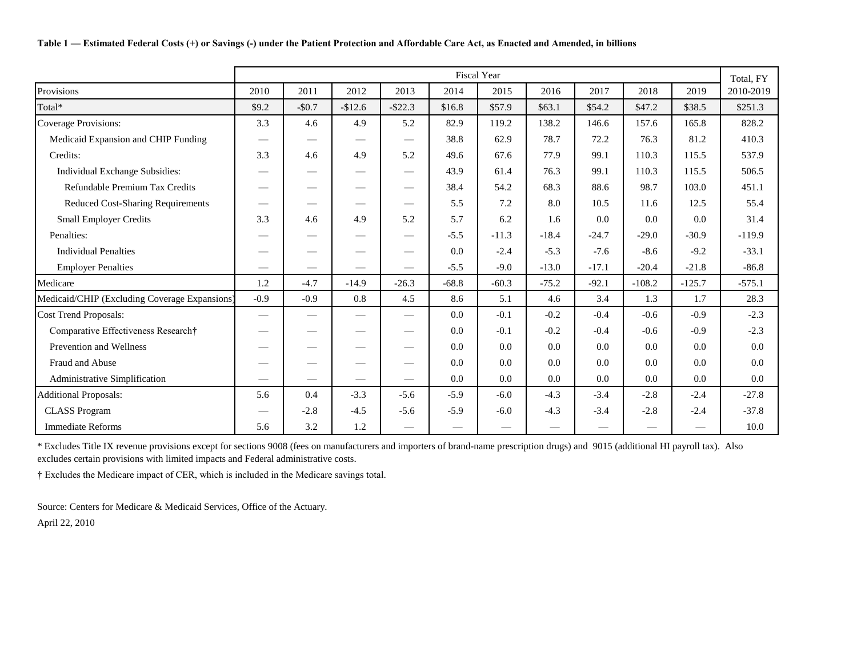|                                               | <b>Fiscal Year</b><br>Total, FY<br>2010<br>2013<br>2014<br>2015<br>2016 |                 |          |                                 |         |         |         |         |          |          |           |  |  |
|-----------------------------------------------|-------------------------------------------------------------------------|-----------------|----------|---------------------------------|---------|---------|---------|---------|----------|----------|-----------|--|--|
| Provisions                                    |                                                                         | 2011            | 2012     |                                 |         |         |         | 2017    | 2018     | 2019     | 2010-2019 |  |  |
| Total*                                        | \$9.2                                                                   | $-$0.7$         | $-$12.6$ | $-$ \$22.3                      | \$16.8  | \$57.9  | \$63.1  | \$54.2  | \$47.2   | \$38.5   | \$251.3   |  |  |
| Coverage Provisions:                          | 3.3                                                                     | 4.6             | 4.9      | 5.2                             | 82.9    | 119.2   | 138.2   | 146.6   | 157.6    | 165.8    | 828.2     |  |  |
| Medicaid Expansion and CHIP Funding           |                                                                         |                 |          | $\hspace{0.05cm}$               | 38.8    | 62.9    | 78.7    | 72.2    | 76.3     | 81.2     | 410.3     |  |  |
| Credits:                                      | 3.3                                                                     | 4.6             | 4.9      | 5.2                             | 49.6    | 67.6    | 77.9    | 99.1    | 110.3    | 115.5    | 537.9     |  |  |
| Individual Exchange Subsidies:                |                                                                         |                 |          | $\qquad \qquad$                 | 43.9    | 61.4    | 76.3    | 99.1    | 110.3    | 115.5    | 506.5     |  |  |
| Refundable Premium Tax Credits                |                                                                         |                 |          | $\overbrace{\phantom{13333}}$   | 38.4    | 54.2    | 68.3    | 88.6    | 98.7     | 103.0    | 451.1     |  |  |
| <b>Reduced Cost-Sharing Requirements</b>      |                                                                         |                 |          | $\overbrace{\phantom{13333}}$   | 5.5     | 7.2     | 8.0     | 10.5    | 11.6     | 12.5     | 55.4      |  |  |
| <b>Small Employer Credits</b>                 | 3.3                                                                     | 4.6             | 4.9      | 5.2                             | 5.7     | 6.2     | 1.6     | 0.0     | 0.0      | 0.0      | 31.4      |  |  |
| Penalties:                                    |                                                                         |                 |          | $\hspace{0.1mm}-\hspace{0.1mm}$ | $-5.5$  | $-11.3$ | $-18.4$ | $-24.7$ | $-29.0$  | $-30.9$  | $-119.9$  |  |  |
| <b>Individual Penalties</b>                   |                                                                         |                 |          | $\qquad \qquad$                 | 0.0     | $-2.4$  | $-5.3$  | $-7.6$  | $-8.6$   | $-9.2$   | $-33.1$   |  |  |
| <b>Employer Penalties</b>                     |                                                                         |                 |          |                                 | $-5.5$  | $-9.0$  | $-13.0$ | $-17.1$ | $-20.4$  | $-21.8$  | $-86.8$   |  |  |
| Medicare                                      | 1.2                                                                     | $-4.7$          | $-14.9$  | $-26.3$                         | $-68.8$ | $-60.3$ | $-75.2$ | $-92.1$ | $-108.2$ | $-125.7$ | $-575.1$  |  |  |
| Medicaid/CHIP (Excluding Coverage Expansions) | $-0.9$                                                                  | $-0.9$          | 0.8      | 4.5                             | 8.6     | 5.1     | 4.6     | 3.4     | 1.3      | 1.7      | 28.3      |  |  |
| <b>Cost Trend Proposals:</b>                  | __                                                                      |                 |          | $\qquad \qquad$                 | 0.0     | $-0.1$  | $-0.2$  | $-0.4$  | $-0.6$   | $-0.9$   | $-2.3$    |  |  |
| Comparative Effectiveness Research†           |                                                                         |                 |          |                                 | 0.0     | $-0.1$  | $-0.2$  | $-0.4$  | $-0.6$   | $-0.9$   | $-2.3$    |  |  |
| Prevention and Wellness                       |                                                                         | $\qquad \qquad$ |          | $\qquad \qquad$                 | 0.0     | 0.0     | 0.0     | 0.0     | 0.0      | 0.0      | 0.0       |  |  |
| Fraud and Abuse                               |                                                                         |                 |          | $\overbrace{\phantom{12332}}$   | 0.0     | 0.0     | 0.0     | 0.0     | 0.0      | 0.0      | 0.0       |  |  |
| Administrative Simplification                 |                                                                         |                 |          |                                 | 0.0     | 0.0     | 0.0     | 0.0     | 0.0      | 0.0      | 0.0       |  |  |
| <b>Additional Proposals:</b>                  | 5.6                                                                     | 0.4             | $-3.3$   | $-5.6$                          | $-5.9$  | $-6.0$  | $-4.3$  | $-3.4$  | $-2.8$   | $-2.4$   | $-27.8$   |  |  |
| <b>CLASS Program</b>                          |                                                                         | $-2.8$          | $-4.5$   | $-5.6$                          | $-5.9$  | $-6.0$  | $-4.3$  | $-3.4$  | $-2.8$   | $-2.4$   | $-37.8$   |  |  |
| <b>Immediate Reforms</b>                      | 5.6                                                                     | 3.2             | 1.2      |                                 |         |         |         |         |          |          | 10.0      |  |  |

\* Excludes Title IX revenue provisions except for sections 9008 (fees on manufacturers and importers of brand-name prescription drugs) and 9015 (additional HI payroll tax). Also excludes certain provisions with limited impacts and Federal administrative costs.

† Excludes the Medicare impact of CER, which is included in the Medicare savings total.

Source: Centers for Medicare & Medicaid Services, Office of the Actuary.

April 22, 2010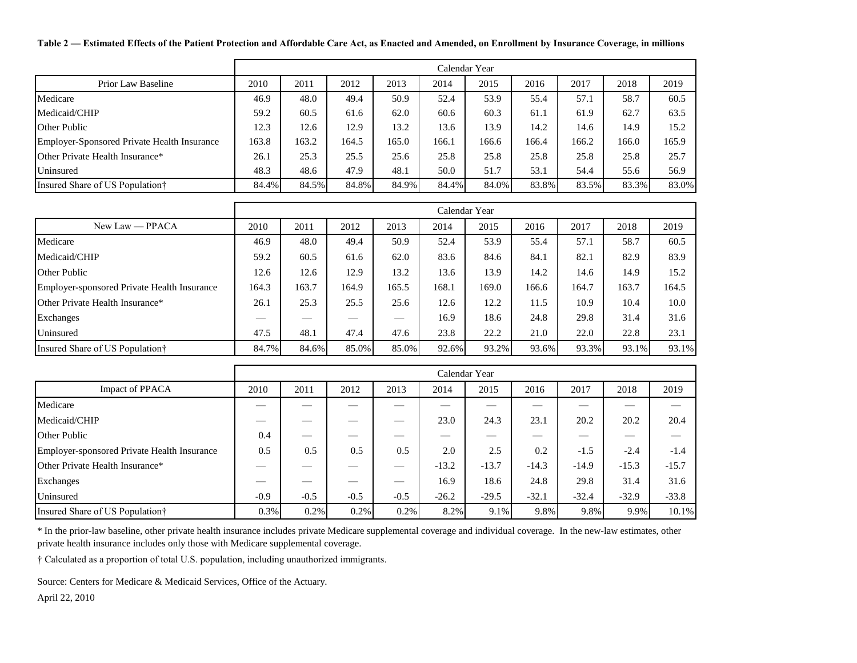**Table 2 — Estimated Effects of the Patient Protection and Affordable Care Act, as Enacted and Amended, on Enrollment by Insurance Coverage, in millions**

|                                             |       |       |       |       |       | Calendar Year |       |       |       |       |  |  |  |  |
|---------------------------------------------|-------|-------|-------|-------|-------|---------------|-------|-------|-------|-------|--|--|--|--|
| Prior Law Baseline                          | 2010  | 2011  | 2012  | 2013  | 2014  | 2015          | 2016  | 2017  | 2018  | 2019  |  |  |  |  |
| Medicare                                    | 46.9  | 48.0  | 49.4  | 50.9  | 52.4  | 53.9          | 55.4  | 57.1  | 58.7  | 60.5  |  |  |  |  |
| Medicaid/CHIP                               | 59.2  | 60.5  | 61.6  | 62.0  | 60.6  | 60.3          | 61.1  | 61.9  | 62.7  | 63.5  |  |  |  |  |
| Other Public                                | 12.3  | 12.6  | 12.9  | 13.2  | 13.6  | 13.9          | 14.2  | 14.6  | 14.9  | 15.2  |  |  |  |  |
| Employer-Sponsored Private Health Insurance | 163.8 | 163.2 | 164.5 | 165.0 | 166.1 | 166.6         | 166.4 | 166.2 | 166.0 | 165.9 |  |  |  |  |
| Other Private Health Insurance*             | 26.1  | 25.3  | 25.5  | 25.6  | 25.8  | 25.8          | 25.8  | 25.8  | 25.8  | 25.7  |  |  |  |  |
| Uninsured                                   | 48.3  | 48.6  | 47.9  | 48.1  | 50.0  | 51.7          | 53.1  | 54.4  | 55.6  | 56.9  |  |  |  |  |
| Insured Share of US Population†             | 84.4% | 84.5% | 84.8% | 84.9% | 84.4% | 84.0%         | 83.8% | 83.5% | 83.3% | 83.0% |  |  |  |  |

|                                             |       |       |       |       |       | Calendar Year |       |       |       |       |
|---------------------------------------------|-------|-------|-------|-------|-------|---------------|-------|-------|-------|-------|
| $New Law - PPACA$                           | 2010  | 2011  | 2012  | 2013  | 2014  | 2015          | 2016  | 2017  | 2018  | 2019  |
| Medicare                                    | 46.9  | 48.0  | 49.4  | 50.9  | 52.4  | 53.9          | 55.4  | 57.1  | 58.7  | 60.5  |
| Medicaid/CHIP                               | 59.2  | 60.5  | 61.6  | 62.0  | 83.6  | 84.6          | 84.1  | 82.1  | 82.9  | 83.9  |
| Other Public                                | 12.6  | 12.6  | 12.9  | 13.2  | 13.6  | 13.9          | 14.2  | 14.6  | 14.9  | 15.2  |
| Employer-sponsored Private Health Insurance | 164.3 | 163.7 | 164.9 | 165.5 | 168.1 | 169.0         | 166.6 | 164.7 | 163.7 | 164.5 |
| Other Private Health Insurance*             | 26.1  | 25.3  | 25.5  | 25.6  | 12.6  | 12.2          | 11.5  | 10.9  | 10.4  | 10.0  |
| Exchanges                                   |       |       |       |       | 16.9  | 18.6          | 24.8  | 29.8  | 31.4  | 31.6  |
| Uninsured                                   | 47.5  | 48.1  | 47.4  | 47.6  | 23.8  | 22.2          | 21.0  | 22.0  | 22.8  | 23.1  |
| Insured Share of US Population†             | 84.7% | 84.6% | 85.0% | 85.0% | 92.6% | 93.2%         | 93.6% | 93.3% | 93.1% | 93.1% |

|                                             |        |                          |        |        |         | Calendar Year |         |         |         |         |
|---------------------------------------------|--------|--------------------------|--------|--------|---------|---------------|---------|---------|---------|---------|
| Impact of PPACA                             | 2010   | 2011                     | 2012   | 2013   | 2014    | 2015          | 2016    | 2017    | 2018    | 2019    |
| Medicare                                    |        |                          |        |        |         |               |         |         |         |         |
| Medicaid/CHIP                               |        |                          |        |        | 23.0    | 24.3          | 23.1    | 20.2    | 20.2    | 20.4    |
| <b>Other Public</b>                         | 0.4    | $\overline{\phantom{a}}$ | __     | __     | __      |               |         | _       | __      |         |
| Employer-sponsored Private Health Insurance | 0.5    | 0.5                      | 0.5    | 0.5    | 2.0     | 2.5           | 0.2     | $-1.5$  | $-2.4$  | $-1.4$  |
| Other Private Health Insurance*             | __     |                          | _      |        | $-13.2$ | $-13.7$       | $-14.3$ | $-14.9$ | $-15.3$ | $-15.7$ |
| Exchanges                                   | __     | $\overline{\phantom{a}}$ | __     |        | 16.9    | 18.6          | 24.8    | 29.8    | 31.4    | 31.6    |
| Uninsured                                   | $-0.9$ | $-0.5$                   | $-0.5$ | $-0.5$ | $-26.2$ | $-29.5$       | $-32.1$ | $-32.4$ | $-32.9$ | $-33.8$ |
| Insured Share of US Population†             | 0.3%   | 0.2%                     | 0.2%   | 0.2%   | 8.2%    | 9.1%          | 9.8%    | 9.8%    | 9.9%    | 10.1%   |

\* In the prior-law baseline, other private health insurance includes private Medicare supplemental coverage and individual coverage. In the new-law estimates, other private health insurance includes only those with Medicare supplemental coverage.

† Calculated as a proportion of total U.S. population, including unauthorized immigrants.

Source: Centers for Medicare & Medicaid Services, Office of the Actuary.

April 22, 2010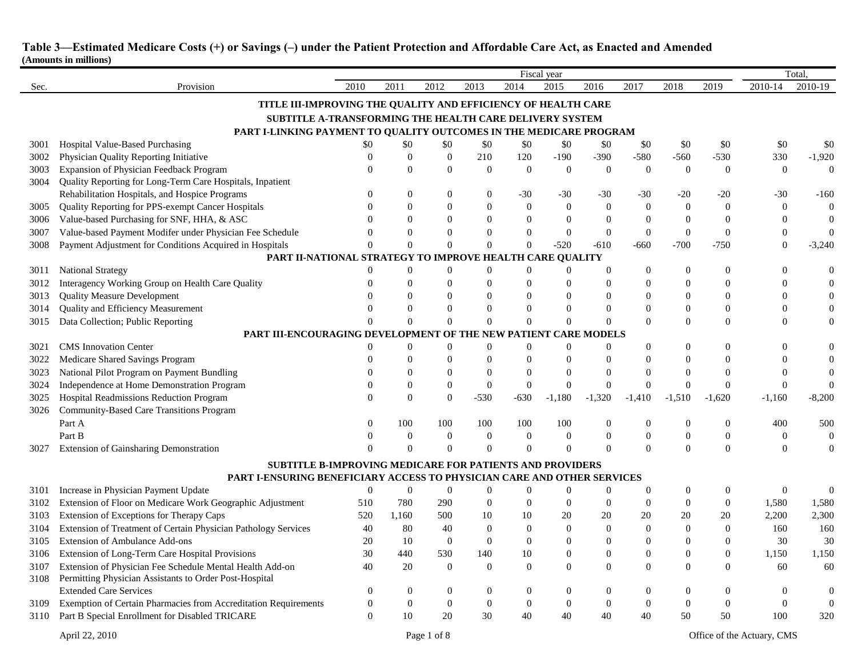|      |                                                                                     | Fiscal year      |                |                  |                  |                  |                  |                  |                  |                |                |                  | Total          |  |
|------|-------------------------------------------------------------------------------------|------------------|----------------|------------------|------------------|------------------|------------------|------------------|------------------|----------------|----------------|------------------|----------------|--|
| Sec. | Provision                                                                           | 2010             | 2011           | 2012             | 2013             | 2014             | 2015             | 2016             | 2017             | 2018           | 2019           | 2010-14          | 2010-19        |  |
|      | TITLE III-IMPROVING THE QUALITY AND EFFICIENCY OF HEALTH CARE                       |                  |                |                  |                  |                  |                  |                  |                  |                |                |                  |                |  |
|      | SUBTITLE A-TRANSFORMING THE HEALTH CARE DELIVERY SYSTEM                             |                  |                |                  |                  |                  |                  |                  |                  |                |                |                  |                |  |
|      | PART I-LINKING PAYMENT TO QUALITY OUTCOMES IN THE MEDICARE PROGRAM                  |                  |                |                  |                  |                  |                  |                  |                  |                |                |                  |                |  |
| 3001 | <b>Hospital Value-Based Purchasing</b>                                              | \$0              | \$0            | \$0              | \$0              | \$0              | \$0              | \$0              | \$0              | \$0            | \$0            | \$0              | \$0            |  |
| 3002 | Physician Quality Reporting Initiative                                              | $\overline{0}$   | $\overline{0}$ | $\boldsymbol{0}$ | 210              | 120              | $-190$           | $-390$           | $-580$           | $-560$         | $-530$         | 330              | $-1,920$       |  |
| 3003 | Expansion of Physician Feedback Program                                             | $\theta$         | $\Omega$       | $\Omega$         | $\mathbf{0}$     | $\overline{0}$   | $\mathbf{0}$     | $\overline{0}$   | $\overline{0}$   | $\overline{0}$ | $\overline{0}$ | $\mathbf{0}$     | $\theta$       |  |
| 3004 | Quality Reporting for Long-Term Care Hospitals, Inpatient                           |                  |                |                  |                  |                  |                  |                  |                  |                |                |                  |                |  |
|      | Rehabilitation Hospitals, and Hospice Programs                                      | $\Omega$         | $\Omega$       | $\Omega$         | $\mathbf{0}$     | $-30$            | $-30$            | -30              | -30              | $-20$          | $-20$          | $-30$            | $-160$         |  |
| 3005 | Quality Reporting for PPS-exempt Cancer Hospitals                                   | $\Omega$         | $\Omega$       | $\Omega$         | $\theta$         | $\theta$         | $\mathbf{0}$     | $\mathbf{0}$     | $\theta$         | $\Omega$       | $\Omega$       | $\mathbf{0}$     | $\overline{0}$ |  |
| 3006 | Value-based Purchasing for SNF, HHA, & ASC                                          | $\Omega$         | $\Omega$       | $\Omega$         | $\theta$         | $\overline{0}$   | $\mathbf{0}$     | $\overline{0}$   | $\overline{0}$   | $\overline{0}$ | $\overline{0}$ | $\mathbf{0}$     | $\mathbf{0}$   |  |
| 3007 | Value-based Payment Modifer under Physician Fee Schedule                            | $\theta$         | $\theta$       | $\mathbf{0}$     | $\Omega$         | $\boldsymbol{0}$ | $\mathbf{0}$     | $\overline{0}$   | $\overline{0}$   | $\theta$       | $\theta$       | $\boldsymbol{0}$ | $\Omega$       |  |
| 3008 | Payment Adjustment for Conditions Acquired in Hospitals                             | $\theta$         | $\Omega$       | $\mathbf{0}$     | $\overline{0}$   | $\boldsymbol{0}$ | $-520$           | $-610$           | -660             | $-700$         | $-750$         | $\theta$         | $-3,240$       |  |
|      | PART II-NATIONAL STRATEGY TO IMPROVE HEALTH CARE QUALITY                            |                  |                |                  |                  |                  |                  |                  |                  |                |                |                  |                |  |
| 3011 | <b>National Strategy</b>                                                            | $\boldsymbol{0}$ | $\Omega$       | $\mathbf{0}$     | $\Omega$         | $\mathbf{0}$     | $\boldsymbol{0}$ | $\Omega$         | $\theta$         | $\Omega$       | $\Omega$       | $\Omega$         |                |  |
| 3012 | Interagency Working Group on Health Care Quality                                    | $\Omega$         | $\Omega$       | $\Omega$         | $\Omega$         | $\Omega$         | $\Omega$         | $\theta$         | $\Omega$         | $\Omega$       | $\Omega$       | $\Omega$         | $\Omega$       |  |
| 3013 | <b>Quality Measure Development</b>                                                  | $\Omega$         | $\Omega$       | $\Omega$         | $\Omega$         | $\Omega$         | $\Omega$         | $\theta$         | $\Omega$         | $\Omega$       | $\Omega$       | $\Omega$         | $\mathbf{0}$   |  |
| 3014 | Quality and Efficiency Measurement                                                  | $\theta$         | $\Omega$       | $\mathbf{0}$     | $\mathbf{0}$     | $\overline{0}$   | $\theta$         | 0                | $\overline{0}$   | $\Omega$       | $\theta$       | $\overline{0}$   | $\overline{0}$ |  |
| 3015 | Data Collection; Public Reporting                                                   | $\Omega$         | $\Omega$       | $\Omega$         | $\overline{0}$   | $\theta$         | $\Omega$         | $\Omega$         | $\overline{0}$   | $\Omega$       | $\Omega$       | $\overline{0}$   | $\Omega$       |  |
|      | PART III-ENCOURAGING DEVELOPMENT OF<br><b>NEW PATIENT CARE MODELS</b><br><b>THE</b> |                  |                |                  |                  |                  |                  |                  |                  |                |                |                  |                |  |
| 3021 | <b>CMS</b> Innovation Center                                                        | $\mathbf{0}$     | $\theta$       | $\overline{0}$   | $\theta$         | $\Omega$         | $\theta$         | 0                | $\Omega$         | $\Omega$       | $\Omega$       | $\Omega$         |                |  |
| 3022 | Medicare Shared Savings Program                                                     | $\Omega$         | $\Omega$       | $\mathbf{0}$     | $\mathbf{0}$     | $\overline{0}$   | $\mathbf{0}$     | 0                | $\theta$         | $\Omega$       | $\theta$       | $\theta$         | $\mathbf{0}$   |  |
| 3023 | National Pilot Program on Payment Bundling                                          | $\Omega$         | 0              | $\mathbf{0}$     | $\theta$         | $\overline{0}$   | $\theta$         | $\mathbf{0}$     | $\theta$         | $\Omega$       | $\overline{0}$ | $\theta$         | $\mathbf{0}$   |  |
| 3024 | Independence at Home Demonstration Program                                          | $\theta$         | $\theta$       | $\mathbf{0}$     | $\theta$         | $\mathbf{0}$     | $\mathbf{0}$     | $\mathbf{0}$     | $\theta$         | $\Omega$       | $\Omega$       | $\mathbf{0}$     | $\theta$       |  |
| 3025 | Hospital Readmissions Reduction Program                                             | $\Omega$         | $\Omega$       | $\theta$         | $-530$           | $-630$           | $-1,180$         | $-1,320$         | $-1,410$         | $-1,510$       | $-1,620$       | $-1,160$         | $-8,200$       |  |
| 3026 | Community-Based Care Transitions Program                                            |                  |                |                  |                  |                  |                  |                  |                  |                |                |                  |                |  |
|      | Part A                                                                              | $\overline{0}$   | 100            | 100              | 100              | 100              | 100              | 0                | $\Omega$         | $\mathbf{0}$   | $\mathbf{0}$   | 400              | 500            |  |
|      | Part B                                                                              | $\theta$         | $\Omega$       | $\mathbf{0}$     | $\boldsymbol{0}$ | $\boldsymbol{0}$ | $\mathbf{0}$     | 0                | $\theta$         | $\Omega$       | $\theta$       | $\Omega$         |                |  |
| 3027 | Extension of Gainsharing Demonstration                                              | $\theta$         | $\Omega$       | $\Omega$         | $\Omega$         | $\Omega$         | $\Omega$         | $\Omega$         | $\theta$         | $\Omega$       | $\Omega$       | $\Omega$         | $\Omega$       |  |
|      | SUBTITLE B-IMPROVING MEDICARE FOR PATIENTS AND PROVIDERS                            |                  |                |                  |                  |                  |                  |                  |                  |                |                |                  |                |  |
|      | PART I-ENSURING BENEFICIARY ACCESS TO PHYSICIAN CARE AND OTHER SERVICES             |                  |                |                  |                  |                  |                  |                  |                  |                |                |                  |                |  |
| 3101 | Increase in Physician Payment Update                                                | $\overline{0}$   | $\theta$       | $\overline{0}$   | $\mathbf{0}$     | $\theta$         | $\mathbf{0}$     | $\boldsymbol{0}$ | $\overline{0}$   | $\theta$       | $\theta$       | $\mathbf{0}$     | $\mathbf{0}$   |  |
| 3102 | Extension of Floor on Medicare Work Geographic Adjustment                           | 510              | 780            | 290              | $\theta$         | $\overline{0}$   | $\mathbf{0}$     | $\overline{0}$   | $\theta$         | $\theta$       | $\Omega$       | 1,580            | 1,580          |  |
| 3103 | Extension of Exceptions for Therapy Caps                                            | 520              | 1,160          | 500              | 10               | 10               | 20               | 20               | 20               | 20             | 20             | 2,200            | 2,300          |  |
| 3104 | Extension of Treatment of Certain Physician Pathology Services                      | 40               | 80             | 40               | $\theta$         | $\overline{0}$   | $\mathbf{0}$     | $\mathbf{0}$     | $\theta$         | $\Omega$       | $\theta$       | 160              | 160            |  |
| 3105 | <b>Extension of Ambulance Add-ons</b>                                               | 20               | 10             | $\theta$         | $\mathbf{0}$     | $\overline{0}$   | $\mathbf{0}$     | $\boldsymbol{0}$ | $\overline{0}$   | $\Omega$       | $\overline{0}$ | 30               | 30             |  |
| 3106 | Extension of Long-Term Care Hospital Provisions                                     | 30               | 440            | 530              | 140              | 10               | $\boldsymbol{0}$ | $\boldsymbol{0}$ | $\boldsymbol{0}$ | $\overline{0}$ | $\theta$       | 1,150            | 1,150          |  |
| 3107 | Extension of Physician Fee Schedule Mental Health Add-on                            | 40               | 20             | $\overline{0}$   | $\mathbf{0}$     | $\overline{0}$   | $\overline{0}$   | 0                | $\overline{0}$   | $\Omega$       | $\Omega$       | 60               | 60             |  |
| 3108 | Permitting Physician Assistants to Order Post-Hospital                              |                  |                |                  |                  |                  |                  |                  |                  |                |                |                  |                |  |
|      | <b>Extended Care Services</b>                                                       | $\overline{0}$   | $\theta$       | $\mathbf{0}$     | $\mathbf{0}$     | $\boldsymbol{0}$ | $\boldsymbol{0}$ | 0                | $\Omega$         | $\mathbf{0}$   | $\theta$       | $\theta$         | $\theta$       |  |
| 3109 | Exemption of Certain Pharmacies from Accreditation Requirements                     | $\boldsymbol{0}$ | $\mathbf{0}$   | $\theta$         | $\theta$         | $\overline{0}$   | $\mathbf{0}$     | $\overline{0}$   | $\overline{0}$   | $\Omega$       | $\Omega$       | $\theta$         | $\mathbf{0}$   |  |
| 3110 | Part B Special Enrollment for Disabled TRICARE                                      | $\overline{0}$   | 10             | 20               | 30               | 40               | 40               | 40               | 40               | 50             | 50             | 100              | 320            |  |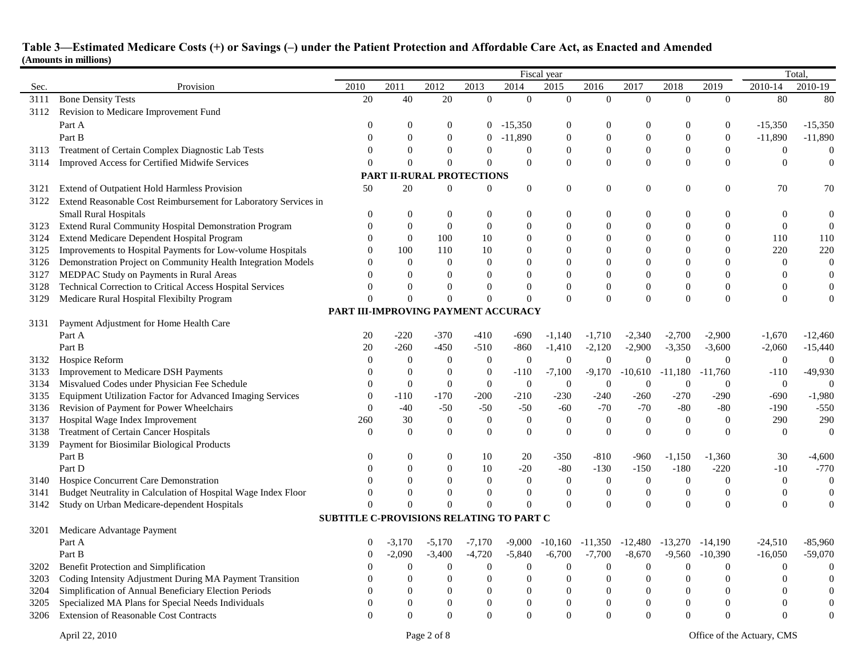|      |                                                                 | Fiscal year                                     |                |                                  |                                    |                  |                                    |                  |                            | Total,           |                  |                   |                  |
|------|-----------------------------------------------------------------|-------------------------------------------------|----------------|----------------------------------|------------------------------------|------------------|------------------------------------|------------------|----------------------------|------------------|------------------|-------------------|------------------|
| Sec. | Provision                                                       | 2010                                            | 2011           | 2012                             | 2013                               | 2014             | 2015                               | 2016             | 2017                       | 2018             | 2019             | 2010-14           | 2010-19          |
| 3111 | <b>Bone Density Tests</b>                                       | 20                                              | 40             | 20                               | $\overline{0}$                     | $\overline{0}$   | $\overline{0}$                     | $\mathbf{0}$     | $\overline{0}$             | $\overline{0}$   | $\overline{0}$   | 80                | 80               |
| 3112 | Revision to Medicare Improvement Fund                           |                                                 |                |                                  |                                    |                  |                                    |                  |                            |                  |                  |                   |                  |
|      | Part A                                                          | $\theta$                                        | $\theta$       | $\theta$                         | $\overline{0}$                     | $-15,350$        | $\boldsymbol{0}$                   | $\theta$         | $\boldsymbol{0}$           | $\theta$         | $\mathbf{0}$     | $-15,350$         | $-15,350$        |
|      | Part B                                                          | $\Omega$                                        | $\theta$       | $\overline{0}$                   | $\overline{0}$                     | $-11,890$        | $\boldsymbol{0}$                   | $\boldsymbol{0}$ | $\boldsymbol{0}$           | $\boldsymbol{0}$ | $\boldsymbol{0}$ | $-11,890$         | $-11,890$        |
| 3113 | Treatment of Certain Complex Diagnostic Lab Tests               | $\Omega$                                        | $\theta$       | $\overline{0}$                   | $\theta$                           | $\theta$         | $\mathbf{0}$                       | $\boldsymbol{0}$ | $\overline{0}$             | $\theta$         | $\mathbf{0}$     | $\boldsymbol{0}$  | $\boldsymbol{0}$ |
| 3114 | Improved Access for Certified Midwife Services                  | $\theta$                                        | $\Omega$       | $\mathbf{0}$                     | $\overline{0}$                     | $\overline{0}$   | $\overline{0}$                     | $\overline{0}$   | $\overline{0}$             | $\mathbf{0}$     | $\mathbf{0}$     | $\mathbf{0}$      | $\mathbf{0}$     |
|      |                                                                 |                                                 |                | <b>PART II-RURAL PROTECTIONS</b> |                                    |                  |                                    |                  |                            |                  |                  |                   |                  |
| 3121 | Extend of Outpatient Hold Harmless Provision                    | 50                                              | 20             | $\mathbf{0}$                     | $\overline{0}$                     | $\boldsymbol{0}$ | $\boldsymbol{0}$                   | $\boldsymbol{0}$ | $\boldsymbol{0}$           | $\overline{0}$   | $\theta$         | 70                | 70               |
| 3122 | Extend Reasonable Cost Reimbursement for Laboratory Services in |                                                 |                |                                  |                                    |                  |                                    |                  |                            |                  |                  |                   |                  |
|      |                                                                 | $\theta$                                        |                |                                  |                                    |                  |                                    |                  |                            | $\Omega$         |                  |                   |                  |
|      | <b>Small Rural Hospitals</b>                                    | $\Omega$                                        | $\theta$       | $\mathbf{0}$<br>$\overline{0}$   | $\boldsymbol{0}$<br>$\overline{0}$ | $\boldsymbol{0}$ | $\boldsymbol{0}$<br>$\overline{0}$ | $\boldsymbol{0}$ | $\overline{0}$<br>$\theta$ | $\overline{0}$   | $\overline{0}$   | 0<br>$\mathbf{0}$ | $\boldsymbol{0}$ |
| 3123 | Extend Rural Community Hospital Demonstration Program           |                                                 | $\overline{0}$ |                                  |                                    | $\boldsymbol{0}$ |                                    | $\boldsymbol{0}$ |                            |                  | $\theta$         |                   | $\boldsymbol{0}$ |
| 3124 | Extend Medicare Dependent Hospital Program                      | $\overline{0}$<br>$\Omega$                      | $\mathbf{0}$   | 100                              | 10                                 | $\boldsymbol{0}$ | $\boldsymbol{0}$                   | $\overline{0}$   | $\overline{0}$             | $\theta$         | $\boldsymbol{0}$ | 110               | 110              |
| 3125 | Improvements to Hospital Payments for Low-volume Hospitals      |                                                 | 100            | 110                              | 10                                 | $\boldsymbol{0}$ | $\Omega$                           | $\boldsymbol{0}$ | $\Omega$                   | $\Omega$         | $\Omega$         | 220               | 220              |
| 3126 | Demonstration Project on Community Health Integration Models    | $\Omega$                                        | $\overline{0}$ | $\Omega$                         | $\theta$                           | $\theta$         | $\mathbf{0}$                       | $\mathbf{0}$     | $\Omega$                   | $\Omega$         | $\Omega$         | $\overline{0}$    | $\boldsymbol{0}$ |
| 3127 | MEDPAC Study on Payments in Rural Areas                         | $\Omega$                                        | $\overline{0}$ | $\Omega$                         | $\Omega$                           | $\theta$         | $\mathbf{0}$                       | $\mathbf{0}$     | $\theta$                   | $\Omega$         | $\theta$         | $\overline{0}$    | $\theta$         |
| 3128 | Technical Correction to Critical Access Hospital Services       | $\Omega$                                        | $\mathbf{0}$   | $\Omega$                         | $\boldsymbol{0}$                   | $\theta$         | $\mathbf{0}$                       | $\mathbf{0}$     | $\boldsymbol{0}$           | $\boldsymbol{0}$ | $\boldsymbol{0}$ | $\mathbf{0}$      | $\mathbf{0}$     |
| 3129 | Medicare Rural Hospital Flexibilty Program                      | $\Omega$                                        | $\Omega$       | $\mathbf{0}$                     | $\overline{0}$                     | $\overline{0}$   | $\Omega$                           | $\theta$         | $\theta$                   | $\theta$         | $\theta$         | $\Omega$          | $\overline{0}$   |
|      |                                                                 | PART III-IMPROVING PAYMENT ACCURACY             |                |                                  |                                    |                  |                                    |                  |                            |                  |                  |                   |                  |
| 3131 | Payment Adjustment for Home Health Care                         |                                                 |                |                                  |                                    |                  |                                    |                  |                            |                  |                  |                   |                  |
|      | Part A                                                          | 20                                              | $-220$         | $-370$                           | $-410$                             | $-690$           | $-1,140$                           | $-1,710$         | $-2,340$                   | $-2,700$         | $-2,900$         | $-1,670$          | $-12,460$        |
|      | Part B                                                          | 20                                              | $-260$         | $-450$                           | $-510$                             | $-860$           | $-1,410$                           | $-2,120$         | $-2,900$                   | $-3,350$         | $-3,600$         | $-2,060$          | $-15,440$        |
| 3132 | Hospice Reform                                                  | $\theta$                                        | $\overline{0}$ | $\mathbf{0}$                     | $\mathbf{0}$                       | $\mathbf{0}$     | $\theta$                           | $\overline{0}$   | $\overline{0}$             | $\theta$         | $\theta$         | $\overline{0}$    | $\mathbf{0}$     |
| 3133 | Improvement to Medicare DSH Payments                            | $\theta$                                        | $\overline{0}$ | $\mathbf{0}$                     | $\mathbf{0}$                       | $-110$           | $-7,100$                           | $-9,170$         | $-10,610$                  | $-11,180$        | $-11,760$        | $-110$            | $-49,930$        |
| 3134 | Misvalued Codes under Physician Fee Schedule                    | $\boldsymbol{0}$                                | $\overline{0}$ | $\mathbf{0}$                     | $\boldsymbol{0}$                   | $\boldsymbol{0}$ | $\overline{0}$                     | $\boldsymbol{0}$ | $\mathbf{0}$               | $\boldsymbol{0}$ | $\overline{0}$   | $\overline{0}$    | $\overline{0}$   |
| 3135 | Equipment Utilization Factor for Advanced Imaging Services      | $\overline{0}$                                  | $-110$         | $-170$                           | $-200$                             | $-210$           | $-230$                             | $-240$           | $-260$                     | $-270$           | $-290$           | $-690$            | $-1,980$         |
| 3136 | Revision of Payment for Power Wheelchairs                       | $\theta$                                        | $-40$          | $-50$                            | $-50$                              | $-50$            | $-60$                              | $-70$            | $-70$                      | $-80$            | $-80$            | $-190$            | $-550$           |
| 3137 | Hospital Wage Index Improvement                                 | 260                                             | 30             | $\theta$                         | $\mathbf{0}$                       | $\mathbf{0}$     | $\theta$                           | $\mathbf{0}$     | $\mathbf{0}$               | $\theta$         | $\overline{0}$   | 290               | 290              |
| 3138 | Treatment of Certain Cancer Hospitals                           | $\theta$                                        | $\theta$       | $\theta$                         | $\mathbf{0}$                       | $\overline{0}$   | $\overline{0}$                     | $\overline{0}$   | $\overline{0}$             | $\theta$         | $\Omega$         | $\overline{0}$    | $\theta$         |
| 3139 | Payment for Biosimilar Biological Products                      |                                                 |                |                                  |                                    |                  |                                    |                  |                            |                  |                  |                   |                  |
|      | Part B                                                          | $\mathbf{0}$                                    | $\theta$       | $\theta$                         | 10                                 | 20               | -350                               | $-810$           | $-960$                     | $-1,150$         | $-1,360$         | 30                | $-4,600$         |
|      | Part D                                                          | $\Omega$                                        | $\Omega$       | $\Omega$                         | 10                                 | $-20$            | $-80$                              | $-130$           | $-150$                     | $-180$           | $-220$           | $-10$             | $-770$           |
| 3140 | Hospice Concurrent Care Demonstration                           | $\Omega$                                        | $\Omega$       | $\Omega$                         | $\mathbf{0}$                       | $\overline{0}$   | $\overline{0}$                     | $\boldsymbol{0}$ | $\mathbf{0}$               | $\theta$         | $\overline{0}$   | $\overline{0}$    | $\overline{0}$   |
| 3141 | Budget Neutrality in Calculation of Hospital Wage Index Floor   | $\Omega$                                        | $\Omega$       | $\theta$                         | $\theta$                           | $\theta$         | $\mathbf{0}$                       | $\mathbf{0}$     | $\boldsymbol{0}$           | $\theta$         | $\overline{0}$   | $\mathbf{0}$      | $\mathbf{0}$     |
| 3142 | Study on Urban Medicare-dependent Hospitals                     | $\Omega$                                        | $\Omega$       | $\mathbf{0}$                     | $\theta$                           | $\theta$         | $\Omega$                           | $\Omega$         | $\theta$                   | $\Omega$         | $\Omega$         | $\Omega$          | $\Omega$         |
|      |                                                                 | <b>SUBTITLE C-PROVISIONS RELATING TO PART C</b> |                |                                  |                                    |                  |                                    |                  |                            |                  |                  |                   |                  |
| 3201 | Medicare Advantage Payment                                      |                                                 |                |                                  |                                    |                  |                                    |                  |                            |                  |                  |                   |                  |
|      | Part A                                                          | 0                                               | $-3,170$       | $-5,170$                         | $-7,170$                           | $-9,000$         | $-10,160$                          | $-11,350$        | $-12,480$                  | $-13,270$        | $-14,190$        | $-24,510$         | -85,960          |
|      | Part B                                                          | $\Omega$                                        | $-2,090$       | $-3,400$                         | $-4,720$                           | $-5,840$         | $-6,700$                           | $-7,700$         | $-8,670$                   | $-9,560$         | $-10,390$        | $-16,050$         | $-59,070$        |
| 3202 | Benefit Protection and Simplification                           | $\Omega$                                        | $\overline{0}$ | $\boldsymbol{0}$                 | $\boldsymbol{0}$                   | $\boldsymbol{0}$ | $\mathbf{0}$                       | $\mathbf{0}$     | $\boldsymbol{0}$           | $\mathbf{0}$     | $\overline{0}$   | $\mathbf{0}$      | $\mathbf{0}$     |
| 3203 | Coding Intensity Adjustment During MA Payment Transition        |                                                 | $\Omega$       | $\Omega$                         | $\boldsymbol{0}$                   | $\boldsymbol{0}$ | $\Omega$                           | $\mathbf{0}$     | $\Omega$                   | $\Omega$         | $\boldsymbol{0}$ | $\Omega$          | $\Omega$         |
| 3204 | Simplification of Annual Beneficiary Election Periods           | $\Omega$                                        | $\Omega$       | $\Omega$                         | $\mathbf{0}$                       | $\overline{0}$   | $\mathbf{0}$                       | $\theta$         | $\theta$                   | $\theta$         | $\overline{0}$   | $\Omega$          | $\Omega$         |
| 3205 | Specialized MA Plans for Special Needs Individuals              | $\theta$                                        | $\Omega$       | $\theta$                         | $\theta$                           | $\boldsymbol{0}$ | $\mathbf{0}$                       | $\mathbf{0}$     | $\overline{0}$             | $\theta$         | $\overline{0}$   | $\overline{0}$    | $\mathbf{0}$     |
| 3206 | <b>Extension of Reasonable Cost Contracts</b>                   | $\theta$                                        | $\Omega$       | $\Omega$                         | $\theta$                           | $\overline{0}$   | $\Omega$                           | $\mathbf{0}$     | $\theta$                   | $\theta$         | $\Omega$         | $\Omega$          | $\mathbf{0}$     |
|      |                                                                 |                                                 |                |                                  |                                    |                  |                                    |                  |                            |                  |                  |                   |                  |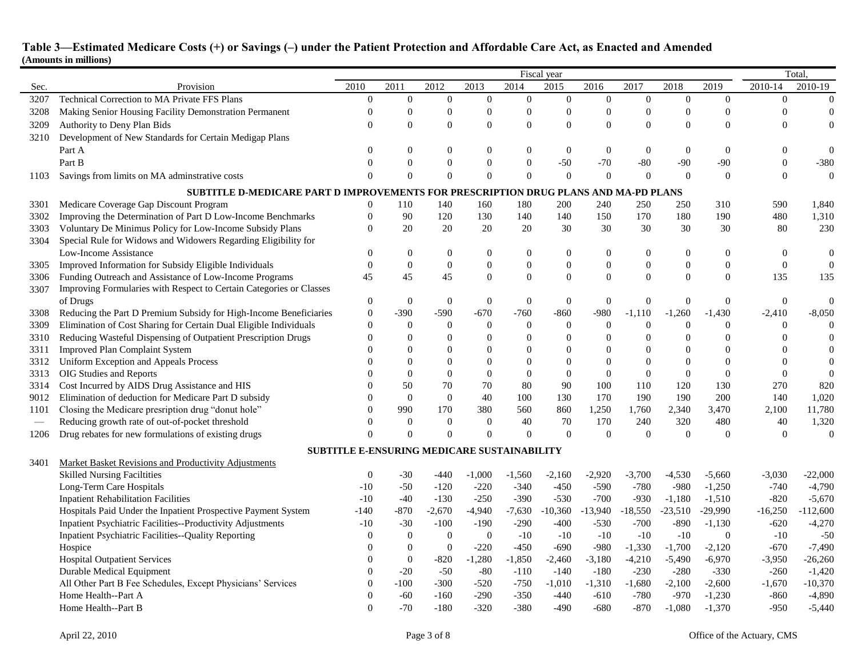|      |                                                                                     | Fiscal year      |                  |                                             |                  |                  |                  |                  |                  | Total,           |                  |                  |                  |
|------|-------------------------------------------------------------------------------------|------------------|------------------|---------------------------------------------|------------------|------------------|------------------|------------------|------------------|------------------|------------------|------------------|------------------|
| Sec. | Provision                                                                           | 2010             | 2011             | 2012                                        | 2013             | 2014             | 2015             | 2016             | 2017             | 2018             | 2019             | 2010-14          | 2010-19          |
| 3207 | Technical Correction to MA Private FFS Plans                                        | $\boldsymbol{0}$ | $\mathbf{0}$     | $\mathbf{0}$                                | $\overline{0}$   | $\boldsymbol{0}$ | $\boldsymbol{0}$ | $\boldsymbol{0}$ | $\boldsymbol{0}$ | $\mathbf{0}$     | $\overline{0}$   | $\overline{0}$   | $\overline{0}$   |
| 3208 | Making Senior Housing Facility Demonstration Permanent                              | $\Omega$         | $\theta$         | $\theta$                                    | $\overline{0}$   | $\boldsymbol{0}$ | $\overline{0}$   | $\overline{0}$   | $\overline{0}$   | $\theta$         | $\overline{0}$   | $\overline{0}$   | $\overline{0}$   |
| 3209 | Authority to Deny Plan Bids                                                         | $\Omega$         | $\mathbf{0}$     | $\theta$                                    | $\overline{0}$   | $\boldsymbol{0}$ | $\overline{0}$   | $\overline{0}$   | $\overline{0}$   | $\theta$         | $\overline{0}$   | $\overline{0}$   | $\overline{0}$   |
| 3210 | Development of New Standards for Certain Medigap Plans                              |                  |                  |                                             |                  |                  |                  |                  |                  |                  |                  |                  |                  |
|      | Part A                                                                              | $\Omega$         | $\Omega$         | $\Omega$                                    | $\theta$         | $\boldsymbol{0}$ | $\boldsymbol{0}$ | $\mathbf{0}$     | $\overline{0}$   | $\theta$         | $\Omega$         | $\overline{0}$   | $\mathbf{0}$     |
|      | Part B                                                                              | $\Omega$         | $\boldsymbol{0}$ | $\mathbf{0}$                                | $\boldsymbol{0}$ | $\boldsymbol{0}$ | $-50$            | $-70$            | $-80$            | $-90$            | $-90$            | $\boldsymbol{0}$ | $-380$           |
| 1103 | Savings from limits on MA adminstrative costs                                       | $\Omega$         | $\theta$         | $\theta$                                    | $\Omega$         | $\overline{0}$   | $\overline{0}$   | $\Omega$         | $\theta$         | $\Omega$         | $\theta$         | $\mathbf{0}$     | $\overline{0}$   |
|      | SUBTITLE D-MEDICARE PART D IMPROVEMENTS FOR PRESCRIPTION DRUG PLANS AND MA-PD PLANS |                  |                  |                                             |                  |                  |                  |                  |                  |                  |                  |                  |                  |
| 3301 | Medicare Coverage Gap Discount Program                                              | $\theta$         | 110              | 140                                         | 160              | 180              | 200              | 240              | 250              | 250              | 310              | 590              | 1,840            |
| 3302 | Improving the Determination of Part D Low-Income Benchmarks                         | $\theta$         | 90               | 120                                         | 130              | 140              | 140              | 150              | 170              | 180              | 190              | 480              | 1,310            |
| 3303 | Voluntary De Minimus Policy for Low-Income Subsidy Plans                            | $\theta$         | 20               | 20                                          | 20               | 20               | 30               | 30               | 30               | 30               | 30               | 80               | 230              |
| 3304 | Special Rule for Widows and Widowers Regarding Eligibility for                      |                  |                  |                                             |                  |                  |                  |                  |                  |                  |                  |                  |                  |
|      | Low-Income Assistance                                                               | $\mathbf{0}$     | $\overline{0}$   | $\mathbf{0}$                                | $\boldsymbol{0}$ | $\boldsymbol{0}$ | $\boldsymbol{0}$ | $\boldsymbol{0}$ | $\boldsymbol{0}$ | $\theta$         | $\overline{0}$   | $\overline{0}$   | $\boldsymbol{0}$ |
| 3305 | Improved Information for Subsidy Eligible Individuals                               | $\overline{0}$   | $\mathbf{0}$     | $\mathbf{0}$                                | $\overline{0}$   | $\boldsymbol{0}$ | $\boldsymbol{0}$ | $\boldsymbol{0}$ | $\boldsymbol{0}$ | $\theta$         | $\mathbf{0}$     | $\mathbf{0}$     | $\overline{0}$   |
| 3306 | Funding Outreach and Assistance of Low-Income Programs                              | 45               | 45               | 45                                          | $\boldsymbol{0}$ | $\boldsymbol{0}$ | $\boldsymbol{0}$ | $\mathbf{0}$     | $\boldsymbol{0}$ | $\boldsymbol{0}$ | $\overline{0}$   | 135              | 135              |
| 3307 | Improving Formularies with Respect to Certain Categories or Classes                 |                  |                  |                                             |                  |                  |                  |                  |                  |                  |                  |                  |                  |
|      | of Drugs                                                                            | $\boldsymbol{0}$ | $\overline{0}$   | $\theta$                                    | $\mathbf{0}$     | $\overline{0}$   | $\boldsymbol{0}$ | $\theta$         | $\overline{0}$   | $\theta$         | $\Omega$         | $\overline{0}$   | $\theta$         |
| 3308 | Reducing the Part D Premium Subsidy for High-Income Beneficiaries                   | $\overline{0}$   | $-390$           | $-590$                                      | $-670$           | $-760$           | $-860$           | -980             | $-1,110$         | $-1,260$         | $-1,430$         | $-2,410$         | $-8,050$         |
| 3309 | Elimination of Cost Sharing for Certain Dual Eligible Individuals                   | $\overline{0}$   | $\overline{0}$   | $\mathbf{0}$                                | $\mathbf{0}$     | $\theta$         | $\mathbf{0}$     | $\overline{0}$   | $\mathbf{0}$     | $\theta$         | $\Omega$         | $\theta$         | $\mathbf{0}$     |
| 3310 | Reducing Wasteful Dispensing of Outpatient Prescription Drugs                       | $\Omega$         | $\boldsymbol{0}$ | $\Omega$                                    | $\boldsymbol{0}$ | $\boldsymbol{0}$ | $\boldsymbol{0}$ | $\boldsymbol{0}$ | $\boldsymbol{0}$ | $\overline{0}$   | $\boldsymbol{0}$ | 0                | $\boldsymbol{0}$ |
| 3311 | <b>Improved Plan Complaint System</b>                                               | $\Omega$         | $\mathbf{0}$     | $\Omega$                                    | $\theta$         | $\boldsymbol{0}$ | $\mathbf{0}$     | $\mathbf{0}$     | $\theta$         | $\Omega$         | $\theta$         | $\overline{0}$   | $\mathbf{0}$     |
| 3312 | Uniform Exception and Appeals Process                                               | $\Omega$         | $\Omega$         | $\Omega$                                    | $\theta$         | $\overline{0}$   | $\overline{0}$   | $\theta$         | $\overline{0}$   | $\Omega$         | $\Omega$         | $\Omega$         | $\mathbf{0}$     |
| 3313 | OIG Studies and Reports                                                             |                  | $\mathbf{0}$     | $\theta$                                    | $\boldsymbol{0}$ | $\boldsymbol{0}$ | $\boldsymbol{0}$ | $\mathbf{0}$     | $\boldsymbol{0}$ | $\theta$         | $\theta$         | $\theta$         | $\overline{0}$   |
| 3314 | Cost Incurred by AIDS Drug Assistance and HIS                                       | $\Omega$         | 50               | 70                                          | 70               | 80               | 90               | 100              | 110              | 120              | 130              | 270              | 820              |
| 9012 | Elimination of deduction for Medicare Part D subsidy                                | $\theta$         | $\overline{0}$   | $\mathbf{0}$                                | 40               | 100              | 130              | 170              | 190              | 190              | 200              | 140              | 1,020            |
| 1101 | Closing the Medicare presription drug "donut hole"                                  | $\theta$         | 990              | 170                                         | 380              | 560              | 860              | 1,250            | 1,760            | 2,340            | 3,470            | 2,100            | 11,780           |
|      | Reducing growth rate of out-of-pocket threshold                                     | $\overline{0}$   | $\overline{0}$   | $\Omega$                                    | $\theta$         | 40               | 70               | 170              | 240              | 320              | 480              | 40               | 1,320            |
| 1206 | Drug rebates for new formulations of existing drugs                                 | $\Omega$         | $\Omega$         | $\Omega$                                    | $\theta$         | $\boldsymbol{0}$ | $\boldsymbol{0}$ | $\theta$         | $\boldsymbol{0}$ | $\theta$         | $\Omega$         | $\overline{0}$   | $\mathbf{0}$     |
|      |                                                                                     |                  |                  | SUBTITLE E-ENSURING MEDICARE SUSTAINABILITY |                  |                  |                  |                  |                  |                  |                  |                  |                  |
| 3401 | Market Basket Revisions and Productivity Adjustments                                |                  |                  |                                             |                  |                  |                  |                  |                  |                  |                  |                  |                  |
|      | <b>Skilled Nursing Faciltities</b>                                                  | $\mathbf{0}$     | $-30$            | $-440$                                      | $-1,000$         | $-1,560$         | $-2,160$         | $-2,920$         | $-3,700$         | $-4,530$         | $-5,660$         | $-3,030$         | $-22,000$        |
|      | Long-Term Care Hospitals                                                            | $-10$            | $-50$            | $-120$                                      | $-220$           | $-340$           | $-450$           | $-590$           | $-780$           | $-980$           | $-1,250$         | $-740$           | $-4,790$         |
|      | <b>Inpatient Rehabilitation Facilities</b>                                          | $-10$            | $-40$            | $-130$                                      | $-250$           | $-390$           | $-530$           | $-700$           | $-930$           | $-1,180$         | $-1,510$         | $-820$           | $-5,670$         |
|      | Hospitals Paid Under the Inpatient Prospective Payment System                       | $-140$           | $-870$           | $-2,670$                                    | $-4,940$         | $-7,630$         | $-10,360$        | $-13,940$        | $-18,550$        | $-23,510$        | $-29,990$        | $-16,250$        | $-112,600$       |
|      | Inpatient Psychiatric Facilities--Productivity Adjustments                          | $-10$            | $-30$            | $-100$                                      | $-190$           | $-290$           | $-400$           | $-530$           | $-700$           | $-890$           | $-1,130$         | $-620$           | $-4,270$         |
|      | Inpatient Psychiatric Facilities--Quality Reporting                                 | $\Omega$         | $\overline{0}$   | $\overline{0}$                              | $\mathbf{0}$     | $-10$            | $-10$            | $-10$            | $-10$            | $-10$            | $\overline{0}$   | $-10$            | $-50$            |
|      | Hospice                                                                             | $\Omega$         | $\overline{0}$   | $\overline{0}$                              | $-220$           | $-450$           | $-690$           | $-980$           | $-1,330$         | $-1,700$         | $-2,120$         | $-670$           | $-7,490$         |
|      | <b>Hospital Outpatient Services</b>                                                 | $\theta$         | $\overline{0}$   | $-820$                                      | $-1,280$         | $-1,850$         | $-2,460$         | $-3,180$         | $-4,210$         | $-5,490$         | $-6,970$         | $-3,950$         | $-26,260$        |
|      | Durable Medical Equipment                                                           | $\Omega$         | $-20$            | $-50$                                       | $-80$            | $-110$           | $-140$           | $-180$           | $-230$           | $-280$           | $-330$           | $-260$           | $-1,420$         |
|      | All Other Part B Fee Schedules, Except Physicians' Services                         | $\Omega$         | $-100$           | $-300$                                      | $-520$           | $-750$           | $-1,010$         | $-1,310$         | $-1,680$         | $-2,100$         | $-2,600$         | $-1,670$         | $-10,370$        |
|      | Home Health--Part A                                                                 | $\theta$         | $-60$            | $-160$                                      | $-290$           | $-350$           | $-440$           | $-610$           | $-780$           | $-970$           | $-1,230$         | $-860$           | $-4,890$         |
|      | Home Health--Part B                                                                 | $\theta$         | $-70$            | $-180$                                      | $-320$           | $-380$           | $-490$           | $-680$           | $-870$           | $-1,080$         | $-1,370$         | $-950$           | $-5,440$         |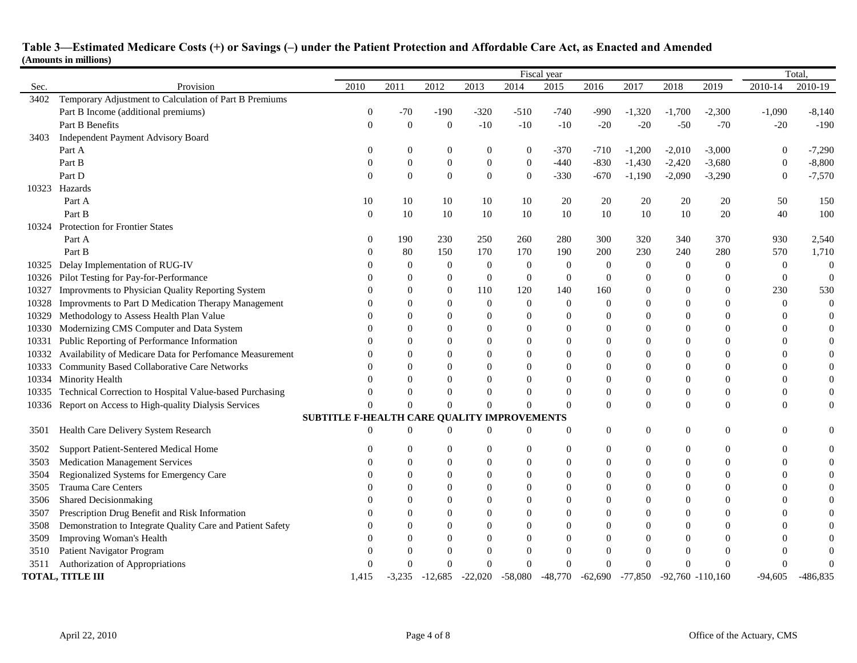|       |                                                            | Fiscal year                                 |                |                  |                  |                  |                  |                  |                |                     |                  | Total            |                  |  |
|-------|------------------------------------------------------------|---------------------------------------------|----------------|------------------|------------------|------------------|------------------|------------------|----------------|---------------------|------------------|------------------|------------------|--|
| Sec.  | Provision                                                  | 2010                                        | 2011           | 2012             | 2013             | 2014             | 2015             | 2016             | 2017           | 2018                | 2019             | 2010-14          | 2010-19          |  |
| 3402  | Temporary Adjustment to Calculation of Part B Premiums     |                                             |                |                  |                  |                  |                  |                  |                |                     |                  |                  |                  |  |
|       | Part B Income (additional premiums)                        | $\boldsymbol{0}$                            | -70            | $-190$           | $-320$           | $-510$           | $-740$           | -990             | $-1,320$       | $-1,700$            | $-2,300$         | $-1,090$         | $-8,140$         |  |
|       | Part B Benefits                                            | $\mathbf{0}$                                | $\overline{0}$ | $\theta$         | $-10$            | $-10$            | $-10$            | $-20$            | $-20$          | $-50$               | $-70$            | $-20$            | $-190$           |  |
| 3403  | Independent Payment Advisory Board                         |                                             |                |                  |                  |                  |                  |                  |                |                     |                  |                  |                  |  |
|       | Part A                                                     | $\Omega$                                    | $\overline{0}$ | $\mathbf{0}$     | $\theta$         | $\boldsymbol{0}$ | $-370$           | $-710$           | $-1,200$       | $-2,010$            | $-3,000$         | $\overline{0}$   | $-7,290$         |  |
|       | Part B                                                     | $\theta$                                    | $\mathbf{0}$   | $\mathbf{0}$     | $\theta$         | $\boldsymbol{0}$ | $-440$           | $-830$           | $-1,430$       | $-2,420$            | $-3,680$         | $\overline{0}$   | $-8,800$         |  |
|       | Part D                                                     | $\Omega$                                    | $\theta$       | $\mathbf{0}$     | $\boldsymbol{0}$ | $\boldsymbol{0}$ | $-330$           | $-670$           | $-1,190$       | $-2,090$            | $-3,290$         | $\theta$         | $-7,570$         |  |
| 10323 | Hazards                                                    |                                             |                |                  |                  |                  |                  |                  |                |                     |                  |                  |                  |  |
|       | Part A                                                     | 10                                          | 10             | 10               | 10               | 10               | 20               | 20               | 20             | 20                  | 20               | 50               | 150              |  |
|       | Part B                                                     | $\theta$                                    | 10             | 10               | 10               | 10               | 10               | 10               | 10             | 10                  | 20               | 40               | 100              |  |
| 10324 | <b>Protection for Frontier States</b>                      |                                             |                |                  |                  |                  |                  |                  |                |                     |                  |                  |                  |  |
|       | Part A                                                     | $\mathbf{0}$                                | 190            | 230              | 250              | 260              | 280              | 300              | 320            | 340                 | 370              | 930              | 2,540            |  |
|       | Part B                                                     | $\Omega$                                    | 80             | 150              | 170              | 170              | 190              | 200              | 230            | 240                 | 280              | 570              | 1,710            |  |
|       | 10325 Delay Implementation of RUG-IV                       | $\Omega$                                    | $\mathbf{0}$   | $\boldsymbol{0}$ | $\mathbf{0}$     | $\mathbf{0}$     | $\mathbf{0}$     | $\mathbf{0}$     | $\mathbf{0}$   | $\overline{0}$      | $\boldsymbol{0}$ | $\boldsymbol{0}$ | $\mathbf{0}$     |  |
| 10326 | Pilot Testing for Pay-for-Performance                      | $\Omega$                                    | $\Omega$       | $\Omega$         | $\theta$         | $\overline{0}$   | $\theta$         | $\theta$         | $\Omega$       | $\Omega$            | $\Omega$         | $\Omega$         | $\boldsymbol{0}$ |  |
| 10327 | Improvments to Physician Quality Reporting System          | $\Omega$                                    | $\Omega$       | $\mathbf{0}$     | 110              | 120              | 140              | 160              | $\Omega$       | $\Omega$            | $\Omega$         | 230              | 530              |  |
| 10328 | Improvments to Part D Medication Therapy Management        | $\Omega$                                    | $\theta$       | $\theta$         | 0                | $\boldsymbol{0}$ | $\boldsymbol{0}$ | $\boldsymbol{0}$ | $\overline{0}$ | $\theta$            | $\theta$         | $\theta$         | $\boldsymbol{0}$ |  |
| 10329 | Methodology to Assess Health Plan Value                    |                                             | $\Omega$       |                  | $\theta$         | $\boldsymbol{0}$ | $\mathbf{0}$     | $\theta$         | $\theta$       | $\Omega$            | $\theta$         | $\overline{0}$   | $\theta$         |  |
| 10330 | Modernizing CMS Computer and Data System                   |                                             | $\theta$       |                  | $\theta$         | $\boldsymbol{0}$ | $\mathbf{0}$     | $\theta$         | $\theta$       | $\Omega$            | $\theta$         | $\overline{0}$   | $\boldsymbol{0}$ |  |
| 10331 | Public Reporting of Performance Information                | ∩                                           | $\Omega$       |                  | $\Omega$         | $\boldsymbol{0}$ | $\Omega$         | $\theta$         | $\Omega$       | $\Omega$            | $\Omega$         | $\Omega$         | $\boldsymbol{0}$ |  |
| 10332 | Availability of Medicare Data for Perfomance Measurement   | $\Omega$                                    | $\Omega$       |                  | $\theta$         | $\theta$         | $\mathbf{0}$     | $\theta$         | $\theta$       | $\Omega$            | $\theta$         | $\overline{0}$   | $\boldsymbol{0}$ |  |
| 10333 | Community Based Collaborative Care Networks                |                                             | $\Omega$       |                  | $\theta$         | $\overline{0}$   | $\mathbf{0}$     | $\boldsymbol{0}$ | $\theta$       | $\Omega$            | $\theta$         | $\theta$         | $\boldsymbol{0}$ |  |
|       | 10334 Minority Health                                      | $\Omega$                                    | $\Omega$       | $\Omega$         | $\Omega$         | $\Omega$         | $\mathbf{0}$     | $\theta$         | $\Omega$       | $\Omega$            | $\Omega$         | $\overline{0}$   | $\overline{0}$   |  |
| 10335 | Technical Correction to Hospital Value-based Purchasing    | $\Omega$                                    | $\mathbf{0}$   | $\mathbf{0}$     | $\theta$         | $\theta$         | $\mathbf{0}$     | $\mathbf{0}$     | $\overline{0}$ | $\theta$            | $\theta$         | $\overline{0}$   | $\boldsymbol{0}$ |  |
|       | 10336 Report on Access to High-quality Dialysis Services   | $\Omega$                                    | $\Omega$       | $\Omega$         | $\Omega$         | $\overline{0}$   | $\mathbf{0}$     | $\Omega$         | $\overline{0}$ | $\Omega$            | $\Omega$         | $\overline{0}$   | $\boldsymbol{0}$ |  |
|       |                                                            | SUBTITLE F-HEALTH CARE QUALITY IMPROVEMENTS |                |                  |                  |                  |                  |                  |                |                     |                  |                  |                  |  |
| 3501  | Health Care Delivery System Research                       | $\Omega$                                    | $\theta$       | $\mathbf{0}$     | $\overline{0}$   | $\boldsymbol{0}$ | $\mathbf{0}$     | $\overline{0}$   | $\overline{0}$ | $\theta$            | $\theta$         | $\overline{0}$   | $\boldsymbol{0}$ |  |
| 3502  | Support Patient-Sentered Medical Home                      |                                             | $\theta$       | $\Omega$         | $\theta$         | $\boldsymbol{0}$ | $\mathbf{0}$     | $\boldsymbol{0}$ | $\theta$       | $\theta$            | $\theta$         | 0                | $\boldsymbol{0}$ |  |
| 3503  | <b>Medication Management Services</b>                      | $\Omega$                                    | $\Omega$       | $\Omega$         | $\theta$         | $\theta$         | $\mathbf{0}$     | $\overline{0}$   | $\theta$       | $\Omega$            | $\theta$         | 0                | $\boldsymbol{0}$ |  |
| 3504  | Regionalized Systems for Emergency Care                    | $\Omega$                                    | 0              | 0                | $\Omega$         | $\overline{0}$   | $\Omega$         | $\theta$         | 0              | $\Omega$            | $\Omega$         | $\Omega$         | $\overline{0}$   |  |
| 3505  | Trauma Care Centers                                        |                                             | $\Omega$       |                  | $\mathbf{0}$     | $\overline{0}$   | $\mathbf{0}$     | $\theta$         | $\theta$       | $\Omega$            | $\overline{0}$   | $\overline{0}$   | $\overline{0}$   |  |
| 3506  | Shared Decisionmaking                                      |                                             |                |                  | $\mathbf{0}$     | $\boldsymbol{0}$ | $\mathbf{0}$     | $\overline{0}$   | $\theta$       | $\theta$            | $\boldsymbol{0}$ | 0                | $\mathbf{0}$     |  |
| 3507  | Prescription Drug Benefit and Risk Information             |                                             | $\Omega$       |                  | $\theta$         | $\theta$         | $\mathbf{0}$     | $\theta$         | $\Omega$       | $\Omega$            | $\theta$         | $\overline{0}$   | $\overline{0}$   |  |
| 3508  | Demonstration to Integrate Quality Care and Patient Safety | $\Omega$                                    | $\Omega$       |                  | $\mathbf{0}$     | $\theta$         | $\mathbf{0}$     | $\boldsymbol{0}$ | $\theta$       | $\Omega$            | $\overline{0}$   | $\overline{0}$   | $\overline{0}$   |  |
| 3509  | Improving Woman's Health                                   | $\Omega$                                    | 0              |                  | $\Omega$         | $\Omega$         | $\Omega$         | $\theta$         | $\Omega$       | $\Omega$            | $\Omega$         | 0                | $\mathbf{0}$     |  |
| 3510  | Patient Navigator Program                                  | $\Omega$                                    | $\Omega$       |                  | $\Omega$         | $\Omega$         | $\theta$         | $\Omega$         | $\Omega$       | $\Omega$            | $\Omega$         | $\Omega$         | $\Omega$         |  |
| 3511  | Authorization of Appropriations                            | $\Omega$                                    | $\Omega$       | $\mathbf{0}$     | $\theta$         | $\theta$         | $\mathbf{0}$     | $\Omega$         | $\overline{0}$ | $\theta$            | $\Omega$         | $\Omega$         | $\mathbf{0}$     |  |
|       | <b>TOTAL, TITLE III</b>                                    | 1.415                                       | $-3,235$       | $-12,685$        | $-22,020$        | $-58,080$        | $-48,770$        | $-62,690$        | -77,850        | $-92,760 - 110,160$ |                  | $-94,605$        | $-486,835$       |  |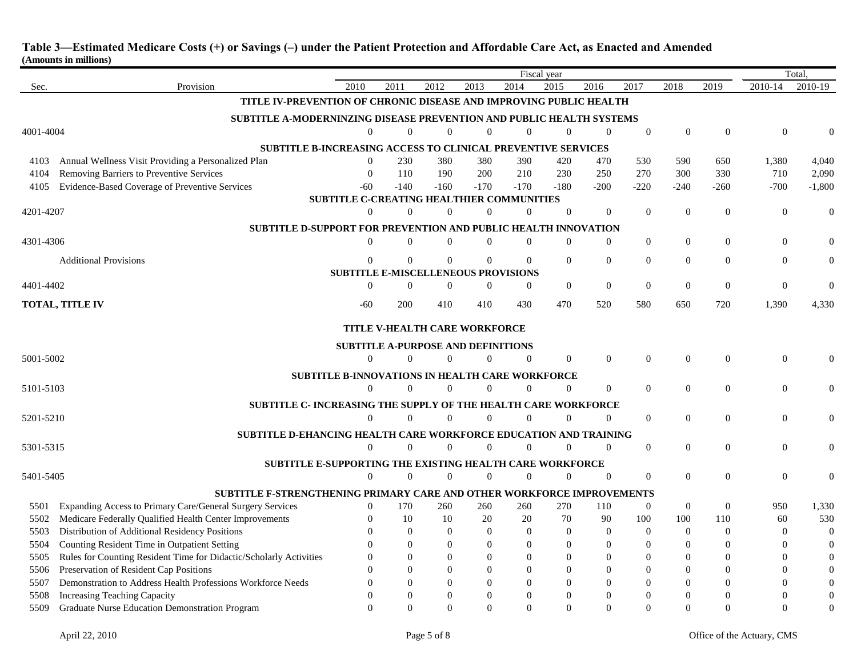|                 |                                                                             |                  |                |                                                  |                  |                  | Fiscal year      |                  |                |              |                |                  | Total            |
|-----------------|-----------------------------------------------------------------------------|------------------|----------------|--------------------------------------------------|------------------|------------------|------------------|------------------|----------------|--------------|----------------|------------------|------------------|
| Sec.            | Provision                                                                   | 2010             | 2011           | 2012                                             | 2013             | 2014             | 2015             | 2016             | 2017           | 2018         | 2019           | 2010-14          | 2010-19          |
|                 | TITLE IV-PREVENTION OF CHRONIC DISEASE AND IMPROVING PUBLIC HEALTH          |                  |                |                                                  |                  |                  |                  |                  |                |              |                |                  |                  |
|                 | <b>SUBTITLE A-MODERNINZING DISEASE PREVENTION AND PUBLIC HEALTH SYSTEMS</b> |                  |                |                                                  |                  |                  |                  |                  |                |              |                |                  |                  |
| 4001-4004       |                                                                             | $\Omega$         | $\Omega$       | $\overline{0}$                                   | $\overline{0}$   | $\Omega$         | $\mathbf{0}$     | $\overline{0}$   | $\overline{0}$ | $\Omega$     | $\Omega$       | $\mathbf{0}$     |                  |
|                 | SUBTITLE B-INCREASING ACCESS TO CLINICAL PREVENTIVE SERVICES                |                  |                |                                                  |                  |                  |                  |                  |                |              |                |                  |                  |
| 4103            | Annual Wellness Visit Providing a Personalized Plan                         | $\theta$         | 230            | 380                                              | 380              | 390              | 420              | 470              | 530            | 590          | 650            | 1,380            | 4,040            |
| 4104            | Removing Barriers to Preventive Services                                    | $\Omega$         | 110            | 190                                              | 200              | 210              | 230              | 250              | 270            | 300          | 330            | 710              | 2,090            |
| 4105            | Evidence-Based Coverage of Preventive Services                              | $-60$            | $-140$         | $-160$                                           | $-170$           | $-170$           | $-180$           | $-200$           | $-220$         | $-240$       | $-260$         | $-700$           | $-1,800$         |
|                 |                                                                             |                  |                | <b>SUBTITLE C-CREATING HEALTHIER COMMUNITIES</b> |                  |                  |                  |                  |                |              |                |                  |                  |
| 4201-4207       |                                                                             | $\mathbf{0}$     | $\Omega$       | $\mathbf{0}$                                     | $\overline{0}$   | $\theta$         | $\mathbf{0}$     | $\overline{0}$   | $\theta$       | $\theta$     | $\overline{0}$ | $\mathbf{0}$     | $\mathbf{0}$     |
|                 | SUBTITLE D-SUPPORT FOR PREVENTION AND PUBLIC HEALTH INNOVATION              |                  |                |                                                  |                  |                  |                  |                  |                |              |                |                  |                  |
| 4301-4306       |                                                                             | $\mathbf{0}$     | $\Omega$       | $\mathbf{0}$                                     | $\overline{0}$   | $\mathbf{0}$     | $\mathbf{0}$     | 0                | $\mathbf{0}$   | $\Omega$     | $\overline{0}$ | $\mathbf{0}$     | $\mathbf{0}$     |
|                 | <b>Additional Provisions</b>                                                | $\Omega$         | $\Omega$       | $\Omega$                                         | $\Omega$         | $\Omega$         | $\mathbf{0}$     | $\overline{0}$   | $\Omega$       | $\Omega$     | $\Omega$       | $\theta$         |                  |
|                 |                                                                             |                  |                | <b>SUBTITLE E-MISCELLENEOUS PROVISIONS</b>       |                  |                  |                  |                  |                |              |                |                  |                  |
| 4401-4402       |                                                                             | $\boldsymbol{0}$ | $\Omega$       | $\boldsymbol{0}$                                 | $\boldsymbol{0}$ | $\boldsymbol{0}$ | $\boldsymbol{0}$ | $\boldsymbol{0}$ | $\Omega$       | $\Omega$     | $\Omega$       | $\boldsymbol{0}$ | $\Omega$         |
| TOTAL, TITLE IV |                                                                             |                  |                |                                                  |                  |                  |                  |                  |                |              |                |                  |                  |
|                 |                                                                             | $-60$            | 200            | 410                                              | 410              | 430              | 470              | 520              | 580            | 650          | 720            | 1,390            | 4,330            |
|                 |                                                                             |                  |                | <b>TITLE V-HEALTH CARE WORKFORCE</b>             |                  |                  |                  |                  |                |              |                |                  |                  |
|                 |                                                                             |                  |                | <b>SUBTITLE A-PURPOSE AND DEFINITIONS</b>        |                  |                  |                  |                  |                |              |                |                  |                  |
| 5001-5002       |                                                                             | $\Omega$         | $\Omega$       | $\overline{0}$                                   | $\overline{0}$   | $\mathbf{0}$     | $\mathbf{0}$     | $\overline{0}$   | $\theta$       | $\Omega$     | $\theta$       | $\mathbf{0}$     |                  |
|                 | <b>SUBTITLE B-INNOVATIONS IN HEALTH CARE WORKFORCE</b>                      |                  |                |                                                  |                  |                  |                  |                  |                |              |                |                  |                  |
| 5101-5103       |                                                                             | $\mathbf{0}$     | $\Omega$       | $\overline{0}$                                   | $\overline{0}$   | $\Omega$         | $\mathbf{0}$     | $\overline{0}$   | $\overline{0}$ | $\Omega$     | $\Omega$       | $\theta$         |                  |
|                 |                                                                             |                  |                |                                                  |                  |                  |                  |                  |                |              |                |                  |                  |
| 5201-5210       | <b>SUBTITLE C- INCREASING THE SUPPLY OF THE HEALTH CARE WORKFORCE</b>       | $\boldsymbol{0}$ | $\overline{0}$ | $\mathbf{0}$                                     | $\boldsymbol{0}$ | $\mathbf{0}$     | $\mathbf{0}$     | 0                | $\mathbf{0}$   | $\theta$     | $\theta$       | $\boldsymbol{0}$ |                  |
|                 |                                                                             |                  |                |                                                  |                  |                  |                  |                  |                |              |                |                  |                  |
|                 | SUBTITLE D-EHANCING HEALTH CARE WORKFORCE EDUCATION AND TRAINING            |                  |                |                                                  |                  |                  |                  |                  |                |              |                |                  |                  |
| 5301-5315       |                                                                             | $\mathbf{0}$     | $\overline{0}$ | $\overline{0}$                                   | $\boldsymbol{0}$ | $\mathbf{0}$     | $\mathbf{0}$     | $\boldsymbol{0}$ | $\theta$       | $\theta$     | $\theta$       | $\mathbf{0}$     | $\mathbf{0}$     |
|                 | SUBTITLE E-SUPPORTING THE EXISTING HEALTH CARE WORKFORCE                    |                  |                |                                                  |                  |                  |                  |                  |                |              |                |                  |                  |
| 5401-5405       |                                                                             | $\mathbf{0}$     | $\Omega$       | $\overline{0}$                                   | $\overline{0}$   | $\mathbf{0}$     | $\boldsymbol{0}$ | $\overline{0}$   | $\Omega$       | $\theta$     | $\theta$       | $\mathbf{0}$     | $\Omega$         |
|                 | SUBTITLE F-STRENGTHENING PRIMARY CARE AND OTHER WORKFORCE IMPROVEMENTS      |                  |                |                                                  |                  |                  |                  |                  |                |              |                |                  |                  |
| 5501            | Expanding Access to Primary Care/General Surgery Services                   | $\mathbf{0}$     | 170            | 260                                              | 260              | 260              | 270              | 110              | $\theta$       | $\mathbf{0}$ | $\overline{0}$ | 950              | 1,330            |
| 5502            | Medicare Federally Qualified Health Center Improvements                     | $\Omega$         | 10             | 10                                               | 20               | 20               | 70               | 90               | 100            | 100          | 110            | 60               | 530              |
| 5503            | Distribution of Additional Residency Positions                              | $\Omega$         | $\Omega$       | $\theta$                                         | $\Omega$         | $\mathbf{0}$     | $\mathbf{0}$     | $\mathbf{0}$     | $\mathbf{0}$   | $\Omega$     | $\Omega$       | $\boldsymbol{0}$ | $\mathbf{0}$     |
| 5504            | Counting Resident Time in Outpatient Setting                                | $\Omega$         | $\mathbf{0}$   | $\Omega$                                         | $\Omega$         | $\theta$         | $\Omega$         | $\theta$         | $\theta$       | $\Omega$     | $\theta$       | $\theta$         | $\theta$         |
| 5505            | Rules for Counting Resident Time for Didactic/Scholarly Activities          | $\Omega$         | $\Omega$       | $\Omega$                                         | $\Omega$         | $\Omega$         | $\Omega$         | $\boldsymbol{0}$ | $\Omega$       | $\Omega$     | $\Omega$       | $\Omega$         | $\boldsymbol{0}$ |
| 5506            | Preservation of Resident Cap Positions                                      | $\Omega$         | $\Omega$       | $\Omega$                                         | $\theta$         | $\theta$         | $\Omega$         | $\theta$         | $\Omega$       | $\Omega$     | $\Omega$       | $\Omega$         | $\mathbf{0}$     |
| 5507            | Demonstration to Address Health Professions Workforce Needs                 | $\Omega$         | $\Omega$       | $\Omega$                                         | $\Omega$         | $\theta$         | $\Omega$         | $\mathbf{0}$     | $\overline{0}$ | $\Omega$     | $\theta$       | $\theta$         |                  |
| 5508            | Increasing Teaching Capacity                                                | $\Omega$         | $\Omega$       | $\Omega$                                         | $\Omega$         | $\theta$         | $\Omega$         | $\theta$         | $\Omega$       | $\Omega$     | $\Omega$       | $\Omega$         |                  |
| 5509            | Graduate Nurse Education Demonstration Program                              | $\Omega$         | $\Omega$       | $\Omega$                                         | $\Omega$         | $\Omega$         | $\Omega$         | $\Omega$         | $\Omega$       | $\Omega$     | $\Omega$       | $\Omega$         | $\theta$         |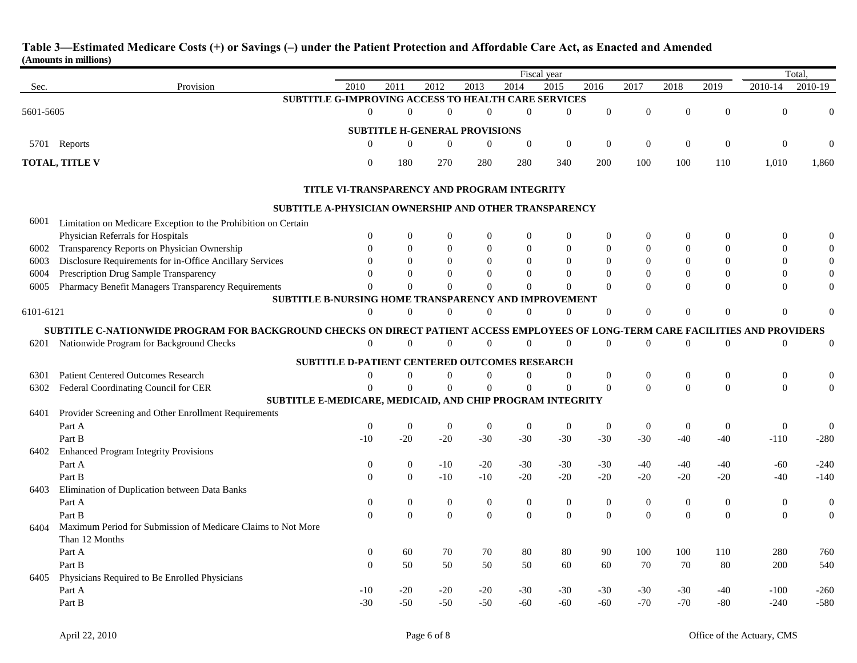|           |                                                                                                     | Fiscal year      |                   |                                                      |                   |                  |                   | Total,           |                  |                  |                  |                                      |                  |
|-----------|-----------------------------------------------------------------------------------------------------|------------------|-------------------|------------------------------------------------------|-------------------|------------------|-------------------|------------------|------------------|------------------|------------------|--------------------------------------|------------------|
| Sec.      | Provision                                                                                           | 2010             | $\overline{2011}$ | 2012                                                 | $\overline{2013}$ | 2014             | $\overline{2015}$ | 2016             | 2017             | 2018             | 2019             | 2010-14                              | 2010-19          |
|           | SUBTITLE G-IMPROVING ACCESS TO HEALTH CARE SERVICES                                                 |                  |                   |                                                      |                   |                  |                   |                  |                  |                  |                  |                                      |                  |
| 5601-5605 |                                                                                                     | $\overline{0}$   | $\mathbf{0}$      | $\overline{0}$                                       | $\theta$          | $\overline{0}$   | $\boldsymbol{0}$  | $\Omega$         | $\Omega$         | $\theta$         | $\Omega$         | $\Omega$                             |                  |
|           |                                                                                                     |                  |                   | <b>SUBTITLE H-GENERAL PROVISIONS</b>                 |                   |                  |                   |                  |                  |                  |                  |                                      |                  |
|           | 5701 Reports                                                                                        | $\Omega$         | $\Omega$          | $\mathbf{0}$                                         | $\mathbf{0}$      | $\mathbf{0}$     | $\boldsymbol{0}$  | $\mathbf{0}$     | $\boldsymbol{0}$ | $\boldsymbol{0}$ | $\Omega$         | $\Omega$                             | $\Omega$         |
|           |                                                                                                     |                  |                   |                                                      |                   |                  |                   |                  |                  |                  |                  |                                      |                  |
|           | TOTAL, TITLE V                                                                                      | $\Omega$         | 180               | 270                                                  | 280               | 280              | 340               | 200              | 100              | 100              | 110              | 1,010                                | 1,860            |
|           |                                                                                                     |                  |                   | TITLE VI-TRANSPARENCY AND PROGRAM INTEGRITY          |                   |                  |                   |                  |                  |                  |                  |                                      |                  |
|           | SUBTITLE A-PHYSICIAN OWNERSHIP AND OTHER TRANSPARENCY                                               |                  |                   |                                                      |                   |                  |                   |                  |                  |                  |                  |                                      |                  |
| 6001      | Limitation on Medicare Exception to the Prohibition on Certain                                      |                  |                   |                                                      |                   |                  |                   |                  |                  |                  |                  |                                      |                  |
|           | Physician Referrals for Hospitals                                                                   | $\boldsymbol{0}$ | $\mathbf{0}$      | $\boldsymbol{0}$                                     | $\boldsymbol{0}$  | $\mathbf{0}$     | $\boldsymbol{0}$  | $\boldsymbol{0}$ | $\boldsymbol{0}$ | $\theta$         | $\boldsymbol{0}$ | $\bf{0}$                             | $\Omega$         |
| 6002      | Transparency Reports on Physician Ownership                                                         | $\theta$         | $\mathbf{0}$      | $\theta$                                             | $\overline{0}$    | $\mathbf{0}$     | $\boldsymbol{0}$  | $\boldsymbol{0}$ | $\mathbf{0}$     | $\overline{0}$   | $\boldsymbol{0}$ | $\theta$                             | $\mathbf{0}$     |
| 6003      | Disclosure Requirements for in-Office Ancillary Services                                            | $\theta$         | $\overline{0}$    | $\Omega$                                             | $\theta$          | $\overline{0}$   | $\overline{0}$    | $\overline{0}$   | $\mathbf{0}$     | $\overline{0}$   | $\overline{0}$   | $\mathbf{0}$                         | $\mathbf{0}$     |
| 6004      | Prescription Drug Sample Transparency                                                               | $\Omega$         | $\Omega$          | $\Omega$                                             | $\Omega$          | $\Omega$         | $\Omega$          | $\Omega$         | $\Omega$         | $\theta$         | $\Omega$         | $\Omega$                             | $\mathbf{0}$     |
| 6005      | Pharmacy Benefit Managers Transparency Requirements                                                 | $\Omega$         | $\Omega$          | $\Omega$                                             | $\Omega$          | $\Omega$         | $\Omega$          | $\Omega$         | $\Omega$         | $\theta$         | $\Omega$         | $\mathbf{0}$                         | $\mathbf{0}$     |
|           | <b>SUBTITLE B-NURSING HOME TRANSPARENCY AND IMPROVEMENT</b>                                         |                  |                   |                                                      |                   |                  |                   |                  |                  |                  |                  |                                      |                  |
| 6101-6121 |                                                                                                     | $\overline{0}$   | $\overline{0}$    | $\overline{0}$                                       | $\theta$          | $\mathbf{0}$     | $\overline{0}$    | $\theta$         | $\Omega$         | $\theta$         | $\Omega$         | $\overline{0}$                       | $\Omega$         |
|           | SUBTITLE C-NATIONWIDE PROGRAM FOR BACKGROUND CHECKS ON DIRECT PATIENT ACCESS EMPLOYEES OF LONG-TERM |                  |                   |                                                      |                   |                  |                   |                  |                  |                  |                  | <b>CARE FACILITIES AND PROVIDERS</b> |                  |
| 6201      | Nationwide Program for Background Checks                                                            | $\overline{0}$   | $\mathbf{0}$      | $\overline{0}$                                       | $\overline{0}$    | $\boldsymbol{0}$ | $\boldsymbol{0}$  | $\mathbf{0}$     | $\boldsymbol{0}$ | $\boldsymbol{0}$ | $\mathbf{0}$     | $\mathbf{0}$                         | $\mathbf{0}$     |
|           |                                                                                                     |                  |                   |                                                      |                   |                  |                   |                  |                  |                  |                  |                                      |                  |
|           |                                                                                                     |                  |                   | <b>SUBTITLE D-PATIENT CENTERED OUTCOMES RESEARCH</b> |                   |                  |                   |                  |                  |                  |                  |                                      |                  |
| 6301      | <b>Patient Centered Outcomes Research</b>                                                           | $\boldsymbol{0}$ | $\overline{0}$    | $\mathbf{0}$                                         | $\theta$          | $\mathbf{0}$     | $\boldsymbol{0}$  | $\mathbf{0}$     | $\mathbf{0}$     | $\boldsymbol{0}$ | $\mathbf{0}$     | $\boldsymbol{0}$                     | $\mathbf{0}$     |
| 6302      | Federal Coordinating Council for CER                                                                | $\Omega$         | $\theta$          | $\Omega$                                             | $\Omega$          | $\mathbf{0}$     | $\boldsymbol{0}$  | $\Omega$         | $\mathbf{0}$     | $\theta$         | $\Omega$         | $\overline{0}$                       | $\Omega$         |
|           | SUBTITLE E-MEDICARE, MEDICAID, AND CHIP PROGRAM INTEGRITY                                           |                  |                   |                                                      |                   |                  |                   |                  |                  |                  |                  |                                      |                  |
| 6401      | Provider Screening and Other Enrollment Requirements                                                |                  |                   |                                                      |                   |                  |                   |                  |                  |                  |                  |                                      |                  |
|           | Part A                                                                                              | $\mathbf{0}$     | $\theta$          | $\mathbf{0}$                                         | $\boldsymbol{0}$  | $\mathbf{0}$     | $\boldsymbol{0}$  | $\mathbf{0}$     | $\mathbf{0}$     | $\mathbf{0}$     | $\mathbf{0}$     | $\mathbf{0}$                         | $\mathbf{0}$     |
|           | Part B                                                                                              | $-10$            | $-20$             | $-20$                                                | $-30$             | $-30$            | $-30$             | $-30$            | $-30$            | $-40$            | $-40$            | $-110$                               | $-280$           |
| 6402      | <b>Enhanced Program Integrity Provisions</b>                                                        |                  |                   |                                                      |                   |                  |                   |                  |                  |                  |                  |                                      |                  |
|           | Part A                                                                                              | $\boldsymbol{0}$ | $\mathbf{0}$      | $-10$                                                | $-20$             | $-30$            | $-30$             | $-30$            | $-40$            | $-40$            | $-40$            | $-60$                                | $-240$           |
|           | Part B                                                                                              | $\Omega$         | $\Omega$          | $-10$                                                | $-10$             | $-20$            | $-20$             | $-20$            | $-20$            | $-20$            | $-20$            | $-40$                                | $-140$           |
| 6403      | Elimination of Duplication between Data Banks                                                       |                  |                   |                                                      |                   |                  |                   |                  |                  |                  |                  |                                      |                  |
|           | Part A                                                                                              | $\mathbf{0}$     | $\boldsymbol{0}$  | $\mathbf{0}$                                         | $\mathbf{0}$      | $\boldsymbol{0}$ | $\boldsymbol{0}$  | $\mathbf{0}$     | $\boldsymbol{0}$ | $\mathbf{0}$     | $\mathbf{0}$     | $\mathbf{0}$                         | $\boldsymbol{0}$ |
|           | Part B                                                                                              | $\theta$         | $\Omega$          | $\Omega$                                             | $\overline{0}$    | $\mathbf{0}$     | $\mathbf{0}$      | $\Omega$         | $\Omega$         | $\theta$         | $\Omega$         | $\overline{0}$                       | $\overline{0}$   |
| 6404      | Maximum Period for Submission of Medicare Claims to Not More                                        |                  |                   |                                                      |                   |                  |                   |                  |                  |                  |                  |                                      |                  |
|           | Than 12 Months                                                                                      |                  |                   |                                                      |                   |                  |                   |                  |                  |                  |                  |                                      |                  |
|           | Part A                                                                                              | $\boldsymbol{0}$ | 60                | 70                                                   | 70                | 80               | 80                | 90               | 100              | 100              | 110              | 280                                  | 760              |
|           | Part B                                                                                              | $\theta$         | 50                | 50                                                   | 50                | 50               | 60                | 60               | 70               | 70               | 80               | 200                                  | 540              |
| 6405      | Physicians Required to Be Enrolled Physicians                                                       |                  |                   |                                                      |                   |                  |                   |                  |                  |                  |                  |                                      |                  |
|           | Part A                                                                                              | $-10$            | $-20$             | $-20$                                                | $-20$             | $-30$            | $-30$             | $-30$            | $-30$            | $-30$            | -40              | $-100$                               | $-260$           |
|           | Part B                                                                                              | $-30$            | $-50$             | $-50$                                                | $-50$             | $-60$            | $-60$             | $-60$            | $-70$            | $-70$            | $-80$            | $-240$                               | $-580$           |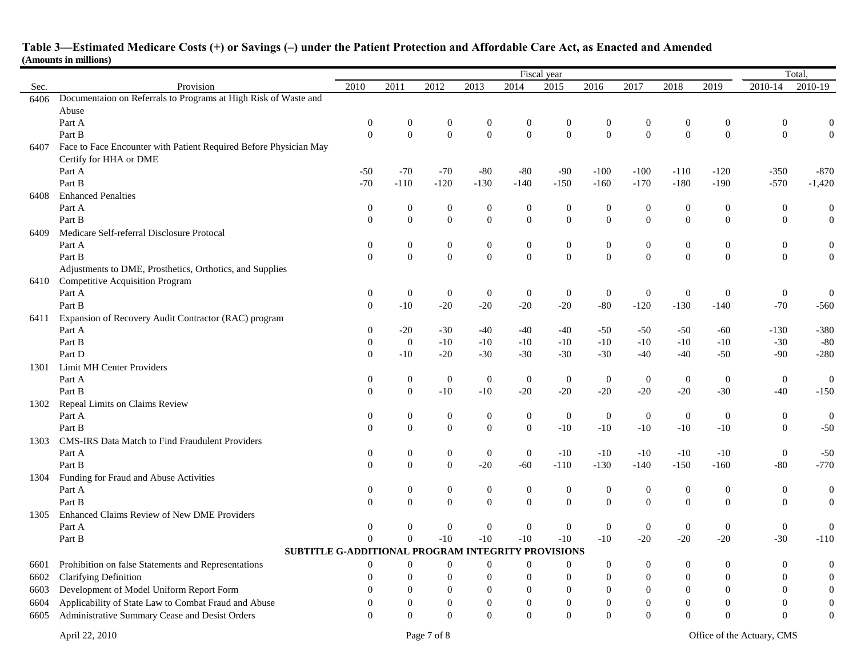|      |                                                                   |                              |                          |                                      |                                      |                                  | Fiscal year               |                  |                  |                  |                  | Total,                               |                       |  |
|------|-------------------------------------------------------------------|------------------------------|--------------------------|--------------------------------------|--------------------------------------|----------------------------------|---------------------------|------------------|------------------|------------------|------------------|--------------------------------------|-----------------------|--|
| Sec. | Provision                                                         | 2010                         | 2011                     | 2012                                 | 2013                                 | 2014                             | 2015                      | 2016             | 2017             | 2018             | 2019             | 2010-14                              | 2010-19               |  |
| 6406 | Documentaion on Referrals to Programs at High Risk of Waste and   |                              |                          |                                      |                                      |                                  |                           |                  |                  |                  |                  |                                      |                       |  |
|      | Abuse                                                             |                              |                          |                                      |                                      |                                  |                           |                  |                  |                  |                  |                                      |                       |  |
|      | Part A                                                            | $\boldsymbol{0}$             | $\boldsymbol{0}$         | $\mathbf{0}$                         | $\boldsymbol{0}$                     | $\bf{0}$                         | $\boldsymbol{0}$          | 0                | $\boldsymbol{0}$ | $\boldsymbol{0}$ | 0                | $\mathbf 0$                          | $\boldsymbol{0}$      |  |
|      | Part B                                                            | $\theta$                     | $\Omega$                 | $\overline{0}$                       | $\overline{0}$                       | $\mathbf{0}$                     | $\mathbf{0}$              | $\overline{0}$   | $\mathbf{0}$     | $\Omega$         | $\overline{0}$   | $\mathbf{0}$                         | $\theta$              |  |
| 6407 | Face to Face Encounter with Patient Required Before Physician May |                              |                          |                                      |                                      |                                  |                           |                  |                  |                  |                  |                                      |                       |  |
|      | Certify for HHA or DME                                            |                              |                          |                                      |                                      |                                  |                           |                  |                  |                  |                  |                                      |                       |  |
|      | Part A                                                            | $-50$                        | $-70$                    | $-70$                                | $-80$                                | $-80$                            | $-90$                     | $-100$           | $-100$           | $-110$           | $-120$           | $-350$                               | $-870$                |  |
|      | Part B                                                            | $-70$                        | $-110$                   | $-120$                               | $-130$                               | $-140$                           | $-150$                    | $-160$           | $-170$           | $-180$           | $-190$           | $-570$                               | $-1,420$              |  |
| 6408 | <b>Enhanced Penalties</b>                                         |                              |                          |                                      |                                      |                                  |                           |                  |                  |                  |                  |                                      |                       |  |
|      | Part A                                                            | $\boldsymbol{0}$             | $\mathbf{0}$             | $\boldsymbol{0}$                     | $\boldsymbol{0}$                     | $\boldsymbol{0}$                 | $\boldsymbol{0}$          | $\boldsymbol{0}$ | $\boldsymbol{0}$ | $\boldsymbol{0}$ | $\boldsymbol{0}$ | $\boldsymbol{0}$                     | $\mathbf{0}$          |  |
|      | Part B                                                            | $\mathbf{0}$                 | $\Omega$                 | $\overline{0}$                       | $\overline{0}$                       | $\overline{0}$                   | $\mathbf{0}$              | $\overline{0}$   | $\overline{0}$   | $\Omega$         | $\overline{0}$   | $\theta$                             | $\overline{0}$        |  |
| 6409 | Medicare Self-referral Disclosure Protocal                        |                              |                          |                                      |                                      |                                  |                           |                  |                  |                  |                  |                                      |                       |  |
|      | Part A                                                            | $\boldsymbol{0}$             | $\mathbf{0}$             | $\boldsymbol{0}$                     | $\boldsymbol{0}$                     | $\mathbf{0}$                     | $\boldsymbol{0}$          | $\boldsymbol{0}$ | $\boldsymbol{0}$ | $\mathbf{0}$     | $\boldsymbol{0}$ | $\boldsymbol{0}$                     | $\boldsymbol{0}$      |  |
|      | Part B                                                            | $\theta$                     | $\Omega$                 | $\boldsymbol{0}$                     | $\mathbf{0}$                         | $\boldsymbol{0}$                 | $\boldsymbol{0}$          | $\Omega$         | $\boldsymbol{0}$ | $\Omega$         | $\overline{0}$   | $\mathbf{0}$                         | $\boldsymbol{0}$      |  |
|      | Adjustments to DME, Prosthetics, Orthotics, and Supplies          |                              |                          |                                      |                                      |                                  |                           |                  |                  |                  |                  |                                      |                       |  |
| 6410 | <b>Competitive Acquisition Program</b>                            |                              |                          |                                      |                                      |                                  |                           |                  |                  |                  |                  |                                      |                       |  |
|      | Part A                                                            | $\boldsymbol{0}$             | $\mathbf{0}$             | $\boldsymbol{0}$                     | $\boldsymbol{0}$                     | $\boldsymbol{0}$                 | $\boldsymbol{0}$          | $\boldsymbol{0}$ | $\boldsymbol{0}$ | $\mathbf{0}$     | $\mathbf{0}$     | $\boldsymbol{0}$                     | $\boldsymbol{0}$      |  |
|      | Part B                                                            | $\overline{0}$               | $-10$                    | $-20$                                | $-20$                                | $-20$                            | $-20$                     | $-80$            | $-120$           | $-130$           | $-140$           | $-70$                                | $-560$                |  |
| 6411 | Expansion of Recovery Audit Contractor (RAC) program              |                              |                          |                                      |                                      |                                  |                           |                  |                  |                  |                  |                                      |                       |  |
|      | Part A                                                            | $\boldsymbol{0}$             | $-20$                    | $-30$                                | $-40$                                | $-40$                            | $-40$                     | -50              | $-50$            | $-50$            | $-60$            | $-130$                               | $-380$                |  |
|      | Part B                                                            | $\theta$                     | $\overline{0}$           | $-10$                                | $-10$                                | $-10$                            | $-10$                     | $-10$            | $-10$            | $-10$            | $-10$            | $-30$                                | $-80$                 |  |
|      | Part D                                                            | $\overline{0}$               | $-10$                    | $-20$                                | $-30$                                | $-30$                            | $-30$                     | $-30$            | $-40$            | $-40$            | $-50$            | $-90$                                | $-280$                |  |
| 1301 | Limit MH Center Providers                                         |                              |                          |                                      |                                      |                                  |                           |                  |                  |                  |                  |                                      |                       |  |
|      | Part A                                                            | $\boldsymbol{0}$             | $\boldsymbol{0}$         | $\boldsymbol{0}$                     | $\boldsymbol{0}$                     | $\boldsymbol{0}$                 | $\boldsymbol{0}$          | $\boldsymbol{0}$ | $\boldsymbol{0}$ | $\mathbf{0}$     | $\boldsymbol{0}$ | $\boldsymbol{0}$                     | $\boldsymbol{0}$      |  |
|      | Part B                                                            | $\overline{0}$               | $\mathbf{0}$             | $-10$                                | $-10$                                | $-20$                            | $-20$                     | $-20$            | $-20$            | $-20$            | $-30$            | $-40$                                | $-150$                |  |
| 1302 | Repeal Limits on Claims Review                                    |                              |                          |                                      |                                      |                                  |                           |                  |                  |                  |                  |                                      |                       |  |
|      | Part A                                                            | $\boldsymbol{0}$<br>$\theta$ | $\mathbf{0}$<br>$\Omega$ | $\boldsymbol{0}$<br>$\boldsymbol{0}$ | $\boldsymbol{0}$<br>$\boldsymbol{0}$ | $\mathbf{0}$<br>$\boldsymbol{0}$ | $\boldsymbol{0}$<br>$-10$ | $\boldsymbol{0}$ | $\overline{0}$   | $\mathbf{0}$     | $\mathbf{0}$     | $\boldsymbol{0}$<br>$\boldsymbol{0}$ | $\mathbf{0}$<br>$-50$ |  |
|      | Part B                                                            |                              |                          |                                      |                                      |                                  |                           | $-10$            | $-10$            | $-10$            | $-10$            |                                      |                       |  |
| 1303 | CMS-IRS Data Match to Find Fraudulent Providers<br>Part A         |                              | $\mathbf{0}$             |                                      | $\mathbf{0}$                         | $\mathbf{0}$                     | $-10$                     | $-10$            | $-10$            | $-10$            | $-10$            |                                      | $-50$                 |  |
|      | Part B                                                            | $\mathbf{0}$<br>$\mathbf{0}$ | $\mathbf{0}$             | $\boldsymbol{0}$<br>$\boldsymbol{0}$ | $-20$                                | $-60$                            | $-110$                    | $-130$           | $-140$           | $-150$           | $-160$           | $\boldsymbol{0}$<br>$-80$            | $-770$                |  |
| 1304 | Funding for Fraud and Abuse Activities                            |                              |                          |                                      |                                      |                                  |                           |                  |                  |                  |                  |                                      |                       |  |
|      | Part A                                                            | $\boldsymbol{0}$             | $\mathbf{0}$             | $\mathbf{0}$                         | $\boldsymbol{0}$                     | $\mathbf{0}$                     | $\boldsymbol{0}$          | $\boldsymbol{0}$ | $\boldsymbol{0}$ | $\boldsymbol{0}$ | $\mathbf{0}$     | $\boldsymbol{0}$                     | $\mathbf{0}$          |  |
|      | Part B                                                            | $\theta$                     | $\mathbf{0}$             | $\overline{0}$                       | $\overline{0}$                       | $\overline{0}$                   | $\overline{0}$            | $\overline{0}$   | $\overline{0}$   | $\mathbf{0}$     | $\overline{0}$   | $\boldsymbol{0}$                     | $\boldsymbol{0}$      |  |
| 1305 | Enhanced Claims Review of New DME Providers                       |                              |                          |                                      |                                      |                                  |                           |                  |                  |                  |                  |                                      |                       |  |
|      | Part A                                                            | $\mathbf{0}$                 | $\mathbf{0}$             | $\mathbf{0}$                         | $\boldsymbol{0}$                     | $\mathbf{0}$                     | $\boldsymbol{0}$          | $\boldsymbol{0}$ | $\boldsymbol{0}$ | $\mathbf{0}$     | $\mathbf{0}$     | $\boldsymbol{0}$                     | $\boldsymbol{0}$      |  |
|      | Part B                                                            | $\theta$                     | $\mathbf{0}$             | $-10$                                | $-10$                                | $-10$                            | $-10$                     | $-10$            | $-20$            | $-20$            | $-20$            | $-30$                                | $-110$                |  |
|      | SUBTITLE G-ADDITIONAL PROGRAM INTEGRITY PROVISIONS                |                              |                          |                                      |                                      |                                  |                           |                  |                  |                  |                  |                                      |                       |  |
| 6601 | Prohibition on false Statements and Representations               | $\overline{0}$               | $\mathbf{0}$             | $\mathbf{0}$                         | $\boldsymbol{0}$                     | $\mathbf{0}$                     | $\overline{0}$            | $\boldsymbol{0}$ | $\mathbf{0}$     | $\overline{0}$   | $\mathbf{0}$     | $\boldsymbol{0}$                     | $\mathbf{0}$          |  |
| 6602 | <b>Clarifying Definition</b>                                      | $\Omega$                     | $\mathbf{0}$             | $\overline{0}$                       | $\mathbf{0}$                         | $\overline{0}$                   | $\mathbf{0}$              | $\theta$         | $\overline{0}$   | $\Omega$         | $\theta$         | $\mathbf{0}$                         | $\boldsymbol{0}$      |  |
| 6603 | Development of Model Uniform Report Form                          | $\Omega$                     | $\mathbf{0}$             | $\Omega$                             | $\Omega$                             | $\overline{0}$                   | $\mathbf{0}$              | $\boldsymbol{0}$ | $\overline{0}$   | $\Omega$         | $\overline{0}$   | $\overline{0}$                       | $\boldsymbol{0}$      |  |
|      | Applicability of State Law to Combat Fraud and Abuse              | $\Omega$                     | $\Omega$                 | $\boldsymbol{0}$                     | $\theta$                             | $\mathbf{0}$                     | $\boldsymbol{0}$          | $\boldsymbol{0}$ | $\boldsymbol{0}$ | $\Omega$         | $\boldsymbol{0}$ | $\mathbf{0}$                         | $\boldsymbol{0}$      |  |
| 6604 |                                                                   |                              |                          |                                      | $\theta$                             |                                  |                           |                  | $\theta$         |                  |                  |                                      |                       |  |
| 6605 | Administrative Summary Cease and Desist Orders                    | $\Omega$                     | $\Omega$                 | $\Omega$                             |                                      | $\Omega$                         | $\Omega$                  | $\Omega$         |                  | $\Omega$         | $\Omega$         | $\theta$                             | $\boldsymbol{0}$      |  |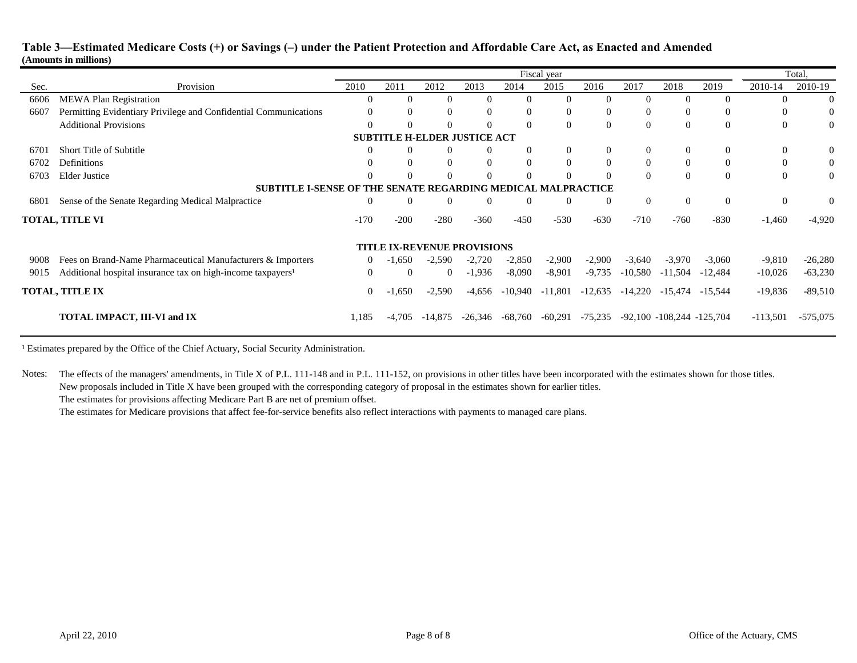|      |                                                                         | Fiscal year |          |                                     |           |                |                                          |           |           |                                 |           | Total,     |            |  |
|------|-------------------------------------------------------------------------|-------------|----------|-------------------------------------|-----------|----------------|------------------------------------------|-----------|-----------|---------------------------------|-----------|------------|------------|--|
| Sec. | Provision                                                               | 2010        | 2011     | 2012                                | 2013      | 2014           | 2015                                     | 2016      | 2017      | 2018                            | 2019      | 2010-14    | 2010-19    |  |
| 6606 | <b>MEWA Plan Registration</b>                                           |             | 0        | $\mathbf{\Omega}$                   |           | 0              | $\Omega$                                 | $\Omega$  | 0         |                                 | $\Omega$  |            | $\Omega$   |  |
| 6607 | Permitting Evidentiary Privilege and Confidential Communications        |             | $\Omega$ | $\Omega$                            |           | $\theta$       | $\Omega$                                 | $\Omega$  | $\Omega$  | $\Omega$                        | $\Omega$  |            | $\theta$   |  |
|      | <b>Additional Provisions</b>                                            |             | $\Omega$ | $\Omega$                            |           | $\Omega$       | $\Omega$                                 | $\Omega$  | $\Omega$  | $\Omega$                        | $\Omega$  | $\Omega$   | $\Omega$   |  |
|      |                                                                         |             |          | <b>SUBTITLE H-ELDER JUSTICE ACT</b> |           |                |                                          |           |           |                                 |           |            |            |  |
| 6701 | <b>Short Title of Subtitle</b>                                          |             | $\Omega$ | 0                                   |           | $\bf{0}$       | $\theta$                                 | $\Omega$  | $\theta$  | 0                               | $\Omega$  | $\theta$   | $\Omega$   |  |
| 6702 | Definitions                                                             |             | $\Omega$ | $\Omega$                            |           | $\Omega$       | $\Omega$                                 | $\Omega$  | $\Omega$  | $\Omega$                        | $\Omega$  |            | $\Omega$   |  |
| 6703 | <b>Elder Justice</b>                                                    |             | $\Omega$ | $\Omega$                            |           | $\Omega$       | $\Omega$                                 | $\Omega$  | $\Omega$  | $\Omega$                        | $\Omega$  | $\Omega$   | $\Omega$   |  |
|      | <b>SUBTITLE I-SENSE OF</b>                                              |             |          |                                     |           |                | THE SENATE REGARDING MEDICAL MALPRACTICE |           |           |                                 |           |            |            |  |
| 6801 | Sense of the Senate Regarding Medical Malpractice                       | $\theta$    | $\theta$ | $\mathbf{0}$                        | $\Omega$  | $\overline{0}$ | $\overline{0}$                           | $\Omega$  | $\theta$  | $\Omega$                        | $\Omega$  | $\theta$   | $\theta$   |  |
|      | <b>TOTAL, TITLE VI</b>                                                  | $-170$      | $-200$   | $-280$                              | $-360$    | $-450$         | $-530$                                   | $-630$    | $-710$    | $-760$                          | $-830$    | $-1,460$   | $-4,920$   |  |
|      |                                                                         |             |          | <b>TITLE IX-REVENUE PROVISIONS</b>  |           |                |                                          |           |           |                                 |           |            |            |  |
| 9008 | Fees on Brand-Name Pharmaceutical Manufacturers & Importers             | $\Omega$    | $-1,650$ | $-2,590$                            | $-2,720$  | $-2,850$       | $-2,900$                                 | $-2,900$  | $-3,640$  | $-3,970$                        | $-3,060$  | $-9,810$   | $-26,280$  |  |
| 9015 | Additional hospital insurance tax on high-income taxpayers <sup>1</sup> | $\Omega$    | $\Omega$ | $\overline{0}$                      | $-1,936$  | $-8,090$       | $-8,901$                                 | $-9,735$  | $-10,580$ | $-11,504$                       | $-12,484$ | $-10,026$  | $-63,230$  |  |
|      | <b>TOTAL, TITLE IX</b>                                                  | $\Omega$    | $-1,650$ | $-2,590$                            | -4,656    | -10,940        | $-11,801$                                | $-12,635$ | $-14,220$ | -15,474                         | $-15,544$ | $-19,836$  | $-89,510$  |  |
|      | TOTAL IMPACT, III-VI and IX                                             | 1,185       | $-4.705$ | -14.875                             | $-26.346$ | -68.760        | $-60,291$                                | $-75,235$ |           | $-92,100$ $-108,244$ $-125,704$ |           | $-113,501$ | $-575,075$ |  |

<sup>1</sup> Estimates prepared by the Office of the Chief Actuary, Social Security Administration.

Notes: The effects of the managers' amendments, in Title X of P.L. 111-148 and in P.L. 111-152, on provisions in other titles have been incorporated with the estimates shown for those titles. New proposals included in Title X have been grouped with the corresponding category of proposal in the estimates shown for earlier titles.

The estimates for provisions affecting Medicare Part B are net of premium offset.

The estimates for Medicare provisions that affect fee-for-service benefits also reflect interactions with payments to managed care plans.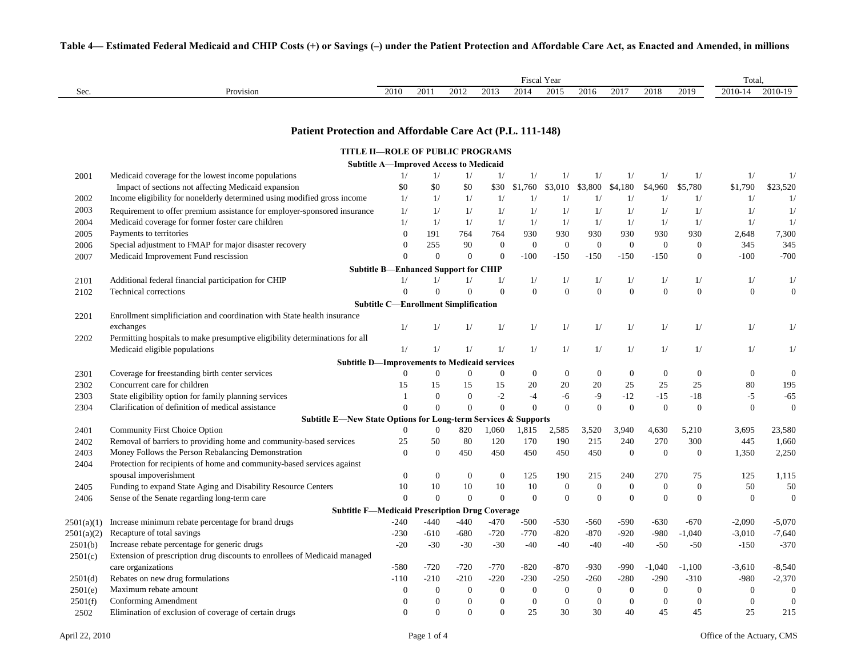|            |                                                                              |                                               |                  |                  |                  |                  | Fiscal Year      |                  |                  |                |                  | Total,           |                  |  |
|------------|------------------------------------------------------------------------------|-----------------------------------------------|------------------|------------------|------------------|------------------|------------------|------------------|------------------|----------------|------------------|------------------|------------------|--|
| Sec.       | Provision                                                                    | 2010                                          | 2011             | 2012             | 2013             | 2014             | 2015             | 2016             | 2017             | 2018           | 2019             | 2010-14          | 2010-19          |  |
|            |                                                                              |                                               |                  |                  |                  |                  |                  |                  |                  |                |                  |                  |                  |  |
|            | Patient Protection and Affordable Care Act (P.L. 111-148)                    |                                               |                  |                  |                  |                  |                  |                  |                  |                |                  |                  |                  |  |
|            |                                                                              |                                               |                  |                  |                  |                  |                  |                  |                  |                |                  |                  |                  |  |
|            | <b>TITLE II-ROLE OF PUBLIC PROGRAMS</b>                                      | <b>Subtitle A-Improved Access to Medicaid</b> |                  |                  |                  |                  |                  |                  |                  |                |                  |                  |                  |  |
| 2001       | Medicaid coverage for the lowest income populations                          | 1/                                            | 1/               | 1/               | 1/               | 1/               | 1/               | 1/               | 1/               | 1/             | 1/               | 1/               | 1/               |  |
|            | Impact of sections not affecting Medicaid expansion                          | \$0                                           | \$0              | \$0              | \$30             | \$1,760          | \$3,010          | \$3,800          | \$4,180          | \$4,960        | \$5,780          | \$1,790          | \$23,520         |  |
| 2002       | Income eligibility for nonelderly determined using modified gross income     | 1/                                            | 1/               | 1/               | 1/               | 1/               | 1/               | 1/               | 1/               | 1/             | 1/               | 1/               | 1/               |  |
| 2003       |                                                                              | 1/                                            | 1/               | 1/               | 1/               | 1/               | 1/               | 1/               | 1/               | 1/             | 1/               | 1/               |                  |  |
|            | Requirement to offer premium assistance for employer-sponsored insurance     | 1/                                            | 1/               | 1/               | 1/               | 1/               | 1/               | 1/               | 1/               | 1/             | 1/               | 1/               | 1/<br>1/         |  |
| 2004       | Medicaid coverage for former foster care children<br>Payments to territories | $\Omega$                                      | 191              | 764              | 764              | 930              | 930              | 930              | 930              | 930            | 930              | 2,648            | 7,300            |  |
| 2005       |                                                                              | $\boldsymbol{0}$                              | 255              |                  | $\boldsymbol{0}$ | $\boldsymbol{0}$ |                  | $\boldsymbol{0}$ | $\boldsymbol{0}$ |                | $\boldsymbol{0}$ |                  |                  |  |
| 2006       | Special adjustment to FMAP for major disaster recovery                       | $\theta$                                      |                  | 90               |                  |                  | $\boldsymbol{0}$ |                  |                  | $\mathbf{0}$   |                  | 345              | 345              |  |
| 2007       | Medicaid Improvement Fund rescission                                         |                                               | $\overline{0}$   | $\overline{0}$   | $\theta$         | $-100$           | $-150$           | $-150$           | $-150$           | $-150$         | $\overline{0}$   | $-100$           | $-700$           |  |
|            |                                                                              | <b>Subtitle B-Enhanced Support for CHIP</b>   |                  |                  |                  |                  |                  |                  |                  |                |                  |                  |                  |  |
| 2101       | Additional federal financial participation for CHIP                          | 1/                                            | 1/               | 1/               | 1/               | 1/               | 1/               | 1/               | 1/               | 1/             | 1/               | 1/               | 1/               |  |
| 2102       | <b>Technical corrections</b>                                                 | $\overline{0}$                                | $\theta$         | $\Omega$         | $\Omega$         | $\overline{0}$   | $\theta$         | $\overline{0}$   | $\theta$         | $\overline{0}$ | $\mathbf{0}$     | $\overline{0}$   | $\mathbf{0}$     |  |
|            |                                                                              | <b>Subtitle C-Enrollment Simplification</b>   |                  |                  |                  |                  |                  |                  |                  |                |                  |                  |                  |  |
| 2201       | Enrollment simplificiation and coordination with State health insurance      |                                               |                  |                  |                  |                  |                  |                  |                  |                |                  |                  |                  |  |
|            | exchanges                                                                    | 1/                                            | 1/               | 1/               | 1/               | 1/               | 1/               | 1/               | 1/               | 1/             | 1/               | 1/               | 1/               |  |
| 2202       | Permitting hospitals to make presumptive eligibility determinations for all  |                                               |                  |                  |                  |                  |                  |                  |                  |                |                  |                  |                  |  |
|            | Medicaid eligible populations                                                | 1/                                            | 1/               | 1/               | 1/               | 1/               | 1/               | 1/               | 1/               | 1/             | 1/               | 1/               | 1/               |  |
|            | <b>Subtitle D-Improvements to Medicaid services</b>                          |                                               |                  |                  |                  |                  |                  |                  |                  |                |                  |                  |                  |  |
| 2301       | Coverage for freestanding birth center services                              | $\mathbf{0}$                                  | $\mathbf{0}$     | $\mathbf{0}$     | $\mathbf{0}$     | $\boldsymbol{0}$ | $\theta$         | $\boldsymbol{0}$ | $\mathbf{0}$     | $\mathbf{0}$   | $\boldsymbol{0}$ | $\boldsymbol{0}$ | $\boldsymbol{0}$ |  |
| 2302       | Concurrent care for children                                                 | 15                                            | 15               | 15               | 15               | 20               | 20               | $20\,$           | $25\,$           | 25             | $25\,$           | $80\,$           | 195              |  |
| 2303       | State eligibility option for family planning services                        | 1                                             | $\overline{0}$   | $\overline{0}$   | $-2$             | $-4$             | $-6$             | $-9$             | $-12$            | $-15$          | $-18$            | $-5$             | $-65$            |  |
| 2304       | Clarification of definition of medical assistance                            | $\Omega$                                      | $\overline{0}$   | $\theta$         | $\theta$         | $\overline{0}$   | $\overline{0}$   | $\overline{0}$   | $\theta$         | $\mathbf{0}$   | $\overline{0}$   | $\boldsymbol{0}$ | $\boldsymbol{0}$ |  |
|            | <b>Subtitle E—New State Options for Long-term Services &amp; Supports</b>    |                                               |                  |                  |                  |                  |                  |                  |                  |                |                  |                  |                  |  |
| 2401       | Community First Choice Option                                                | $\theta$                                      | $\boldsymbol{0}$ | 820              | 1,060            | 1,815            | 2,585            | 3,520            | 3,940            | 4,630          | 5,210            | 3,695            | 23,580           |  |
| 2402       | Removal of barriers to providing home and community-based services           | 25                                            | 50               | 80               | 120              | 170              | 190              | 215              | 240              | 270            | 300              | 445              | 1,660            |  |
| 2403       | Money Follows the Person Rebalancing Demonstration                           | $\Omega$                                      | $\mathbf{0}$     | 450              | 450              | 450              | 450              | 450              | $\overline{0}$   | $\overline{0}$ | $\overline{0}$   | 1,350            | 2,250            |  |
| 2404       | Protection for recipients of home and community-based services against       |                                               |                  |                  |                  |                  |                  |                  |                  |                |                  |                  |                  |  |
|            | spousal impoverishment                                                       | $\mathbf{0}$                                  | $\boldsymbol{0}$ | $\mathbf{0}$     | $\mathbf{0}$     | 125              | 190              | 215              | 240              | 270            | 75               | 125              | 1,115            |  |
| 2405       | Funding to expand State Aging and Disability Resource Centers                | 10                                            | 10               | 10               | 10               | 10               | $\theta$         | $\boldsymbol{0}$ | $\boldsymbol{0}$ | $\mathbf{0}$   | $\mathbf{0}$     | 50               | 50               |  |
| 2406       | Sense of the Senate regarding long-term care                                 | $\theta$                                      | $\overline{0}$   | $\Omega$         | $\theta$         | $\theta$         | $\Omega$         | $\overline{0}$   | $\Omega$         | $\Omega$       | $\Omega$         | $\mathbf{0}$     | $\boldsymbol{0}$ |  |
|            | <b>Subtitle F-Medicaid Prescription Drug Coverage</b>                        |                                               |                  |                  |                  |                  |                  |                  |                  |                |                  |                  |                  |  |
| 2501(a)(1) | Increase minimum rebate percentage for brand drugs                           | $-240$                                        | $-440$           | $-440$           | $-470$           | $-500$           | $-530$           | $-560$           | $-590$           | $-630$         | $-670$           | $-2,090$         | $-5,070$         |  |
| 2501(a)(2) | Recapture of total savings                                                   | $-230$                                        | $-610$           | $-680$           | $-720$           | $-770$           | $-820$           | $-870$           | $-920$           | $-980$         | $-1,040$         | $-3,010$         | $-7,640$         |  |
| 2501(b)    | Increase rebate percentage for generic drugs                                 | $-20$                                         | $-30$            | $-30$            | $-30$            | $-40$            | $-40$            | $-40$            | $-40$            | $-50$          | $-50$            | $-150$           | $-370$           |  |
| 2501(c)    | Extension of prescription drug discounts to enrollees of Medicaid managed    |                                               |                  |                  |                  |                  |                  |                  |                  |                |                  |                  |                  |  |
|            | care organizations                                                           | $-580$                                        | $-720$           | -720             | $-770$           | -820             | -870             | -930             | -990             | $-1,040$       | $-1,100$         | $-3,610$         | $-8,540$         |  |
| 2501(d)    | Rebates on new drug formulations                                             | $-110$                                        | $-210$           | $-210$           | $-220$           | $-230$           | $-250$           | $-260$           | $-280$           | $-290$         | $-310$           | -980             | $-2,370$         |  |
| 2501(e)    | Maximum rebate amount                                                        | $\overline{0}$                                | $\boldsymbol{0}$ | $\boldsymbol{0}$ | $\mathbf{0}$     | $\mathbf{0}$     | $\theta$         | $\mathbf{0}$     | $\theta$         | $\mathbf{0}$   | $\overline{0}$   | $\boldsymbol{0}$ | $\boldsymbol{0}$ |  |
| 2501(f)    | Conforming Amendment                                                         | $\theta$                                      | $\theta$         | $\overline{0}$   | $\overline{0}$   | $\overline{0}$   | $\Omega$         | $\mathbf{0}$     | $\theta$         | $\overline{0}$ | $\overline{0}$   | $\mathbf{0}$     | $\boldsymbol{0}$ |  |
| 2502       | Elimination of exclusion of coverage of certain drugs                        | $\mathbf{0}$                                  | $\overline{0}$   | $\overline{0}$   | $\mathbf{0}$     | 25               | 30               | 30               | 40               | 45             | 45               | 25               | 215              |  |

#### **Table 4— Estimated Federal Medicaid and CHIP Costs (+) or Savings (–) under the Patient Protection and Affordable Care Act, as Enacted and Amended, in millions**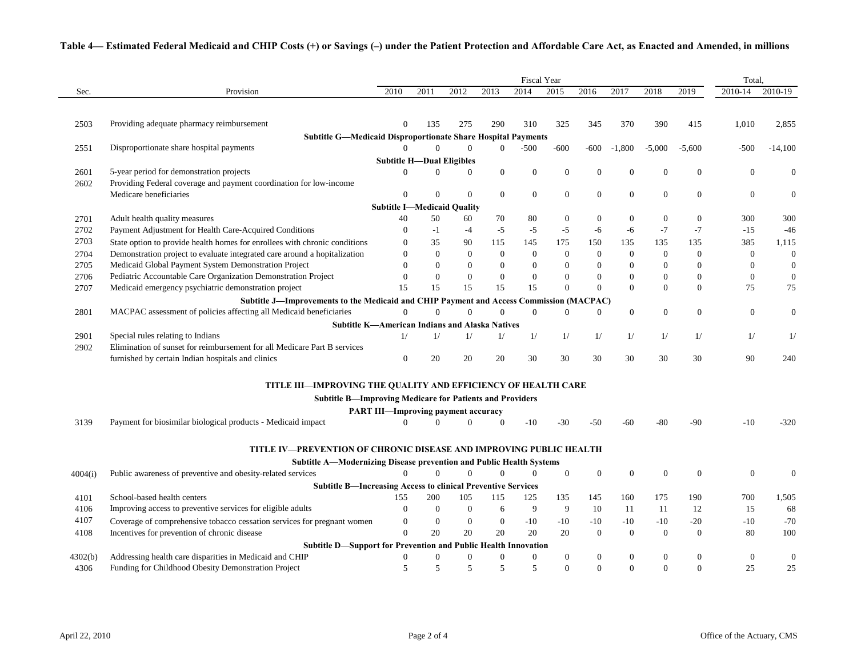#### **Table 4— Estimated Federal Medicaid and CHIP Costs (+) or Savings (–) under the Patient Protection and Affordable Care Act, as Enacted and Amended, in millions**

|              |                                                                                                                                           |                                            |                                  |                  |                  |                  | <b>Fiscal Year</b> |                  |                  |                  |                  | Total,           |                  |
|--------------|-------------------------------------------------------------------------------------------------------------------------------------------|--------------------------------------------|----------------------------------|------------------|------------------|------------------|--------------------|------------------|------------------|------------------|------------------|------------------|------------------|
| Sec.         | Provision                                                                                                                                 | 2010                                       | 2011                             | 2012             | 2013             | 2014             | 2015               | 2016             | 2017             | 2018             | 2019             | 2010-14          | 2010-19          |
|              |                                                                                                                                           |                                            |                                  |                  |                  |                  |                    |                  |                  |                  |                  |                  |                  |
| 2503         | Providing adequate pharmacy reimbursement                                                                                                 | $\mathbf{0}$                               | 135                              | 275              | 290              | 310              | 325                | 345              | 370              | 390              | 415              | 1,010            | 2,855            |
|              | <b>Subtitle G-Medicaid Disproportionate Share Hospital Payments</b>                                                                       |                                            |                                  |                  |                  |                  |                    |                  |                  |                  |                  |                  |                  |
| 2551         | Disproportionate share hospital payments                                                                                                  | $\theta$                                   | $\Omega$                         | $\Omega$         | $\overline{0}$   | $-500$           | $-600$             | $-600$           | -1,800           | $-5,000$         | $-5,600$         | $-500$           | $-14,100$        |
|              |                                                                                                                                           |                                            | <b>Subtitle H-Dual Eligibles</b> |                  |                  |                  |                    |                  |                  |                  |                  |                  |                  |
| 2601         | 5-year period for demonstration projects                                                                                                  | $\Omega$                                   | $\overline{0}$                   | $\overline{0}$   | $\mathbf{0}$     | $\boldsymbol{0}$ | $\mathbf{0}$       | $\overline{0}$   | $\boldsymbol{0}$ | $\mathbf{0}$     | $\mathbf{0}$     | $\boldsymbol{0}$ | $\overline{0}$   |
| 2602         | Providing Federal coverage and payment coordination for low-income                                                                        |                                            |                                  |                  |                  |                  |                    |                  |                  |                  |                  |                  |                  |
|              | Medicare beneficiaries                                                                                                                    | $\mathbf{0}$                               | $\Omega$                         | $\overline{0}$   | $\mathbf{0}$     | $\boldsymbol{0}$ | $\boldsymbol{0}$   | $\boldsymbol{0}$ | $\boldsymbol{0}$ | $\boldsymbol{0}$ | $\boldsymbol{0}$ | $\boldsymbol{0}$ | $\boldsymbol{0}$ |
|              |                                                                                                                                           | <b>Subtitle I-Medicaid Quality</b>         |                                  |                  |                  |                  |                    |                  |                  |                  |                  |                  |                  |
| 2701         | Adult health quality measures                                                                                                             | 40                                         | 50                               | 60               | 70               | 80               | $\mathbf{0}$       | $\mathbf{0}$     | $\overline{0}$   | $\theta$         | $\mathbf{0}$     | 300              | 300              |
| 2702         | Payment Adjustment for Health Care-Acquired Conditions                                                                                    | $\mathbf{0}$                               | $-1$                             | $-4$             | $-5$             | $-5$             | $-5$               | $-6$             | $-6$             | $-7$             | $-7$             | $-15$            | $-46$            |
| 2703         | State option to provide health homes for enrollees with chronic conditions                                                                | $\overline{0}$                             | 35                               | 90               | 115              | 145              | 175                | 150              | 135              | 135              | 135              | 385              | 1,115            |
| 2704         | Demonstration project to evaluate integrated care around a hopitalization                                                                 | $\overline{0}$                             | $\mathbf{0}$                     | $\boldsymbol{0}$ | $\overline{0}$   | $\mathbf{0}$     | $\mathbf{0}$       | $\mathbf{0}$     | $\overline{0}$   | $\mathbf{0}$     | $\mathbf{0}$     | $\mathbf{0}$     | $\mathbf{0}$     |
| 2705         | Medicaid Global Payment System Demonstration Project                                                                                      | $\overline{0}$                             | $\boldsymbol{0}$                 | $\overline{0}$   | $\mathbf{0}$     | $\boldsymbol{0}$ | $\mathbf{0}$       | $\mathbf{0}$     | $\boldsymbol{0}$ | $\mathbf{0}$     | $\mathbf{0}$     | $\boldsymbol{0}$ | $\boldsymbol{0}$ |
| 2706         | Pediatric Accountable Care Organization Demonstration Project                                                                             | $\theta$                                   | $\mathbf{0}$                     | $\overline{0}$   | $\overline{0}$   | $\boldsymbol{0}$ | $\Omega$           | $\mathbf{0}$     | $\overline{0}$   | $\Omega$         | $\mathbf{0}$     | $\overline{0}$   | $\boldsymbol{0}$ |
| 2707         | Medicaid emergency psychiatric demonstration project                                                                                      | 15                                         | 15                               | 15               | 15               | 15               | $\Omega$           | $\theta$         | $\Omega$         | $\Omega$         | $\Omega$         | 75               | 75               |
|              | Subtitle J—Improvements to the Medicaid and CHIP Payment and Access Commission (MACPAC)                                                   |                                            |                                  |                  |                  |                  |                    |                  |                  |                  |                  |                  |                  |
| 2801         | MACPAC assessment of policies affecting all Medicaid beneficiaries                                                                        | $\Omega$                                   | $\mathbf{0}$                     | $\Omega$         | $\theta$         | $\mathbf{0}$     | $\mathbf{0}$       | $\mathbf{0}$     | $\boldsymbol{0}$ | $\mathbf{0}$     | $\mathbf{0}$     | $\boldsymbol{0}$ | $\boldsymbol{0}$ |
|              | <b>Subtitle K-American Indians and Alaska Natives</b>                                                                                     |                                            |                                  |                  |                  |                  |                    |                  |                  |                  |                  |                  |                  |
| 2901         | Special rules relating to Indians                                                                                                         | 1/                                         | 1/                               | 1/               | 1/               | 1/               | 1/                 | 1/               | 1/               | 1/               | 1/               | 1/               | 1/               |
| 2902         | Elimination of sunset for reimbursement for all Medicare Part B services                                                                  |                                            |                                  |                  |                  |                  |                    |                  |                  |                  |                  |                  |                  |
|              | furnished by certain Indian hospitals and clinics                                                                                         | $\mathbf{0}$                               | 20                               | 20               | 20               | 30               | 30                 | 30               | 30               | 30               | 30               | 90               | 240              |
|              | <b>TITLE III—IMPROVING THE QUALITY AND EFFICIENCY OF HEALTH CARE</b>                                                                      |                                            |                                  |                  |                  |                  |                    |                  |                  |                  |                  |                  |                  |
|              | <b>Subtitle B-Improving Medicare for Patients and Providers</b>                                                                           |                                            |                                  |                  |                  |                  |                    |                  |                  |                  |                  |                  |                  |
|              |                                                                                                                                           | <b>PART III—Improving payment accuracy</b> |                                  |                  |                  |                  |                    |                  |                  |                  |                  |                  |                  |
| 3139         | Payment for biosimilar biological products - Medicaid impact                                                                              | $\Omega$                                   | $\Omega$                         | $\Omega$         | $\Omega$         | $-10$            | $-30$              | $-50$            | $-60$            | $-80$            | $-90$            | $-10$            | $-320$           |
|              |                                                                                                                                           |                                            |                                  |                  |                  |                  |                    |                  |                  |                  |                  |                  |                  |
|              | TITLE IV—PREVENTION OF CHRONIC DISEASE AND IMPROVING PUBLIC HEALTH                                                                        |                                            |                                  |                  |                  |                  |                    |                  |                  |                  |                  |                  |                  |
| 4004(i)      | <b>Subtitle A—Modernizing Disease prevention and Public Health Systems</b><br>Public awareness of preventive and obesity-related services | $\Omega$                                   | $\Omega$                         | $\Omega$         | $\Omega$         | $\mathbf{0}$     | $\boldsymbol{0}$   | $\boldsymbol{0}$ | $\mathbf{0}$     | $\overline{0}$   | $\mathbf{0}$     | $\boldsymbol{0}$ | $\boldsymbol{0}$ |
|              |                                                                                                                                           |                                            |                                  |                  |                  |                  |                    |                  |                  |                  |                  |                  |                  |
|              | <b>Subtitle B-Increasing Access to clinical Preventive Services</b>                                                                       |                                            |                                  |                  |                  |                  |                    |                  |                  |                  |                  |                  |                  |
| 4101         | School-based health centers                                                                                                               | 155<br>$\mathbf{0}$                        | 200                              | 105              | 115              | 125              | 135<br>9           | 145<br>10        | 160              | 175              | 190<br>12        | 700              | 1,505            |
| 4106<br>4107 | Improving access to preventive services for eligible adults                                                                               |                                            | $\boldsymbol{0}$                 | $\mathbf{0}$     | 6                | 9                |                    |                  | 11               | 11               |                  | 15               | 68               |
|              | Coverage of comprehensive tobacco cessation services for pregnant women                                                                   | $\mathbf{0}$                               | $\boldsymbol{0}$                 | $\boldsymbol{0}$ | $\mathbf{0}$     | $-10$            | $-10$              | $-10$            | $-10$            | $-10$            | $-20$            | $-10$            | $-70$            |
| 4108         | Incentives for prevention of chronic disease                                                                                              | $\Omega$                                   | 20                               | 20               | 20               | 20               | 20                 | $\mathbf{0}$     | $\overline{0}$   | $\overline{0}$   | $\theta$         | 80               | 100              |
|              | Subtitle D-Support for Prevention and Public Health Innovation                                                                            |                                            |                                  |                  |                  |                  |                    |                  |                  |                  |                  |                  |                  |
| 4302(b)      | Addressing health care disparities in Medicaid and CHIP                                                                                   | $\mathbf{0}$                               | $\boldsymbol{0}$                 | $\boldsymbol{0}$ | $\boldsymbol{0}$ | $\boldsymbol{0}$ | $\boldsymbol{0}$   | $\boldsymbol{0}$ | $\boldsymbol{0}$ | $\boldsymbol{0}$ | $\Omega$         | $\boldsymbol{0}$ | $\boldsymbol{0}$ |
| 4306         | Funding for Childhood Obesity Demonstration Project                                                                                       | 5                                          | 5                                | 5                | $\overline{5}$   | 5                | $\Omega$           | $\Omega$         | $\Omega$         | $\Omega$         | $\Omega$         | 25               | 25               |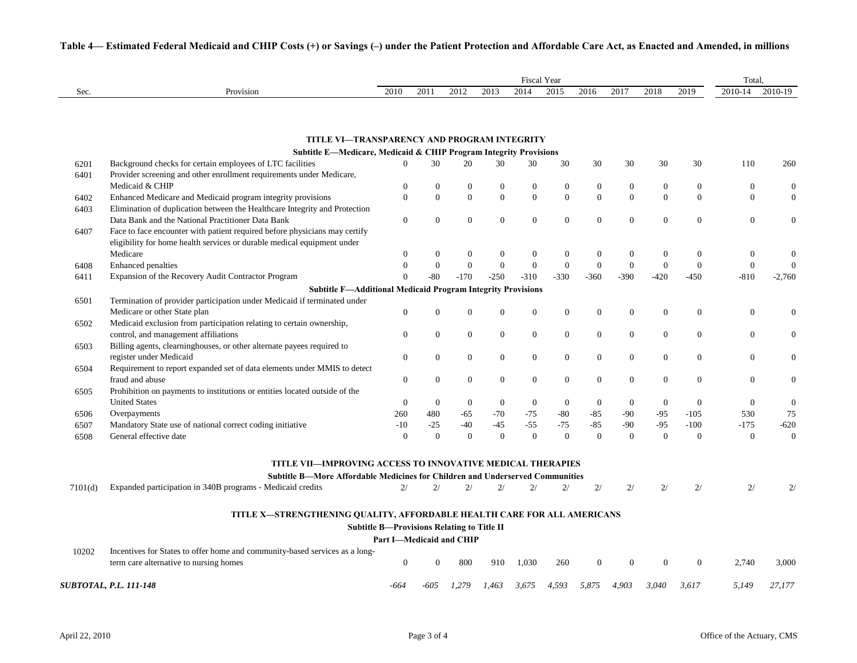|         |                                                                                                                                | <b>Fiscal Year</b>                                |                  |                                |                              |                  |                |                                |                          |              |                              |                                | Total.                         |  |  |
|---------|--------------------------------------------------------------------------------------------------------------------------------|---------------------------------------------------|------------------|--------------------------------|------------------------------|------------------|----------------|--------------------------------|--------------------------|--------------|------------------------------|--------------------------------|--------------------------------|--|--|
| Sec.    | Provision                                                                                                                      | 2010                                              | 2011             | 2012                           | 2013                         | 2014             | 2015           | 2016                           | 2017                     | 2018         | 2019                         | 2010-14                        | 2010-19                        |  |  |
|         |                                                                                                                                |                                                   |                  |                                |                              |                  |                |                                |                          |              |                              |                                |                                |  |  |
|         |                                                                                                                                |                                                   |                  |                                |                              |                  |                |                                |                          |              |                              |                                |                                |  |  |
|         | TITLE VI-TRANSPARENCY AND PROGRAM INTEGRITY                                                                                    |                                                   |                  |                                |                              |                  |                |                                |                          |              |                              |                                |                                |  |  |
| 6201    | Subtitle E-Medicare, Medicaid & CHIP Program Integrity Provisions<br>Background checks for certain employees of LTC facilities | $\overline{0}$                                    | 30               | 20                             | 30                           | 30               | 30             | 30                             | 30                       | 30           | 30                           | 110                            | 260                            |  |  |
| 6401    | Provider screening and other enrollment requirements under Medicare,                                                           |                                                   |                  |                                |                              |                  |                |                                |                          |              |                              |                                |                                |  |  |
|         | Medicaid & CHIP                                                                                                                | $\theta$                                          | $\boldsymbol{0}$ | $\mathbf{0}$                   | $\mathbf{0}$                 | $\boldsymbol{0}$ | $\mathbf{0}$   | $\mathbf{0}$                   | $\mathbf{0}$             | $\mathbf{0}$ | $\boldsymbol{0}$             | $\mathbf{0}$                   | $\mathbf{0}$                   |  |  |
|         | Enhanced Medicare and Medicaid program integrity provisions                                                                    | $\overline{0}$                                    | $\mathbf{0}$     | $\overline{0}$                 | $\mathbf{0}$                 | $\mathbf{0}$     | $\overline{0}$ | $\boldsymbol{0}$               | $\theta$                 | $\mathbf{0}$ | $\boldsymbol{0}$             | $\mathbf{0}$                   | $\mathbf{0}$                   |  |  |
| 6402    | Elimination of duplication between the Healthcare Integrity and Protection                                                     |                                                   |                  |                                |                              |                  |                |                                |                          |              |                              |                                |                                |  |  |
| 6403    | Data Bank and the National Practitioner Data Bank                                                                              | $\boldsymbol{0}$                                  | $\boldsymbol{0}$ | $\Omega$                       | $\overline{0}$               | $\boldsymbol{0}$ | $\overline{0}$ | $\boldsymbol{0}$               | $\overline{0}$           | $\mathbf{0}$ |                              |                                |                                |  |  |
| 6407    |                                                                                                                                |                                                   |                  |                                |                              |                  |                |                                |                          |              | $\boldsymbol{0}$             | $\boldsymbol{0}$               | $\boldsymbol{0}$               |  |  |
|         | Face to face encounter with patient required before physicians may certify                                                     |                                                   |                  |                                |                              |                  |                |                                |                          |              |                              |                                |                                |  |  |
|         | eligibility for home health services or durable medical equipment under                                                        | $\mathbf{0}$                                      | $\theta$         |                                |                              | $\boldsymbol{0}$ | $\theta$       |                                |                          | $\mathbf{0}$ |                              |                                |                                |  |  |
|         | Medicare                                                                                                                       | $\Omega$                                          | $\theta$         | $\mathbf{0}$<br>$\overline{0}$ | $\mathbf{0}$<br>$\mathbf{0}$ | $\mathbf{0}$     | $\overline{0}$ | $\mathbf{0}$<br>$\overline{0}$ | $\mathbf{0}$<br>$\theta$ | $\mathbf{0}$ | $\mathbf{0}$<br>$\mathbf{0}$ | $\mathbf{0}$<br>$\overline{0}$ | $\mathbf{0}$<br>$\overline{0}$ |  |  |
| 6408    | <b>Enhanced</b> penalties                                                                                                      | $\theta$                                          |                  |                                |                              |                  |                |                                |                          |              |                              |                                |                                |  |  |
| 6411    | Expansion of the Recovery Audit Contractor Program                                                                             |                                                   | $-80$            | $-170$                         | $-250$                       | $-310$           | $-330$         | $-360$                         | $-390$                   | $-420$       | $-450$                       | $-810$                         | $-2,760$                       |  |  |
|         | <b>Subtitle F-Additional Medicaid Program Integrity Provisions</b>                                                             |                                                   |                  |                                |                              |                  |                |                                |                          |              |                              |                                |                                |  |  |
| 6501    | Termination of provider participation under Medicaid if terminated under                                                       |                                                   |                  |                                |                              |                  |                |                                |                          |              |                              |                                |                                |  |  |
|         | Medicare or other State plan                                                                                                   | $\mathbf{0}$                                      | $\mathbf{0}$     | $\Omega$                       | $\Omega$                     | $\boldsymbol{0}$ | $\mathbf{0}$   | $\mathbf{0}$                   | $\mathbf{0}$             | $\mathbf{0}$ | $\mathbf{0}$                 | $\mathbf{0}$                   | $\mathbf{0}$                   |  |  |
| 6502    | Medicaid exclusion from participation relating to certain ownership,                                                           |                                                   |                  |                                |                              |                  |                |                                |                          |              |                              |                                |                                |  |  |
|         | control, and management affiliations                                                                                           | $\mathbf{0}$                                      | $\boldsymbol{0}$ | $\theta$                       | $\mathbf{0}$                 | $\boldsymbol{0}$ | $\mathbf{0}$   | $\boldsymbol{0}$               | $\theta$                 | $\mathbf{0}$ | $\boldsymbol{0}$             | $\overline{0}$                 | $\mathbf{0}$                   |  |  |
| 6503    | Billing agents, clearninghouses, or other alternate payees required to                                                         |                                                   |                  |                                |                              |                  |                |                                |                          |              |                              |                                |                                |  |  |
|         | register under Medicaid                                                                                                        | $\overline{0}$                                    | $\overline{0}$   | $\overline{0}$                 | $\overline{0}$               | $\boldsymbol{0}$ | $\overline{0}$ | $\mathbf{0}$                   | $\overline{0}$           | $\Omega$     | $\mathbf{0}$                 | $\overline{0}$                 | $\boldsymbol{0}$               |  |  |
| 6504    | Requirement to report expanded set of data elements under MMIS to detect                                                       |                                                   |                  |                                |                              |                  |                |                                |                          |              |                              |                                |                                |  |  |
|         | fraud and abuse                                                                                                                | $\overline{0}$                                    | $\mathbf{0}$     | $\overline{0}$                 | $\mathbf{0}$                 | $\overline{0}$   | $\Omega$       | $\mathbf{0}$                   | $\overline{0}$           | $\mathbf{0}$ | $\mathbf{0}$                 | $\overline{0}$                 | $\mathbf{0}$                   |  |  |
| 6505    | Prohibition on payments to institutions or entities located outside of the                                                     |                                                   |                  |                                |                              |                  |                |                                |                          |              |                              |                                |                                |  |  |
|         | <b>United States</b>                                                                                                           | $\mathbf{0}$                                      | $\boldsymbol{0}$ | $\mathbf{0}$                   | $\mathbf{0}$                 | $\mathbf{0}$     | $\theta$       | $\mathbf{0}$                   | $\mathbf{0}$             | $\theta$     | $\mathbf{0}$                 | $\overline{0}$                 | $\boldsymbol{0}$               |  |  |
| 6506    | Overpayments                                                                                                                   | 260                                               | 480              | $-65$                          | $-70$                        | $-75$            | $-80$          | $-85$                          | $-90$                    | $-95$        | $-105$                       | 530                            | 75                             |  |  |
| 6507    | Mandatory State use of national correct coding initiative                                                                      | $-10$                                             | $-25$            | $-40$                          | $-45$                        | $-55$            | $-75$          | $-85$                          | $-90$                    | $-95$        | $-100$                       | $-175$                         | $-620$                         |  |  |
| 6508    | General effective date                                                                                                         | $\theta$                                          | $\Omega$         | $\Omega$                       | $\Omega$                     | $\Omega$         | $\Omega$       | $\theta$                       | $\Omega$                 | $\Omega$     | $\Omega$                     | $\mathbf{0}$                   | $\Omega$                       |  |  |
|         | <b>TITLE VII—IMPROVING ACCESS TO INNOVATIVE MEDICAL THERAPIES</b>                                                              |                                                   |                  |                                |                              |                  |                |                                |                          |              |                              |                                |                                |  |  |
|         | Subtitle B—More Affordable Medicines for Children and Underserved Communities                                                  |                                                   |                  |                                |                              |                  |                |                                |                          |              |                              |                                |                                |  |  |
| 7101(d) | Expanded participation in 340B programs - Medicaid credits                                                                     | 2/                                                | 2/               | 2/                             | 2/                           | 2/               | 2/             | 2/                             | 2/                       | 2/           | 2/                           | 2/                             | 2/                             |  |  |
|         |                                                                                                                                |                                                   |                  |                                |                              |                  |                |                                |                          |              |                              |                                |                                |  |  |
|         | TITLE X-STRENGTHENING QUALITY, AFFORDABLE HEALTH CARE FOR ALL AMERICANS                                                        |                                                   |                  |                                |                              |                  |                |                                |                          |              |                              |                                |                                |  |  |
|         |                                                                                                                                | <b>Subtitle B-Provisions Relating to Title II</b> |                  |                                |                              |                  |                |                                |                          |              |                              |                                |                                |  |  |
|         |                                                                                                                                | <b>Part I-Medicaid and CHIP</b>                   |                  |                                |                              |                  |                |                                |                          |              |                              |                                |                                |  |  |
| 10202   | Incentives for States to offer home and community-based services as a long-                                                    |                                                   |                  |                                |                              |                  |                |                                |                          |              |                              |                                |                                |  |  |
|         | term care alternative to nursing homes                                                                                         | $\mathbf{0}$                                      |                  | 800                            | 910                          | 1,030            | 260            | $\Omega$                       | $\Omega$                 | $\Omega$     | $\theta$                     | 2,740                          | 3,000                          |  |  |
|         | <b>SUBTOTAL, P.L. 111-148</b>                                                                                                  | -664                                              | -605             | 1.279                          | .463                         | 3.675            | 4.593          | 5.875                          | 4.903                    | 3.040        | 3.617                        | 5.149                          | 27.177                         |  |  |

#### **Table 4— Estimated Federal Medicaid and CHIP Costs (+) or Savings (–) under the Patient Protection and Affordable Care Act, as Enacted and Amended, in millions**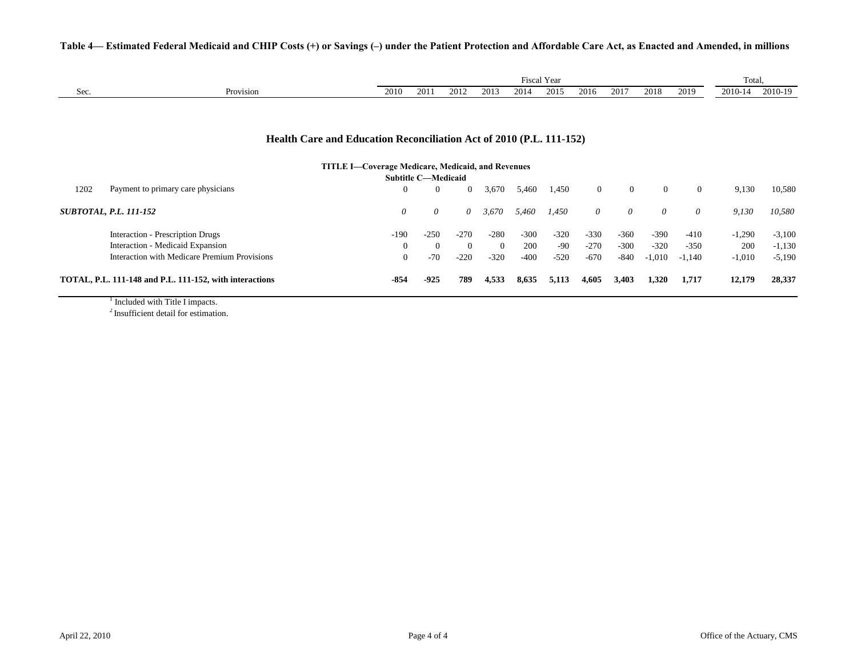| Table 4— Estimated Federal Medicaid and CHIP Costs (+) or Savings (-) under the Patient Protection and Affordable Care Act, as Enacted and Amended, in millions |  |  |  |
|-----------------------------------------------------------------------------------------------------------------------------------------------------------------|--|--|--|
|-----------------------------------------------------------------------------------------------------------------------------------------------------------------|--|--|--|

|      |                                                                                                                                 | Fiscal Year |                            |                |                |        |        |                |                |                |                |          | Total,   |  |  |
|------|---------------------------------------------------------------------------------------------------------------------------------|-------------|----------------------------|----------------|----------------|--------|--------|----------------|----------------|----------------|----------------|----------|----------|--|--|
| Sec. | Provision                                                                                                                       | 2010        | 2011                       | 2012           | 2013           | 2014   | 2015   | 2016           | 2017           | 2018           | 2019           | 2010-14  | 2010-19  |  |  |
|      |                                                                                                                                 |             |                            |                |                |        |        |                |                |                |                |          |          |  |  |
|      | Health Care and Education Reconciliation Act of 2010 (P.L. 111-152)<br><b>TITLE I—Coverage Medicare, Medicaid, and Revenues</b> |             |                            |                |                |        |        |                |                |                |                |          |          |  |  |
|      |                                                                                                                                 |             | <b>Subtitle C-Medicaid</b> |                |                |        |        |                |                |                |                |          |          |  |  |
| 1202 | Payment to primary care physicians                                                                                              | $\Omega$    | $\overline{0}$             | $\overline{0}$ | 3,670          | 5,460  | 1,450  | $\overline{0}$ | $\overline{0}$ | $\overline{0}$ | $\overline{0}$ | 9,130    | 10,580   |  |  |
|      | <b>SUBTOTAL, P.L. 111-152</b>                                                                                                   | $\theta$    | $\theta$                   | 0              | 3,670          | 5,460  | 1,450  | $\theta$       | $\theta$       | 0              | $\theta$       | 9,130    | 10,580   |  |  |
|      | Interaction - Prescription Drugs                                                                                                | $-190$      | $-250$                     | $-270$         | $-280$         | $-300$ | $-320$ | $-330$         | $-360$         | $-390$         | $-410$         | $-1,290$ | $-3,100$ |  |  |
|      | Interaction - Medicaid Expansion                                                                                                | $\Omega$    | $\theta$                   | $\Omega$       | $\overline{0}$ | 200    | -90    | $-270$         | $-300$         | $-320$         | $-350$         | 200      | $-1,130$ |  |  |
|      | Interaction with Medicare Premium Provisions                                                                                    | $\Omega$    | $-70$                      | $-220$         | $-320$         | $-400$ | $-520$ | $-670$         | $-840$         | $-1,010$       | $-1,140$       | $-1,010$ | $-5,190$ |  |  |
|      | TOTAL, P.L. 111-148 and P.L. 111-152, with interactions                                                                         | $-854$      | $-925$                     | 789            | 4,533          | 8,635  | 5,113  | 4,605          | 3,403          | 1,320          | 1,717          | 12,179   | 28,337   |  |  |
|      | lar a a shekarar a shekarar 1970 a shekarar 1970 a shekarar 1970 a shekarar 1970 a shekarar 1970 a shekarar 19                  |             |                            |                |                |        |        |                |                |                |                |          |          |  |  |

<sup>1</sup> Included with Title I impacts.

<sup>2</sup> Insufficient detail for estimation.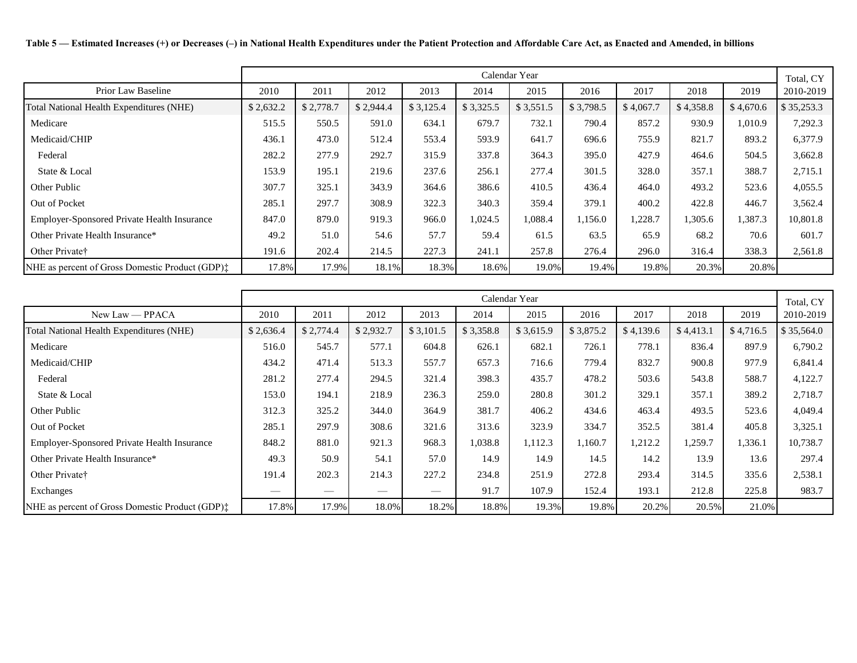**Table 5 — Estimated Increases (+) or Decreases (–) in National Health Expenditures under the Patient Protection and Affordable Care Act, as Enacted and Amended, in billions**

|                                                             |           |           |           |           | Calendar Year |           |           |           |           |           | Total, CY  |
|-------------------------------------------------------------|-----------|-----------|-----------|-----------|---------------|-----------|-----------|-----------|-----------|-----------|------------|
| Prior Law Baseline                                          | 2010      | 2011      | 2012      | 2013      | 2014          | 2015      | 2016      | 2017      | 2018      | 2019      | 2010-2019  |
| Total National Health Expenditures (NHE)                    | \$2,632.2 | \$2,778.7 | \$2,944.4 | \$3,125.4 | \$3,325.5     | \$3,551.5 | \$3,798.5 | \$4,067.7 | \$4,358.8 | \$4,670.6 | \$35,253.3 |
| Medicare                                                    | 515.5     | 550.5     | 591.0     | 634.1     | 679.7         | 732.1     | 790.4     | 857.2     | 930.9     | 1,010.9   | 7,292.3    |
| Medicaid/CHIP                                               | 436.1     | 473.0     | 512.4     | 553.4     | 593.9         | 641.7     | 696.6     | 755.9     | 821.7     | 893.2     | 6,377.9    |
| Federal                                                     | 282.2     | 277.9     | 292.7     | 315.9     | 337.8         | 364.3     | 395.0     | 427.9     | 464.6     | 504.5     | 3,662.8    |
| State & Local                                               | 153.9     | 195.1     | 219.6     | 237.6     | 256.1         | 277.4     | 301.5     | 328.0     | 357.1     | 388.7     | 2,715.1    |
| Other Public                                                | 307.7     | 325.1     | 343.9     | 364.6     | 386.6         | 410.5     | 436.4     | 464.0     | 493.2     | 523.6     | 4,055.5    |
| Out of Pocket                                               | 285.1     | 297.7     | 308.9     | 322.3     | 340.3         | 359.4     | 379.1     | 400.2     | 422.8     | 446.7     | 3,562.4    |
| Employer-Sponsored Private Health Insurance                 | 847.0     | 879.0     | 919.3     | 966.0     | 1,024.5       | 1,088.4   | 1,156.0   | 1,228.7   | 1,305.6   | 1,387.3   | 10,801.8   |
| Other Private Health Insurance*                             | 49.2      | 51.0      | 54.6      | 57.7      | 59.4          | 61.5      | 63.5      | 65.9      | 68.2      | 70.6      | 601.7      |
| Other Private <sup>†</sup>                                  | 191.6     | 202.4     | 214.5     | 227.3     | 241.1         | 257.8     | 276.4     | 296.0     | 316.4     | 338.3     | 2,561.8    |
| NHE as percent of Gross Domestic Product (GDP) <sup>†</sup> | 17.8%     | 17.9%     | 18.1%     | 18.3%     | 18.6%         | 19.0%     | 19.4%     | 19.8%     | 20.3%     | 20.8%     |            |

|                                                 |           |           |           |                                                                                                                                                                                                                                                                                                                                                                                               | Calendar Year |           |           |           |           |           | Total, CY  |
|-------------------------------------------------|-----------|-----------|-----------|-----------------------------------------------------------------------------------------------------------------------------------------------------------------------------------------------------------------------------------------------------------------------------------------------------------------------------------------------------------------------------------------------|---------------|-----------|-----------|-----------|-----------|-----------|------------|
| $New Law - PPACA$                               | 2010      | 2011      | 2012      | 2013                                                                                                                                                                                                                                                                                                                                                                                          | 2014          | 2015      | 2016      | 2017      | 2018      | 2019      | 2010-2019  |
| Total National Health Expenditures (NHE)        | \$2,636.4 | \$2,774.4 | \$2,932.7 | \$3,101.5                                                                                                                                                                                                                                                                                                                                                                                     | \$3,358.8     | \$3,615.9 | \$3,875.2 | \$4,139.6 | \$4,413.1 | \$4,716.5 | \$35,564.0 |
| Medicare                                        | 516.0     | 545.7     | 577.1     | 604.8                                                                                                                                                                                                                                                                                                                                                                                         | 626.1         | 682.1     | 726.1     | 778.1     | 836.4     | 897.9     | 6,790.2    |
| Medicaid/CHIP                                   | 434.2     | 471.4     | 513.3     | 557.7                                                                                                                                                                                                                                                                                                                                                                                         | 657.3         | 716.6     | 779.4     | 832.7     | 900.8     | 977.9     | 6,841.4    |
| Federal                                         | 281.2     | 277.4     | 294.5     | 321.4                                                                                                                                                                                                                                                                                                                                                                                         | 398.3         | 435.7     | 478.2     | 503.6     | 543.8     | 588.7     | 4,122.7    |
| State & Local                                   | 153.0     | 194.1     | 218.9     | 236.3                                                                                                                                                                                                                                                                                                                                                                                         | 259.0         | 280.8     | 301.2     | 329.1     | 357.1     | 389.2     | 2,718.7    |
| Other Public                                    | 312.3     | 325.2     | 344.0     | 364.9                                                                                                                                                                                                                                                                                                                                                                                         | 381.7         | 406.2     | 434.6     | 463.4     | 493.5     | 523.6     | 4,049.4    |
| Out of Pocket                                   | 285.1     | 297.9     | 308.6     | 321.6                                                                                                                                                                                                                                                                                                                                                                                         | 313.6         | 323.9     | 334.7     | 352.5     | 381.4     | 405.8     | 3,325.1    |
| Employer-Sponsored Private Health Insurance     | 848.2     | 881.0     | 921.3     | 968.3                                                                                                                                                                                                                                                                                                                                                                                         | 1,038.8       | 1,112.3   | 1,160.7   | 1,212.2   | 1,259.7   | 1,336.1   | 10,738.7   |
| Other Private Health Insurance*                 | 49.3      | 50.9      | 54.1      | 57.0                                                                                                                                                                                                                                                                                                                                                                                          | 14.9          | 14.9      | 14.5      | 14.2      | 13.9      | 13.6      | 297.4      |
| Other Private <sup>†</sup>                      | 191.4     | 202.3     | 214.3     | 227.2                                                                                                                                                                                                                                                                                                                                                                                         | 234.8         | 251.9     | 272.8     | 293.4     | 314.5     | 335.6     | 2,538.1    |
| Exchanges                                       |           |           |           | $\hspace{1.0cm} \overline{\hspace{1.0cm} \hspace{1.0cm} \hspace{1.0cm} } \hspace{1.0cm} \hspace{1.0cm} \overline{\hspace{1.0cm} \hspace{1.0cm} \hspace{1.0cm} } \hspace{1.0cm} \hspace{1.0cm} \overline{\hspace{1.0cm} \hspace{1.0cm} \hspace{1.0cm} } \hspace{1.0cm} \hspace{1.0cm} \overline{\hspace{1.0cm} \hspace{1.0cm} \hspace{1.0cm} } \hspace{1.0cm} \hspace{1.0cm} \hspace{1.0cm} }$ | 91.7          | 107.9     | 152.4     | 193.1     | 212.8     | 225.8     | 983.7      |
| NHE as percent of Gross Domestic Product (GDP): | 17.8%     | 17.9%     | 18.0%     | 18.2%                                                                                                                                                                                                                                                                                                                                                                                         | 18.8%         | 19.3%     | 19.8%     | 20.2%     | 20.5%     | 21.0%     |            |